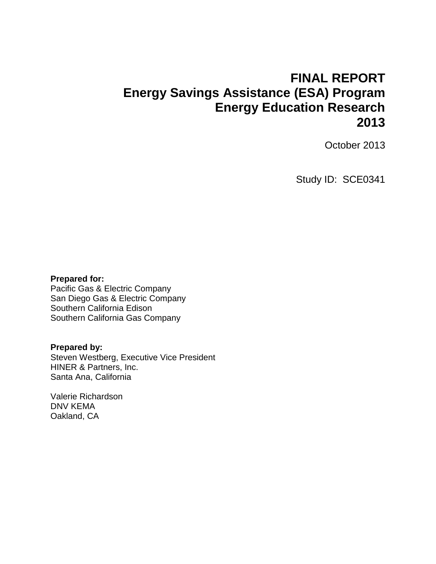## **FINAL REPORT Energy Savings Assistance (ESA) Program Energy Education Research 2013**

October 2013

Study ID: SCE0341

#### **Prepared for:**

Pacific Gas & Electric Company San Diego Gas & Electric Company Southern California Edison Southern California Gas Company

#### **Prepared by:**

Steven Westberg, Executive Vice President HINER & Partners, Inc. Santa Ana, California

Valerie Richardson DNV KEMA Oakland, CA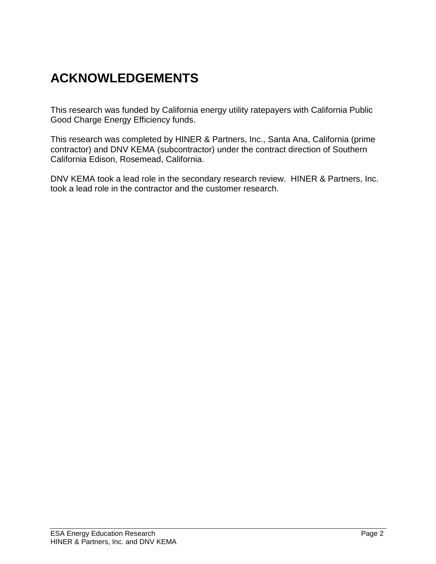# **ACKNOWLEDGEMENTS**

This research was funded by California energy utility ratepayers with California Public Good Charge Energy Efficiency funds.

This research was completed by HINER & Partners, Inc., Santa Ana, California (prime contractor) and DNV KEMA (subcontractor) under the contract direction of Southern California Edison, Rosemead, California.

DNV KEMA took a lead role in the secondary research review. HINER & Partners, Inc. took a lead role in the contractor and the customer research.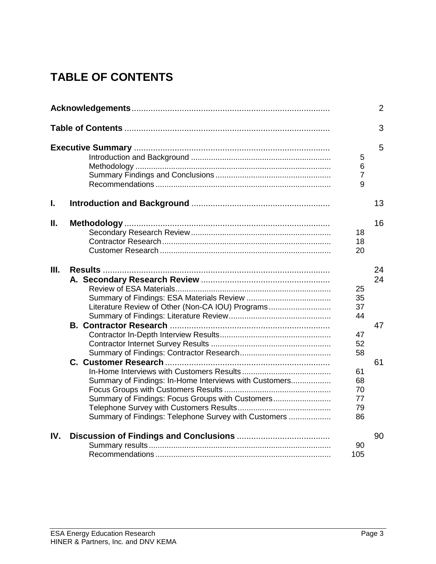# **TABLE OF CONTENTS**

|     |                                                                                                                                                                    |                                   | $\overline{2}$ |
|-----|--------------------------------------------------------------------------------------------------------------------------------------------------------------------|-----------------------------------|----------------|
|     |                                                                                                                                                                    |                                   | 3              |
|     |                                                                                                                                                                    | 5<br>$\,6$<br>$\overline{7}$<br>9 | 5              |
| L   |                                                                                                                                                                    |                                   | 13             |
| Ш.  |                                                                                                                                                                    | 18<br>18<br>20                    | 16             |
| Ш.  | Literature Review of Other (Non-CA IOU) Programs                                                                                                                   | 25<br>35<br>37<br>44              | 24<br>24<br>47 |
|     |                                                                                                                                                                    | 47<br>52<br>58                    |                |
|     | Summary of Findings: In-Home Interviews with Customers<br>Summary of Findings: Focus Groups with Customers<br>Summary of Findings: Telephone Survey with Customers | 61<br>68<br>70<br>77<br>79<br>86  | 61             |
| IV. |                                                                                                                                                                    | 90<br>105                         | 90             |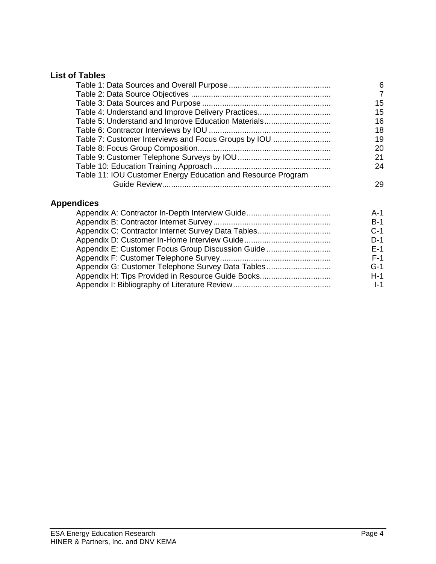## **List of Tables**

|                                                              | 6  |
|--------------------------------------------------------------|----|
|                                                              | 7  |
|                                                              | 15 |
|                                                              | 15 |
| Table 5: Understand and Improve Education Materials          | 16 |
|                                                              | 18 |
| Table 7: Customer Interviews and Focus Groups by IOU         | 19 |
|                                                              | 20 |
|                                                              | 21 |
|                                                              | 24 |
| Table 11: IOU Customer Energy Education and Resource Program |    |
|                                                              | 29 |

## **Appendices**

|                                                   | A-1   |
|---------------------------------------------------|-------|
|                                                   | $B-1$ |
|                                                   | $C-1$ |
|                                                   | $D-1$ |
| Appendix E: Customer Focus Group Discussion Guide | $F-1$ |
|                                                   | $F-1$ |
| Appendix G: Customer Telephone Survey Data Tables | $G-1$ |
| Appendix H: Tips Provided in Resource Guide Books | $H-1$ |
|                                                   | $I-1$ |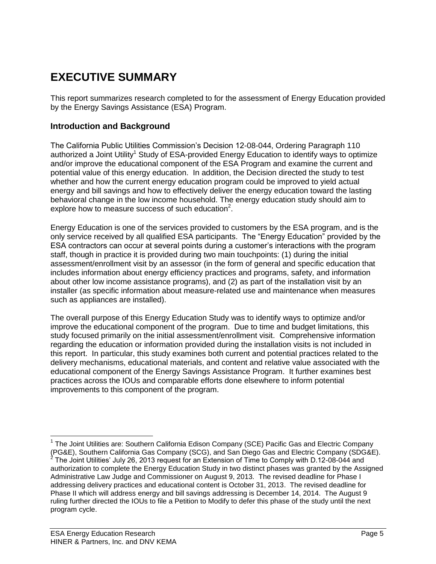## **EXECUTIVE SUMMARY**

This report summarizes research completed to for the assessment of Energy Education provided by the Energy Savings Assistance (ESA) Program.

## **Introduction and Background**

The California Public Utilities Commission's Decision 12-08-044, Ordering Paragraph 110 authorized a Joint Utility<sup>1</sup> Study of ESA-provided Energy Education to identify ways to optimize and/or improve the educational component of the ESA Program and examine the current and potential value of this energy education. In addition, the Decision directed the study to test whether and how the current energy education program could be improved to yield actual energy and bill savings and how to effectively deliver the energy education toward the lasting behavioral change in the low income household. The energy education study should aim to explore how to measure success of such education $2$ .

Energy Education is one of the services provided to customers by the ESA program, and is the only service received by all qualified ESA participants. The "Energy Education" provided by the ESA contractors can occur at several points during a customer's interactions with the program staff, though in practice it is provided during two main touchpoints: (1) during the initial assessment/enrollment visit by an assessor (in the form of general and specific education that includes information about energy efficiency practices and programs, safety, and information about other low income assistance programs), and (2) as part of the installation visit by an installer (as specific information about measure-related use and maintenance when measures such as appliances are installed).

The overall purpose of this Energy Education Study was to identify ways to optimize and/or improve the educational component of the program. Due to time and budget limitations, this study focused primarily on the initial assessment/enrollment visit. Comprehensive information regarding the education or information provided during the installation visits is not included in this report. In particular, this study examines both current and potential practices related to the delivery mechanisms, educational materials, and content and relative value associated with the educational component of the Energy Savings Assistance Program. It further examines best practices across the IOUs and comparable efforts done elsewhere to inform potential improvements to this component of the program.

l

<sup>&</sup>lt;sup>1</sup> The Joint Utilities are: Southern California Edison Company (SCE) Pacific Gas and Electric Company (PG&E), Southern California Gas Company (SCG), and San Diego Gas and Electric Company (SDG&E). 2 The Joint Utilities' July 26, 2013 request for an Extension of Time to Comply with D.12-08-044 and authorization to complete the Energy Education Study in two distinct phases was granted by the Assigned Administrative Law Judge and Commissioner on August 9, 2013. The revised deadline for Phase I addressing delivery practices and educational content is October 31, 2013. The revised deadline for Phase II which will address energy and bill savings addressing is December 14, 2014. The August 9 ruling further directed the IOUs to file a Petition to Modify to defer this phase of the study until the next program cycle.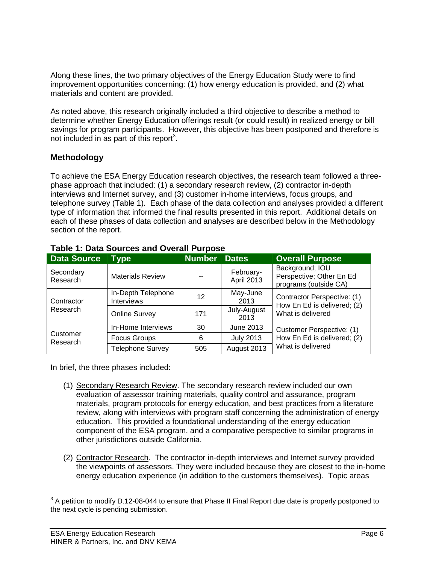Along these lines, the two primary objectives of the Energy Education Study were to find improvement opportunities concerning: (1) how energy education is provided, and (2) what materials and content are provided.

As noted above, this research originally included a third objective to describe a method to determine whether Energy Education offerings result (or could result) in realized energy or bill savings for program participants. However, this objective has been postponed and therefore is not included in as part of this report<sup>3</sup>.

## **Methodology**

To achieve the ESA Energy Education research objectives, the research team followed a threephase approach that included: (1) a secondary research review, (2) contractor in-depth interviews and Internet survey, and (3) customer in-home interviews, focus groups, and telephone survey (Table 1). Each phase of the data collection and analyses provided a different type of information that informed the final results presented in this report. Additional details on each of these phases of data collection and analyses are described below in the Methodology section of the report.

| <b>Data Source</b>    | <b>Type</b>                             | <b>Number</b> | <b>Dates</b>            | <b>Overall Purpose</b>                                               |  |  |  |
|-----------------------|-----------------------------------------|---------------|-------------------------|----------------------------------------------------------------------|--|--|--|
| Secondary<br>Research | <b>Materials Review</b>                 |               | February-<br>April 2013 | Background; IOU<br>Perspective; Other En Ed<br>programs (outside CA) |  |  |  |
| Contractor            | In-Depth Telephone<br><b>Interviews</b> | 12            | May-June<br>2013        | Contractor Perspective: (1)                                          |  |  |  |
| Research              | <b>Online Survey</b>                    | 171           | July-August<br>2013     | How En Ed is delivered; (2)<br>What is delivered                     |  |  |  |
|                       | In-Home Interviews                      | 30            | June 2013               | Customer Perspective: (1)                                            |  |  |  |
| Customer<br>Research  | Focus Groups                            | 6             | <b>July 2013</b>        | How En Ed is delivered; (2)                                          |  |  |  |
|                       | <b>Telephone Survey</b>                 | 505           | August 2013             | What is delivered                                                    |  |  |  |

## **Table 1: Data Sources and Overall Purpose**

In brief, the three phases included:

- (1) Secondary Research Review. The secondary research review included our own evaluation of assessor training materials, quality control and assurance, program materials, program protocols for energy education, and best practices from a literature review, along with interviews with program staff concerning the administration of energy education. This provided a foundational understanding of the energy education component of the ESA program, and a comparative perspective to similar programs in other jurisdictions outside California.
- (2) Contractor Research. The contractor in-depth interviews and Internet survey provided the viewpoints of assessors. They were included because they are closest to the in-home energy education experience (in addition to the customers themselves). Topic areas

 3 A petition to modify D.12-08-044 to ensure that Phase II Final Report due date is properly postponed to the next cycle is pending submission.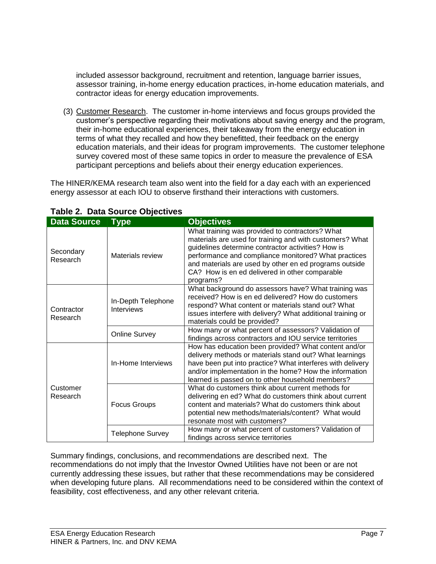included assessor background, recruitment and retention, language barrier issues, assessor training, in-home energy education practices, in-home education materials, and contractor ideas for energy education improvements.

(3) Customer Research. The customer in-home interviews and focus groups provided the customer's perspective regarding their motivations about saving energy and the program, their in-home educational experiences, their takeaway from the energy education in terms of what they recalled and how they benefitted, their feedback on the energy education materials, and their ideas for program improvements. The customer telephone survey covered most of these same topics in order to measure the prevalence of ESA participant perceptions and beliefs about their energy education experiences.

The HINER/KEMA research team also went into the field for a day each with an experienced energy assessor at each IOU to observe firsthand their interactions with customers.

| <b>Data Source</b>     | <b>Type</b>                             | <b>Objectives</b>                                                                                                                                                                                                                                                                                                                                  |  |  |
|------------------------|-----------------------------------------|----------------------------------------------------------------------------------------------------------------------------------------------------------------------------------------------------------------------------------------------------------------------------------------------------------------------------------------------------|--|--|
| Secondary<br>Research  | Materials review                        | What training was provided to contractors? What<br>materials are used for training and with customers? What<br>guidelines determine contractor activities? How is<br>performance and compliance monitored? What practices<br>and materials are used by other en ed programs outside<br>CA? How is en ed delivered in other comparable<br>programs? |  |  |
| Contractor<br>Research | In-Depth Telephone<br><b>Interviews</b> | What background do assessors have? What training was<br>received? How is en ed delivered? How do customers<br>respond? What content or materials stand out? What<br>issues interfere with delivery? What additional training or<br>materials could be provided?                                                                                    |  |  |
|                        | <b>Online Survey</b>                    | How many or what percent of assessors? Validation of<br>findings across contractors and IOU service territories                                                                                                                                                                                                                                    |  |  |
|                        | In-Home Interviews                      | How has education been provided? What content and/or<br>delivery methods or materials stand out? What learnings<br>have been put into practice? What interferes with delivery<br>and/or implementation in the home? How the information<br>learned is passed on to other household members?                                                        |  |  |
| Customer<br>Research   | <b>Focus Groups</b>                     | What do customers think about current methods for<br>delivering en ed? What do customers think about current<br>content and materials? What do customers think about<br>potential new methods/materials/content? What would<br>resonate most with customers?                                                                                       |  |  |
|                        | <b>Telephone Survey</b>                 | How many or what percent of customers? Validation of<br>findings across service territories                                                                                                                                                                                                                                                        |  |  |

## **Table 2. Data Source Objectives**

Summary findings, conclusions, and recommendations are described next. The recommendations do not imply that the Investor Owned Utilities have not been or are not currently addressing these issues, but rather that these recommendations may be considered when developing future plans. All recommendations need to be considered within the context of feasibility, cost effectiveness, and any other relevant criteria.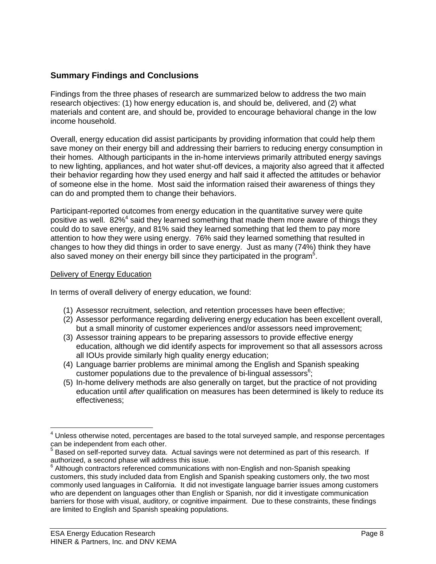## **Summary Findings and Conclusions**

Findings from the three phases of research are summarized below to address the two main research objectives: (1) how energy education is, and should be, delivered, and (2) what materials and content are, and should be, provided to encourage behavioral change in the low income household.

Overall, energy education did assist participants by providing information that could help them save money on their energy bill and addressing their barriers to reducing energy consumption in their homes. Although participants in the in-home interviews primarily attributed energy savings to new lighting, appliances, and hot water shut-off devices, a majority also agreed that it affected their behavior regarding how they used energy and half said it affected the attitudes or behavior of someone else in the home. Most said the information raised their awareness of things they can do and prompted them to change their behaviors.

Participant-reported outcomes from energy education in the quantitative survey were quite positive as well. 82%<sup>4</sup> said they learned something that made them more aware of things they could do to save energy, and 81% said they learned something that led them to pay more attention to how they were using energy. 76% said they learned something that resulted in changes to how they did things in order to save energy. Just as many (74%) think they have also saved money on their energy bill since they participated in the program<sup>5</sup>.

#### Delivery of Energy Education

l

In terms of overall delivery of energy education, we found:

- (1) Assessor recruitment, selection, and retention processes have been effective;
- (2) Assessor performance regarding delivering energy education has been excellent overall, but a small minority of customer experiences and/or assessors need improvement;
- (3) Assessor training appears to be preparing assessors to provide effective energy education, although we did identify aspects for improvement so that all assessors across all IOUs provide similarly high quality energy education;
- (4) Language barrier problems are minimal among the English and Spanish speaking customer populations due to the prevalence of bi-lingual assessors $<sup>6</sup>$ ;</sup>
- (5) In-home delivery methods are also generally on target, but the practice of not providing education until *after* qualification on measures has been determined is likely to reduce its effectiveness;

 $<sup>4</sup>$  Unless otherwise noted, percentages are based to the total surveyed sample, and response percentages</sup> can be independent from each other.

 $5$  Based on self-reported survey data. Actual savings were not determined as part of this research. If authorized, a second phase will address this issue.

<sup>6</sup> Although contractors referenced communications with non-English and non-Spanish speaking customers, this study included data from English and Spanish speaking customers only, the two most commonly used languages in California. It did not investigate language barrier issues among customers who are dependent on languages other than English or Spanish, nor did it investigate communication barriers for those with visual, auditory, or cognitive impairment. Due to these constraints, these findings are limited to English and Spanish speaking populations.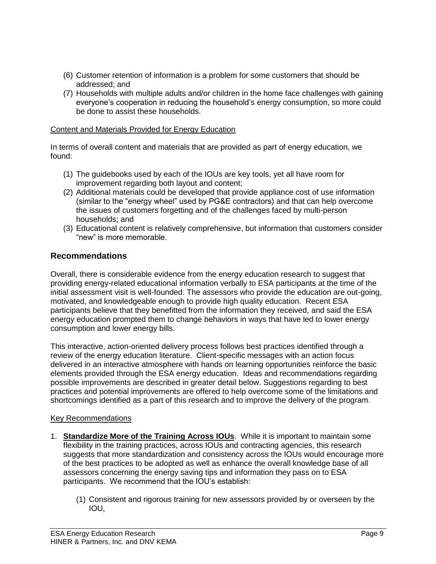- (6) Customer retention of information is a problem for some customers that should be addressed; and
- (7) Households with multiple adults and/or children in the home face challenges with gaining everyone's cooperation in reducing the household's energy consumption, so more could be done to assist these households.

#### Content and Materials Provided for Energy Education

In terms of overall content and materials that are provided as part of energy education, we found:

- (1) The guidebooks used by each of the IOUs are key tools, yet all have room for improvement regarding both layout and content;
- (2) Additional materials could be developed that provide appliance cost of use information (similar to the "energy wheel" used by PG&E contractors) and that can help overcome the issues of customers forgetting and of the challenges faced by multi-person households; and
- (3) Educational content is relatively comprehensive, but information that customers consider "new" is more memorable.

## **Recommendations**

Overall, there is considerable evidence from the energy education research to suggest that providing energy-related educational information verbally to ESA participants at the time of the initial assessment visit is well-founded. The assessors who provide the education are out-going, motivated, and knowledgeable enough to provide high quality education. Recent ESA participants believe that they benefitted from the information they received, and said the ESA energy education prompted them to change behaviors in ways that have led to lower energy consumption and lower energy bills.

This interactive, action-oriented delivery process follows best practices identified through a review of the energy education literature. Client-specific messages with an action focus delivered in an interactive atmosphere with hands on learning opportunities reinforce the basic elements provided through the ESA energy education. Ideas and recommendations regarding possible improvements are described in greater detail below. Suggestions regarding to best practices and potential improvements are offered to help overcome some of the limitations and shortcomings identified as a part of this research and to improve the delivery of the program.

#### Key Recommendations

- 1. **Standardize More of the Training Across IOUs**. While it is important to maintain some flexibility in the training practices, across IOUs and contracting agencies, this research suggests that more standardization and consistency across the IOUs would encourage more of the best practices to be adopted as well as enhance the overall knowledge base of all assessors concerning the energy saving tips and information they pass on to ESA participants. We recommend that the IOU's establish:
	- (1) Consistent and rigorous training for new assessors provided by or overseen by the IOU,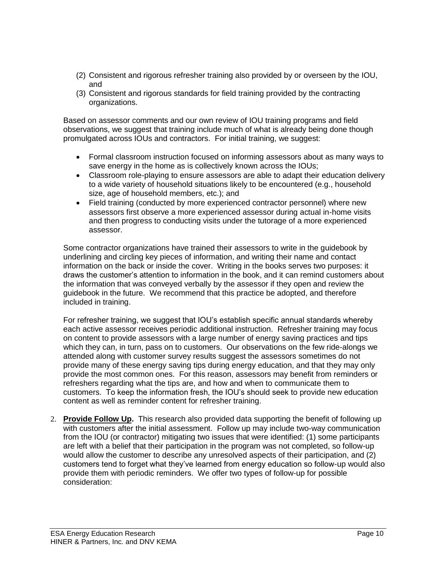- (2) Consistent and rigorous refresher training also provided by or overseen by the IOU, and
- (3) Consistent and rigorous standards for field training provided by the contracting organizations.

Based on assessor comments and our own review of IOU training programs and field observations, we suggest that training include much of what is already being done though promulgated across IOUs and contractors. For initial training, we suggest:

- Formal classroom instruction focused on informing assessors about as many ways to save energy in the home as is collectively known across the IOUs;
- Classroom role-playing to ensure assessors are able to adapt their education delivery to a wide variety of household situations likely to be encountered (e.g., household size, age of household members, etc.); and
- Field training (conducted by more experienced contractor personnel) where new assessors first observe a more experienced assessor during actual in-home visits and then progress to conducting visits under the tutorage of a more experienced assessor.

Some contractor organizations have trained their assessors to write in the guidebook by underlining and circling key pieces of information, and writing their name and contact information on the back or inside the cover. Writing in the books serves two purposes: it draws the customer's attention to information in the book, and it can remind customers about the information that was conveyed verbally by the assessor if they open and review the guidebook in the future. We recommend that this practice be adopted, and therefore included in training.

For refresher training, we suggest that IOU's establish specific annual standards whereby each active assessor receives periodic additional instruction. Refresher training may focus on content to provide assessors with a large number of energy saving practices and tips which they can, in turn, pass on to customers. Our observations on the few ride-alongs we attended along with customer survey results suggest the assessors sometimes do not provide many of these energy saving tips during energy education, and that they may only provide the most common ones. For this reason, assessors may benefit from reminders or refreshers regarding what the tips are, and how and when to communicate them to customers. To keep the information fresh, the IOU's should seek to provide new education content as well as reminder content for refresher training.

2. **Provide Follow Up.** This research also provided data supporting the benefit of following up with customers after the initial assessment. Follow up may include two-way communication from the IOU (or contractor) mitigating two issues that were identified: (1) some participants are left with a belief that their participation in the program was not completed, so follow-up would allow the customer to describe any unresolved aspects of their participation, and (2) customers tend to forget what they've learned from energy education so follow-up would also provide them with periodic reminders. We offer two types of follow-up for possible consideration: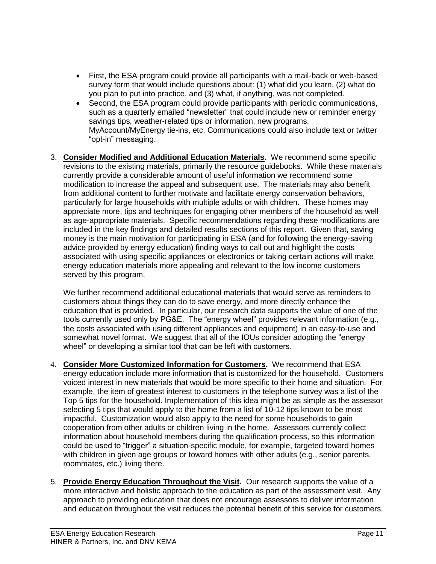- First, the ESA program could provide all participants with a mail-back or web-based survey form that would include questions about: (1) what did you learn, (2) what do you plan to put into practice, and (3) what, if anything, was not completed.
- Second, the ESA program could provide participants with periodic communications, such as a quarterly emailed "newsletter" that could include new or reminder energy savings tips, weather-related tips or information, new programs, MyAccount/MyEnergy tie-ins, etc. Communications could also include text or twitter "opt-in" messaging.
- 3. **Consider Modified and Additional Education Materials.** We recommend some specific revisions to the existing materials, primarily the resource guidebooks. While these materials currently provide a considerable amount of useful information we recommend some modification to increase the appeal and subsequent use. The materials may also benefit from additional content to further motivate and facilitate energy conservation behaviors, particularly for large households with multiple adults or with children. These homes may appreciate more, tips and techniques for engaging other members of the household as well as age-appropriate materials. Specific recommendations regarding these modifications are included in the key findings and detailed results sections of this report. Given that, saving money is the main motivation for participating in ESA (and for following the energy-saving advice provided by energy education) finding ways to call out and highlight the costs associated with using specific appliances or electronics or taking certain actions will make energy education materials more appealing and relevant to the low income customers served by this program.

We further recommend additional educational materials that would serve as reminders to customers about things they can do to save energy, and more directly enhance the education that is provided. In particular, our research data supports the value of one of the tools currently used only by PG&E. The "energy wheel" provides relevant information (e.g., the costs associated with using different appliances and equipment) in an easy-to-use and somewhat novel format. We suggest that all of the IOUs consider adopting the "energy wheel" or developing a similar tool that can be left with customers.

- 4. **Consider More Customized Information for Customers.** We recommend that ESA energy education include more information that is customized for the household. Customers voiced interest in new materials that would be more specific to their home and situation. For example, the item of greatest interest to customers in the telephone survey was a list of the Top 5 tips for the household. Implementation of this idea might be as simple as the assessor selecting 5 tips that would apply to the home from a list of 10-12 tips known to be most impactful. Customization would also apply to the need for some households to gain cooperation from other adults or children living in the home. Assessors currently collect information about household members during the qualification process, so this information could be used to "trigger" a situation-specific module, for example, targeted toward homes with children in given age groups or toward homes with other adults (e.g., senior parents, roommates, etc.) living there.
- 5. **Provide Energy Education Throughout the Visit.** Our research supports the value of a more interactive and holistic approach to the education as part of the assessment visit. Any approach to providing education that does not encourage assessors to deliver information and education throughout the visit reduces the potential benefit of this service for customers.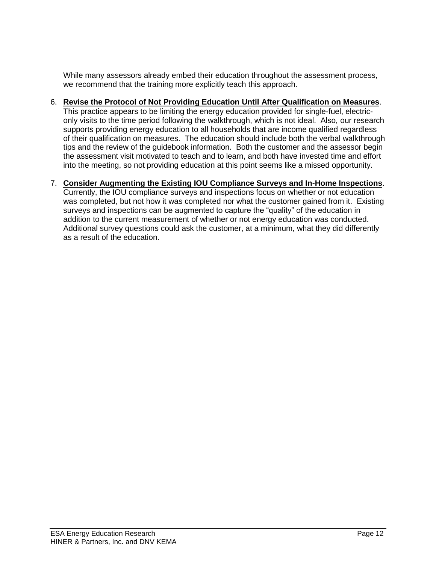While many assessors already embed their education throughout the assessment process, we recommend that the training more explicitly teach this approach.

#### 6. **Revise the Protocol of Not Providing Education Until After Qualification on Measures**. This practice appears to be limiting the energy education provided for single-fuel, electriconly visits to the time period following the walkthrough, which is not ideal. Also, our research supports providing energy education to all households that are income qualified regardless of their qualification on measures. The education should include both the verbal walkthrough tips and the review of the guidebook information. Both the customer and the assessor begin the assessment visit motivated to teach and to learn, and both have invested time and effort into the meeting, so not providing education at this point seems like a missed opportunity.

## 7. **Consider Augmenting the Existing IOU Compliance Surveys and In-Home Inspections**.

Currently, the IOU compliance surveys and inspections focus on whether or not education was completed, but not how it was completed nor what the customer gained from it. Existing surveys and inspections can be augmented to capture the "quality" of the education in addition to the current measurement of whether or not energy education was conducted. Additional survey questions could ask the customer, at a minimum, what they did differently as a result of the education.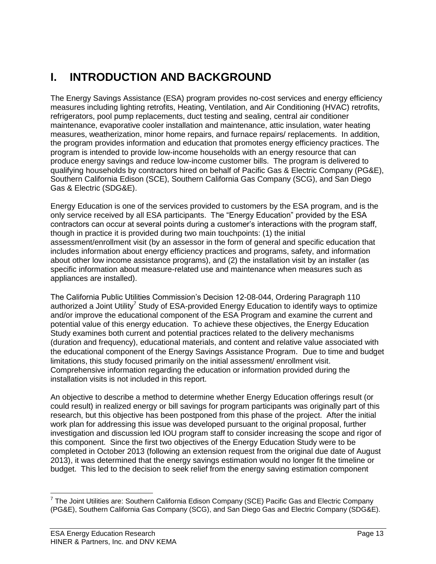## **I. INTRODUCTION AND BACKGROUND**

The Energy Savings Assistance (ESA) program provides no-cost services and energy efficiency measures including lighting retrofits, Heating, Ventilation, and Air Conditioning (HVAC) retrofits, refrigerators, pool pump replacements, duct testing and sealing, central air conditioner maintenance, evaporative cooler installation and maintenance, attic insulation, water heating measures, weatherization, minor home repairs, and furnace repairs/ replacements. In addition, the program provides information and education that promotes energy efficiency practices. The program is intended to provide low-income households with an energy resource that can produce energy savings and reduce low-income customer bills. The program is delivered to qualifying households by contractors hired on behalf of Pacific Gas & Electric Company (PG&E), Southern California Edison (SCE), Southern California Gas Company (SCG), and San Diego Gas & Electric (SDG&E).

Energy Education is one of the services provided to customers by the ESA program, and is the only service received by all ESA participants. The "Energy Education" provided by the ESA contractors can occur at several points during a customer's interactions with the program staff, though in practice it is provided during two main touchpoints: (1) the initial assessment/enrollment visit (by an assessor in the form of general and specific education that includes information about energy efficiency practices and programs, safety, and information about other low income assistance programs), and (2) the installation visit by an installer (as specific information about measure-related use and maintenance when measures such as appliances are installed).

The California Public Utilities Commission's Decision 12-08-044, Ordering Paragraph 110 authorized a Joint Utility<sup>7</sup> Study of ESA-provided Energy Education to identify ways to optimize and/or improve the educational component of the ESA Program and examine the current and potential value of this energy education. To achieve these objectives, the Energy Education Study examines both current and potential practices related to the delivery mechanisms (duration and frequency), educational materials, and content and relative value associated with the educational component of the Energy Savings Assistance Program. Due to time and budget limitations, this study focused primarily on the initial assessment/ enrollment visit. Comprehensive information regarding the education or information provided during the installation visits is not included in this report.

An objective to describe a method to determine whether Energy Education offerings result (or could result) in realized energy or bill savings for program participants was originally part of this research, but this objective has been postponed from this phase of the project. After the initial work plan for addressing this issue was developed pursuant to the original proposal, further investigation and discussion led IOU program staff to consider increasing the scope and rigor of this component. Since the first two objectives of the Energy Education Study were to be completed in October 2013 (following an extension request from the original due date of August 2013), it was determined that the energy savings estimation would no longer fit the timeline or budget. This led to the decision to seek relief from the energy saving estimation component

l  $^7$  The Joint Utilities are: Southern California Edison Company (SCE) Pacific Gas and Electric Company (PG&E), Southern California Gas Company (SCG), and San Diego Gas and Electric Company (SDG&E).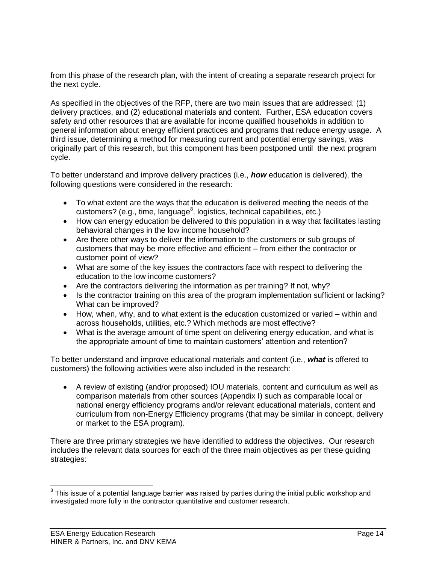from this phase of the research plan, with the intent of creating a separate research project for the next cycle.

As specified in the objectives of the RFP, there are two main issues that are addressed: (1) delivery practices, and (2) educational materials and content. Further, ESA education covers safety and other resources that are available for income qualified households in addition to general information about energy efficient practices and programs that reduce energy usage. A third issue, determining a method for measuring current and potential energy savings, was originally part of this research, but this component has been postponed until the next program cycle.

To better understand and improve delivery practices (i.e., *how* education is delivered), the following questions were considered in the research:

- To what extent are the ways that the education is delivered meeting the needs of the customers? (e.g., time, language<sup>8</sup>, logistics, technical capabilities, etc.)
- How can energy education be delivered to this population in a way that facilitates lasting behavioral changes in the low income household?
- Are there other ways to deliver the information to the customers or sub groups of customers that may be more effective and efficient – from either the contractor or customer point of view?
- What are some of the key issues the contractors face with respect to delivering the education to the low income customers?
- Are the contractors delivering the information as per training? If not, why?
- Is the contractor training on this area of the program implementation sufficient or lacking? What can be improved?
- How, when, why, and to what extent is the education customized or varied within and across households, utilities, etc.? Which methods are most effective?
- What is the average amount of time spent on delivering energy education, and what is the appropriate amount of time to maintain customers' attention and retention?

To better understand and improve educational materials and content (i.e., *what* is offered to customers) the following activities were also included in the research:

 A review of existing (and/or proposed) IOU materials, content and curriculum as well as comparison materials from other sources (Appendix I) such as comparable local or national energy efficiency programs and/or relevant educational materials, content and curriculum from non-Energy Efficiency programs (that may be similar in concept, delivery or market to the ESA program).

There are three primary strategies we have identified to address the objectives. Our research includes the relevant data sources for each of the three main objectives as per these guiding strategies:

l

 $8$  This issue of a potential language barrier was raised by parties during the initial public workshop and investigated more fully in the contractor quantitative and customer research.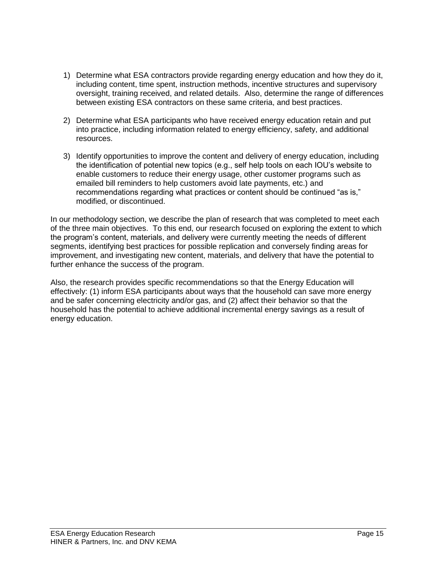- 1) Determine what ESA contractors provide regarding energy education and how they do it, including content, time spent, instruction methods, incentive structures and supervisory oversight, training received, and related details. Also, determine the range of differences between existing ESA contractors on these same criteria, and best practices.
- 2) Determine what ESA participants who have received energy education retain and put into practice, including information related to energy efficiency, safety, and additional resources.
- 3) Identify opportunities to improve the content and delivery of energy education, including the identification of potential new topics (e.g., self help tools on each IOU's website to enable customers to reduce their energy usage, other customer programs such as emailed bill reminders to help customers avoid late payments, etc.) and recommendations regarding what practices or content should be continued "as is," modified, or discontinued.

In our methodology section, we describe the plan of research that was completed to meet each of the three main objectives. To this end, our research focused on exploring the extent to which the program's content, materials, and delivery were currently meeting the needs of different segments, identifying best practices for possible replication and conversely finding areas for improvement, and investigating new content, materials, and delivery that have the potential to further enhance the success of the program.

Also, the research provides specific recommendations so that the Energy Education will effectively: (1) inform ESA participants about ways that the household can save more energy and be safer concerning electricity and/or gas, and (2) affect their behavior so that the household has the potential to achieve additional incremental energy savings as a result of energy education.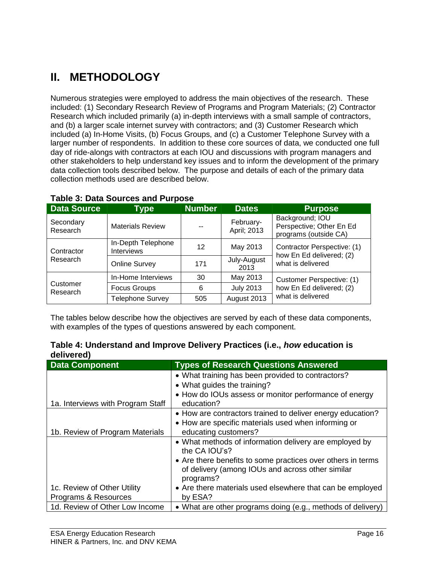## **II. METHODOLOGY**

Numerous strategies were employed to address the main objectives of the research. These included: (1) Secondary Research Review of Programs and Program Materials; (2) Contractor Research which included primarily (a) in-depth interviews with a small sample of contractors, and (b) a larger scale internet survey with contractors; and (3) Customer Research which included (a) In-Home Visits, (b) Focus Groups, and (c) a Customer Telephone Survey with a larger number of respondents. In addition to these core sources of data, we conducted one full day of ride-alongs with contractors at each IOU and discussions with program managers and other stakeholders to help understand key issues and to inform the development of the primary data collection tools described below. The purpose and details of each of the primary data collection methods used are described below.

| <b>Data Source</b>    | <b>Type</b>                             | <b>Number</b> | <b>Dates</b>             | <b>Purpose</b>                                                       |
|-----------------------|-----------------------------------------|---------------|--------------------------|----------------------------------------------------------------------|
| Secondary<br>Research | <b>Materials Review</b>                 | --            | February-<br>April; 2013 | Background; IOU<br>Perspective; Other En Ed<br>programs (outside CA) |
| Contractor            | In-Depth Telephone<br><b>Interviews</b> | 12            | May 2013                 | Contractor Perspective: (1)                                          |
| Research              | <b>Online Survey</b>                    | 171           | July-August<br>2013      | how En Ed delivered; (2)<br>what is delivered                        |
|                       | In-Home Interviews                      | 30            | May 2013                 | Customer Perspective: (1)                                            |
| Customer<br>Research  | <b>Focus Groups</b>                     |               | <b>July 2013</b>         | how En Ed delivered; (2)                                             |
|                       | <b>Telephone Survey</b>                 | 505           | August 2013              | what is delivered                                                    |

## **Table 3: Data Sources and Purpose**

The tables below describe how the objectives are served by each of these data components, with examples of the types of questions answered by each component.

|            |  | Table 4: Understand and Improve Delivery Practices (i.e., how education is |
|------------|--|----------------------------------------------------------------------------|
| delivered) |  |                                                                            |

| <b>Data Component</b>             | <b>Types of Research Questions Answered</b>                 |
|-----------------------------------|-------------------------------------------------------------|
|                                   | • What training has been provided to contractors?           |
|                                   | • What guides the training?                                 |
|                                   | • How do IOUs assess or monitor performance of energy       |
| 1a. Interviews with Program Staff | education?                                                  |
|                                   | • How are contractors trained to deliver energy education?  |
|                                   | • How are specific materials used when informing or         |
| 1b. Review of Program Materials   | educating customers?                                        |
|                                   | • What methods of information delivery are employed by      |
|                                   | the CA IOU's?                                               |
|                                   | • Are there benefits to some practices over others in terms |
|                                   | of delivery (among IOUs and across other similar            |
|                                   | programs?                                                   |
| 1c. Review of Other Utility       | • Are there materials used elsewhere that can be employed   |
| Programs & Resources              | by ESA?                                                     |
| 1d. Review of Other Low Income    | • What are other programs doing (e.g., methods of delivery) |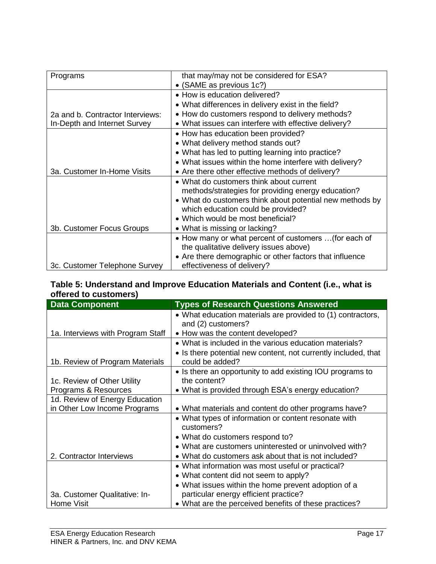| Programs                         | that may/may not be considered for ESA?                  |
|----------------------------------|----------------------------------------------------------|
|                                  | • (SAME as previous 1c?)                                 |
|                                  | • How is education delivered?                            |
|                                  | • What differences in delivery exist in the field?       |
|                                  |                                                          |
| 2a and b. Contractor Interviews: | • How do customers respond to delivery methods?          |
| In-Depth and Internet Survey     | • What issues can interfere with effective delivery?     |
|                                  | • How has education been provided?                       |
|                                  | • What delivery method stands out?                       |
|                                  | • What has led to putting learning into practice?        |
|                                  | • What issues within the home interfere with delivery?   |
| 3a. Customer In-Home Visits      | • Are there other effective methods of delivery?         |
|                                  | • What do customers think about current                  |
|                                  | methods/strategies for providing energy education?       |
|                                  | • What do customers think about potential new methods by |
|                                  | which education could be provided?                       |
|                                  | • Which would be most beneficial?                        |
| 3b. Customer Focus Groups        | • What is missing or lacking?                            |
|                                  | • How many or what percent of customers  (for each of    |
|                                  | the qualitative delivery issues above)                   |
|                                  | • Are there demographic or other factors that influence  |
| 3c. Customer Telephone Survey    | effectiveness of delivery?                               |

### **Table 5: Understand and Improve Education Materials and Content (i.e., what is offered to customers)**

| <b>Data Component</b>             | <b>Types of Research Questions Answered</b>                    |  |  |
|-----------------------------------|----------------------------------------------------------------|--|--|
|                                   | • What education materials are provided to (1) contractors,    |  |  |
|                                   | and (2) customers?                                             |  |  |
| 1a. Interviews with Program Staff | • How was the content developed?                               |  |  |
|                                   | • What is included in the various education materials?         |  |  |
|                                   | • Is there potential new content, not currently included, that |  |  |
| 1b. Review of Program Materials   | could be added?                                                |  |  |
|                                   | • Is there an opportunity to add existing IOU programs to      |  |  |
| 1c. Review of Other Utility       | the content?                                                   |  |  |
| Programs & Resources              | • What is provided through ESA's energy education?             |  |  |
| 1d. Review of Energy Education    |                                                                |  |  |
| in Other Low Income Programs      | • What materials and content do other programs have?           |  |  |
|                                   | • What types of information or content resonate with           |  |  |
|                                   | customers?                                                     |  |  |
|                                   | • What do customers respond to?                                |  |  |
|                                   | • What are customers uninterested or uninvolved with?          |  |  |
| 2. Contractor Interviews          | • What do customers ask about that is not included?            |  |  |
|                                   | • What information was most useful or practical?               |  |  |
|                                   | • What content did not seem to apply?                          |  |  |
|                                   | • What issues within the home prevent adoption of a            |  |  |
| 3a. Customer Qualitative: In-     | particular energy efficient practice?                          |  |  |
| Home Visit                        | • What are the perceived benefits of these practices?          |  |  |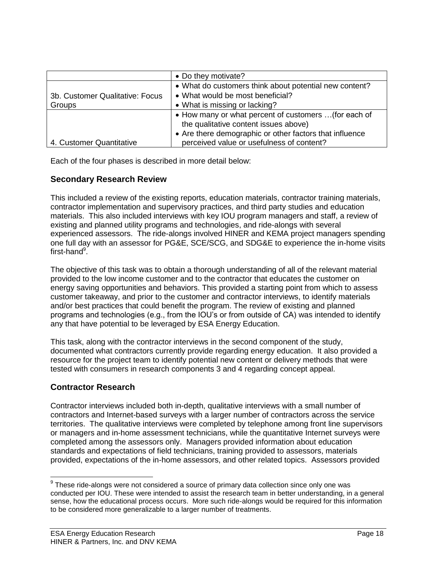|                                 | • Do they motivate?                                     |
|---------------------------------|---------------------------------------------------------|
|                                 | • What do customers think about potential new content?  |
| 3b. Customer Qualitative: Focus | • What would be most beneficial?                        |
| Groups                          | • What is missing or lacking?                           |
|                                 | • How many or what percent of customers  (for each of   |
|                                 | the qualitative content issues above)                   |
|                                 | • Are there demographic or other factors that influence |
| 4. Customer Quantitative        | perceived value or usefulness of content?               |

Each of the four phases is described in more detail below:

## **Secondary Research Review**

This included a review of the existing reports, education materials, contractor training materials, contractor implementation and supervisory practices, and third party studies and education materials. This also included interviews with key IOU program managers and staff, a review of existing and planned utility programs and technologies, and ride-alongs with several experienced assessors. The ride-alongs involved HINER and KEMA project managers spending one full day with an assessor for PG&E, SCE/SCG, and SDG&E to experience the in-home visits first-hand<sup>9</sup>.

The objective of this task was to obtain a thorough understanding of all of the relevant material provided to the low income customer and to the contractor that educates the customer on energy saving opportunities and behaviors. This provided a starting point from which to assess customer takeaway, and prior to the customer and contractor interviews, to identify materials and/or best practices that could benefit the program. The review of existing and planned programs and technologies (e.g., from the IOU's or from outside of CA) was intended to identify any that have potential to be leveraged by ESA Energy Education.

This task, along with the contractor interviews in the second component of the study, documented what contractors currently provide regarding energy education. It also provided a resource for the project team to identify potential new content or delivery methods that were tested with consumers in research components 3 and 4 regarding concept appeal.

## **Contractor Research**

l

Contractor interviews included both in-depth, qualitative interviews with a small number of contractors and Internet-based surveys with a larger number of contractors across the service territories. The qualitative interviews were completed by telephone among front line supervisors or managers and in-home assessment technicians, while the quantitative Internet surveys were completed among the assessors only. Managers provided information about education standards and expectations of field technicians, training provided to assessors, materials provided, expectations of the in-home assessors, and other related topics. Assessors provided

 $9$  These ride-alongs were not considered a source of primary data collection since only one was conducted per IOU. These were intended to assist the research team in better understanding, in a general sense, how the educational process occurs. More such ride-alongs would be required for this information to be considered more generalizable to a larger number of treatments.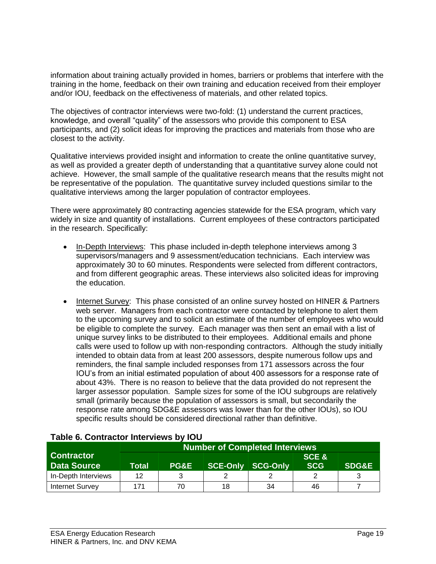information about training actually provided in homes, barriers or problems that interfere with the training in the home, feedback on their own training and education received from their employer and/or IOU, feedback on the effectiveness of materials, and other related topics.

The objectives of contractor interviews were two-fold: (1) understand the current practices, knowledge, and overall "quality" of the assessors who provide this component to ESA participants, and (2) solicit ideas for improving the practices and materials from those who are closest to the activity.

Qualitative interviews provided insight and information to create the online quantitative survey, as well as provided a greater depth of understanding that a quantitative survey alone could not achieve. However, the small sample of the qualitative research means that the results might not be representative of the population. The quantitative survey included questions similar to the qualitative interviews among the larger population of contractor employees.

There were approximately 80 contracting agencies statewide for the ESA program, which vary widely in size and quantity of installations. Current employees of these contractors participated in the research. Specifically:

- In-Depth Interviews: This phase included in-depth telephone interviews among 3 supervisors/managers and 9 assessment/education technicians. Each interview was approximately 30 to 60 minutes. Respondents were selected from different contractors, and from different geographic areas. These interviews also solicited ideas for improving the education.
- Internet Survey: This phase consisted of an online survey hosted on HINER & Partners web server. Managers from each contractor were contacted by telephone to alert them to the upcoming survey and to solicit an estimate of the number of employees who would be eligible to complete the survey. Each manager was then sent an email with a list of unique survey links to be distributed to their employees. Additional emails and phone calls were used to follow up with non-responding contractors. Although the study initially intended to obtain data from at least 200 assessors, despite numerous follow ups and reminders, the final sample included responses from 171 assessors across the four IOU's from an initial estimated population of about 400 assessors for a response rate of about 43%. There is no reason to believe that the data provided do not represent the larger assessor population. Sample sizes for some of the IOU subgroups are relatively small (primarily because the population of assessors is small, but secondarily the response rate among SDG&E assessors was lower than for the other IOUs), so IOU specific results should be considered directional rather than definitive.

|                                         | Number of Completed Interviews |                 |                          |    |                     |                  |
|-----------------------------------------|--------------------------------|-----------------|--------------------------|----|---------------------|------------------|
| <b>Contractor</b><br><b>Data Source</b> | Total                          | <b>PG&amp;E</b> | <b>SCE-Only SCG-Only</b> |    | SCE &<br><b>SCG</b> | <b>SDG&amp;E</b> |
| In-Depth Interviews                     | 12                             |                 |                          |    |                     |                  |
| <b>Internet Survey</b>                  | 171                            | 70              | 18                       | 34 | 46                  |                  |

## **Table 6. Contractor Interviews by IOU**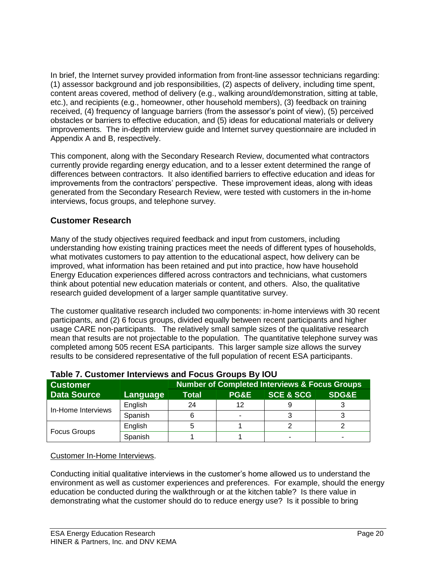In brief, the Internet survey provided information from front-line assessor technicians regarding: (1) assessor background and job responsibilities, (2) aspects of delivery, including time spent, content areas covered, method of delivery (e.g., walking around/demonstration, sitting at table, etc.), and recipients (e.g., homeowner, other household members), (3) feedback on training received, (4) frequency of language barriers (from the assessor's point of view), (5) perceived obstacles or barriers to effective education, and (5) ideas for educational materials or delivery improvements. The in-depth interview guide and Internet survey questionnaire are included in Appendix A and B, respectively.

This component, along with the Secondary Research Review, documented what contractors currently provide regarding energy education, and to a lesser extent determined the range of differences between contractors. It also identified barriers to effective education and ideas for improvements from the contractors' perspective. These improvement ideas, along with ideas generated from the Secondary Research Review, were tested with customers in the in-home interviews, focus groups, and telephone survey.

## **Customer Research**

Many of the study objectives required feedback and input from customers, including understanding how existing training practices meet the needs of different types of households, what motivates customers to pay attention to the educational aspect, how delivery can be improved, what information has been retained and put into practice, how have household Energy Education experiences differed across contractors and technicians, what customers think about potential new education materials or content, and others. Also, the qualitative research guided development of a larger sample quantitative survey.

The customer qualitative research included two components: in-home interviews with 30 recent participants, and (2) 6 focus groups, divided equally between recent participants and higher usage CARE non-participants. The relatively small sample sizes of the qualitative research mean that results are not projectable to the population. The quantitative telephone survey was completed among 505 recent ESA participants. This larger sample size allows the survey results to be considered representative of the full population of recent ESA participants.

| <b>Customer</b>     | <b>Number of Completed Interviews &amp; Focus Groups</b> |              |      |                      |                  |  |  |
|---------------------|----------------------------------------------------------|--------------|------|----------------------|------------------|--|--|
| <b>Data Source</b>  | Language                                                 | <b>Total</b> | PG&E | <b>SCE &amp; SCG</b> | <b>SDG&amp;E</b> |  |  |
| In-Home Interviews  | English                                                  | 24           | 12   |                      |                  |  |  |
|                     | Spanish                                                  |              | ٠    |                      |                  |  |  |
| <b>Focus Groups</b> | English                                                  |              |      |                      |                  |  |  |
|                     | Spanish                                                  |              |      |                      |                  |  |  |

## **Table 7. Customer Interviews and Focus Groups By IOU**

## Customer In-Home Interviews.

Conducting initial qualitative interviews in the customer's home allowed us to understand the environment as well as customer experiences and preferences. For example, should the energy education be conducted during the walkthrough or at the kitchen table? Is there value in demonstrating what the customer should do to reduce energy use? Is it possible to bring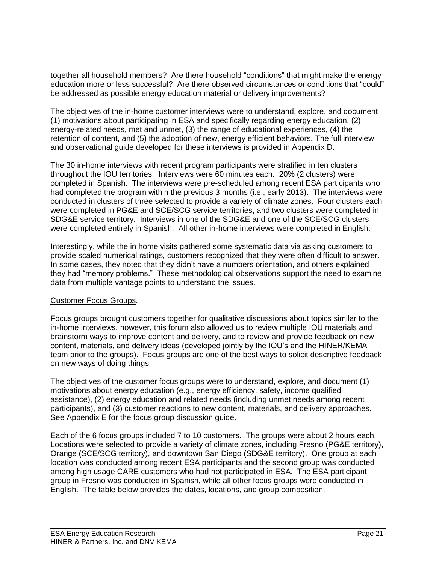together all household members? Are there household "conditions" that might make the energy education more or less successful? Are there observed circumstances or conditions that "could" be addressed as possible energy education material or delivery improvements?

The objectives of the in-home customer interviews were to understand, explore, and document (1) motivations about participating in ESA and specifically regarding energy education, (2) energy-related needs, met and unmet, (3) the range of educational experiences, (4) the retention of content, and (5) the adoption of new, energy efficient behaviors. The full interview and observational guide developed for these interviews is provided in Appendix D.

The 30 in-home interviews with recent program participants were stratified in ten clusters throughout the IOU territories. Interviews were 60 minutes each. 20% (2 clusters) were completed in Spanish. The interviews were pre-scheduled among recent ESA participants who had completed the program within the previous 3 months (i.e., early 2013). The interviews were conducted in clusters of three selected to provide a variety of climate zones. Four clusters each were completed in PG&E and SCE/SCG service territories, and two clusters were completed in SDG&E service territory. Interviews in one of the SDG&E and one of the SCE/SCG clusters were completed entirely in Spanish. All other in-home interviews were completed in English.

Interestingly, while the in home visits gathered some systematic data via asking customers to provide scaled numerical ratings, customers recognized that they were often difficult to answer. In some cases, they noted that they didn't have a numbers orientation, and others explained they had "memory problems." These methodological observations support the need to examine data from multiple vantage points to understand the issues.

#### Customer Focus Groups.

Focus groups brought customers together for qualitative discussions about topics similar to the in-home interviews, however, this forum also allowed us to review multiple IOU materials and brainstorm ways to improve content and delivery, and to review and provide feedback on new content, materials, and delivery ideas (developed jointly by the IOU's and the HINER/KEMA team prior to the groups). Focus groups are one of the best ways to solicit descriptive feedback on new ways of doing things.

The objectives of the customer focus groups were to understand, explore, and document (1) motivations about energy education (e.g., energy efficiency, safety, income qualified assistance), (2) energy education and related needs (including unmet needs among recent participants), and (3) customer reactions to new content, materials, and delivery approaches. See Appendix E for the focus group discussion guide.

Each of the 6 focus groups included 7 to 10 customers. The groups were about 2 hours each. Locations were selected to provide a variety of climate zones, including Fresno (PG&E territory), Orange (SCE/SCG territory), and downtown San Diego (SDG&E territory). One group at each location was conducted among recent ESA participants and the second group was conducted among high usage CARE customers who had not participated in ESA. The ESA participant group in Fresno was conducted in Spanish, while all other focus groups were conducted in English. The table below provides the dates, locations, and group composition.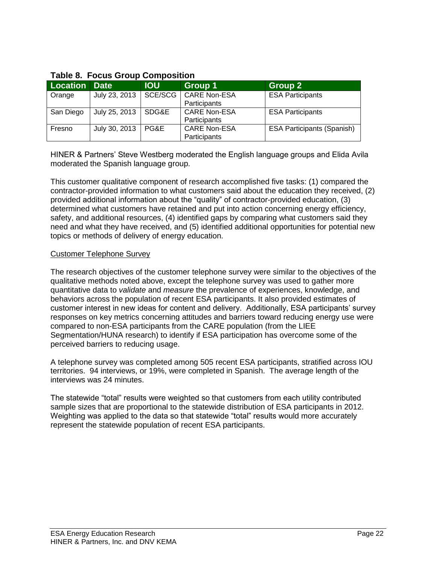| <b>Location</b> | <b>Date</b>   | <b>IOU</b> | <b>Group 1</b>      | Group 2                           |
|-----------------|---------------|------------|---------------------|-----------------------------------|
| Orange          | July 23, 2013 | SCE/SCG    | <b>CARE Non-ESA</b> | <b>ESA Participants</b>           |
|                 |               |            | Participants        |                                   |
| San Diego       | July 25, 2013 | SDG&E      | <b>CARE Non-ESA</b> | <b>ESA Participants</b>           |
|                 |               |            | <b>Participants</b> |                                   |
| Fresno          | July 30, 2013 | PG&E       | <b>CARE Non-ESA</b> | <b>ESA Participants (Spanish)</b> |
|                 |               |            | Participants        |                                   |

### **Table 8. Focus Group Composition**

HINER & Partners' Steve Westberg moderated the English language groups and Elida Avila moderated the Spanish language group.

This customer qualitative component of research accomplished five tasks: (1) compared the contractor-provided information to what customers said about the education they received, (2) provided additional information about the "quality" of contractor-provided education, (3) determined what customers have retained and put into action concerning energy efficiency, safety, and additional resources, (4) identified gaps by comparing what customers said they need and what they have received, and (5) identified additional opportunities for potential new topics or methods of delivery of energy education.

#### Customer Telephone Survey

The research objectives of the customer telephone survey were similar to the objectives of the qualitative methods noted above, except the telephone survey was used to gather more quantitative data to *validate* and *measure* the prevalence of experiences, knowledge, and behaviors across the population of recent ESA participants. It also provided estimates of customer interest in new ideas for content and delivery. Additionally, ESA participants' survey responses on key metrics concerning attitudes and barriers toward reducing energy use were compared to non-ESA participants from the CARE population (from the LIEE Segmentation/HUNA research) to identify if ESA participation has overcome some of the perceived barriers to reducing usage.

A telephone survey was completed among 505 recent ESA participants, stratified across IOU territories. 94 interviews, or 19%, were completed in Spanish. The average length of the interviews was 24 minutes.

The statewide "total" results were weighted so that customers from each utility contributed sample sizes that are proportional to the statewide distribution of ESA participants in 2012. Weighting was applied to the data so that statewide "total" results would more accurately represent the statewide population of recent ESA participants.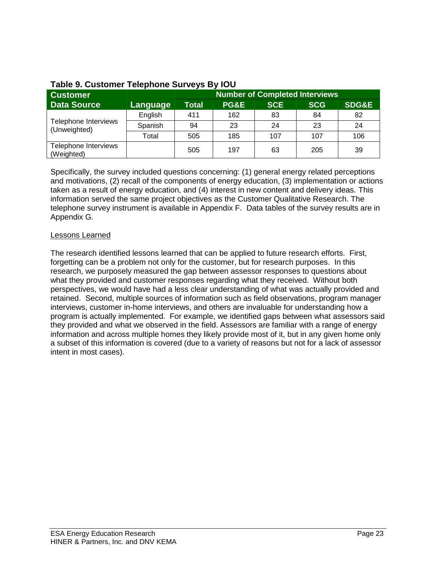| <b>Customer</b>                      |          | <b>Number of Completed Interviews</b> |                 |            |            |                  |
|--------------------------------------|----------|---------------------------------------|-----------------|------------|------------|------------------|
| <b>Data Source</b>                   | Language | <b>Total</b>                          | <b>PG&amp;E</b> | <b>SCE</b> | <b>SCG</b> | <b>SDG&amp;E</b> |
| Telephone Interviews<br>(Unweighted) | English  | 411                                   | 162             | 83         | 84         | 82               |
|                                      | Spanish  | 94                                    | 23              | 24         | 23         | 24               |
|                                      | Total    | 505                                   | 185             | 107        | 107        | 106              |
| Telephone Interviews<br>(Weighted)   |          | 505                                   | 197             | 63         | 205        | 39               |

## **Table 9. Customer Telephone Surveys By IOU**

Specifically, the survey included questions concerning: (1) general energy related perceptions and motivations, (2) recall of the components of energy education, (3) implementation or actions taken as a result of energy education, and (4) interest in new content and delivery ideas. This information served the same project objectives as the Customer Qualitative Research. The telephone survey instrument is available in Appendix F. Data tables of the survey results are in Appendix G.

#### Lessons Learned

The research identified lessons learned that can be applied to future research efforts. First, forgetting can be a problem not only for the customer, but for research purposes. In this research, we purposely measured the gap between assessor responses to questions about what they provided and customer responses regarding what they received. Without both perspectives, we would have had a less clear understanding of what was actually provided and retained. Second, multiple sources of information such as field observations, program manager interviews, customer in-home interviews, and others are invaluable for understanding how a program is actually implemented. For example, we identified gaps between what assessors said they provided and what we observed in the field. Assessors are familiar with a range of energy information and across multiple homes they likely provide most of it, but in any given home only a subset of this information is covered (due to a variety of reasons but not for a lack of assessor intent in most cases).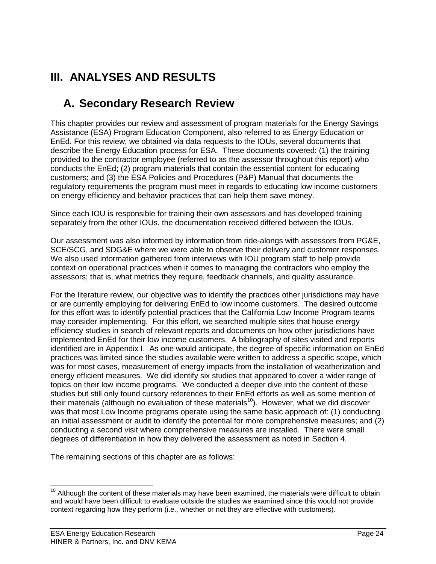## **III. ANALYSES AND RESULTS**

## **A. Secondary Research Review**

This chapter provides our review and assessment of program materials for the Energy Savings Assistance (ESA) Program Education Component, also referred to as Energy Education or EnEd. For this review, we obtained via data requests to the IOUs, several documents that describe the Energy Education process for ESA. These documents covered: (1) the training provided to the contractor employee (referred to as the assessor throughout this report) who conducts the EnEd; (2) program materials that contain the essential content for educating customers; and (3) the ESA Policies and Procedures (P&P) Manual that documents the regulatory requirements the program must meet in regards to educating low income customers on energy efficiency and behavior practices that can help them save money.

Since each IOU is responsible for training their own assessors and has developed training separately from the other IOUs, the documentation received differed between the IOUs.

Our assessment was also informed by information from ride-alongs with assessors from PG&E, SCE/SCG, and SDG&E where we were able to observe their delivery and customer responses. We also used information gathered from interviews with IOU program staff to help provide context on operational practices when it comes to managing the contractors who employ the assessors; that is, what metrics they require, feedback channels, and quality assurance.

For the literature review, our objective was to identify the practices other jurisdictions may have or are currently employing for delivering EnEd to low income customers. The desired outcome for this effort was to identify potential practices that the California Low Income Program teams may consider implementing. For this effort, we searched multiple sites that house energy efficiency studies in search of relevant reports and documents on how other jurisdictions have implemented EnEd for their low income customers. A bibliography of sites visited and reports identified are in Appendix I. As one would anticipate, the degree of specific information on EnEd practices was limited since the studies available were written to address a specific scope, which was for most cases, measurement of energy impacts from the installation of weatherization and energy efficient measures. We did identify six studies that appeared to cover a wider range of topics on their low income programs. We conducted a deeper dive into the content of these studies but still only found cursory references to their EnEd efforts as well as some mention of their materials (although no evaluation of these materials<sup>10</sup>). However, what we did discover was that most Low Income programs operate using the same basic approach of: (1) conducting an initial assessment or audit to identify the potential for more comprehensive measures; and (2) conducting a second visit where comprehensive measures are installed. There were small degrees of differentiation in how they delivered the assessment as noted in Section 4.

The remaining sections of this chapter are as follows:

l  $10$  Although the content of these materials may have been examined, the materials were difficult to obtain and would have been difficult to evaluate outside the studies we examined since this would not provide context regarding how they perform (i.e., whether or not they are effective with customers).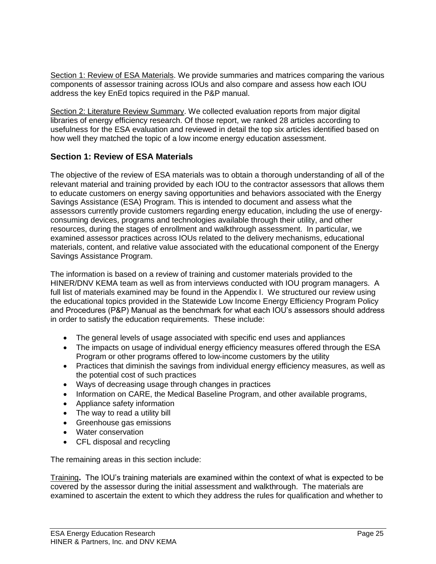Section 1: Review of ESA Materials. We provide summaries and matrices comparing the various components of assessor training across IOUs and also compare and assess how each IOU address the key EnEd topics required in the P&P manual.

Section 2: Literature Review Summary. We collected evaluation reports from major digital libraries of energy efficiency research. Of those report, we ranked 28 articles according to usefulness for the ESA evaluation and reviewed in detail the top six articles identified based on how well they matched the topic of a low income energy education assessment.

## **Section 1: Review of ESA Materials**

The objective of the review of ESA materials was to obtain a thorough understanding of all of the relevant material and training provided by each IOU to the contractor assessors that allows them to educate customers on energy saving opportunities and behaviors associated with the Energy Savings Assistance (ESA) Program. This is intended to document and assess what the assessors currently provide customers regarding energy education, including the use of energyconsuming devices, programs and technologies available through their utility, and other resources, during the stages of enrollment and walkthrough assessment. In particular, we examined assessor practices across IOUs related to the delivery mechanisms, educational materials, content, and relative value associated with the educational component of the Energy Savings Assistance Program.

The information is based on a review of training and customer materials provided to the HINER/DNV KEMA team as well as from interviews conducted with IOU program managers. A full list of materials examined may be found in the Appendix I. We structured our review using the educational topics provided in the Statewide Low Income Energy Efficiency Program Policy and Procedures (P&P) Manual as the benchmark for what each IOU's assessors should address in order to satisfy the education requirements. These include:

- The general levels of usage associated with specific end uses and appliances
- The impacts on usage of individual energy efficiency measures offered through the ESA Program or other programs offered to low-income customers by the utility
- Practices that diminish the savings from individual energy efficiency measures, as well as the potential cost of such practices
- Ways of decreasing usage through changes in practices
- Information on CARE, the Medical Baseline Program, and other available programs,
- Appliance safety information
- The way to read a utility bill
- Greenhouse gas emissions
- Water conservation
- CFL disposal and recycling

The remaining areas in this section include:

Training**.** The IOU's training materials are examined within the context of what is expected to be covered by the assessor during the initial assessment and walkthrough. The materials are examined to ascertain the extent to which they address the rules for qualification and whether to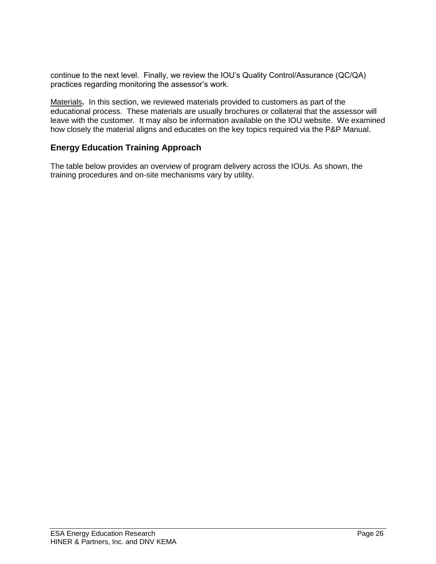continue to the next level. Finally, we review the IOU's Quality Control/Assurance (QC/QA) practices regarding monitoring the assessor's work.

Materials**.** In this section, we reviewed materials provided to customers as part of the educational process. These materials are usually brochures or collateral that the assessor will leave with the customer. It may also be information available on the IOU website. We examined how closely the material aligns and educates on the key topics required via the P&P Manual.

## **Energy Education Training Approach**

The table below provides an overview of program delivery across the IOUs. As shown, the training procedures and on-site mechanisms vary by utility.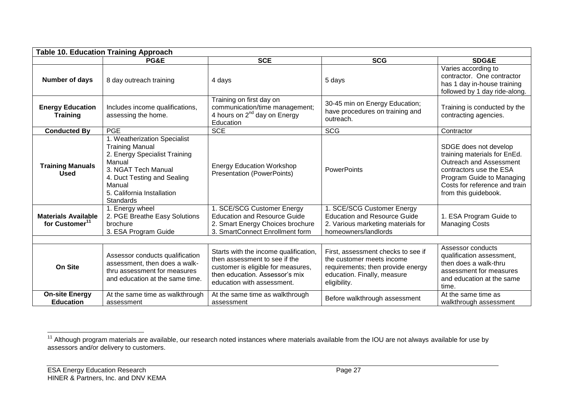| <b>Table 10. Education Training Approach</b>             |                                                                                                                                                                                                              |                                                                                                                                                                              |                                                                                                                                                     |                                                                                                                                                                                                          |  |  |
|----------------------------------------------------------|--------------------------------------------------------------------------------------------------------------------------------------------------------------------------------------------------------------|------------------------------------------------------------------------------------------------------------------------------------------------------------------------------|-----------------------------------------------------------------------------------------------------------------------------------------------------|----------------------------------------------------------------------------------------------------------------------------------------------------------------------------------------------------------|--|--|
|                                                          | PG&E                                                                                                                                                                                                         | <b>SCE</b>                                                                                                                                                                   | <b>SCG</b>                                                                                                                                          | <b>SDG&amp;E</b>                                                                                                                                                                                         |  |  |
| Number of days                                           | 8 day outreach training                                                                                                                                                                                      | 4 days                                                                                                                                                                       | 5 days                                                                                                                                              | Varies according to<br>contractor. One contractor<br>has 1 day in-house training<br>followed by 1 day ride-along.                                                                                        |  |  |
| <b>Energy Education</b><br><b>Training</b>               | Includes income qualifications,<br>assessing the home.                                                                                                                                                       | Training on first day on<br>communication/time management;<br>4 hours on 2 <sup>nd</sup> day on Energy<br>Education                                                          | 30-45 min on Energy Education;<br>have procedures on training and<br>outreach.                                                                      | Training is conducted by the<br>contracting agencies.                                                                                                                                                    |  |  |
| <b>Conducted By</b>                                      | <b>PGE</b>                                                                                                                                                                                                   | <b>SCE</b>                                                                                                                                                                   | <b>SCG</b>                                                                                                                                          | Contractor                                                                                                                                                                                               |  |  |
| <b>Training Manuals</b><br><b>Used</b>                   | 1. Weatherization Specialist<br><b>Training Manual</b><br>2. Energy Specialist Training<br>Manual<br>3. NGAT Tech Manual<br>4. Duct Testing and Sealing<br>Manual<br>5. California Installation<br>Standards | <b>Energy Education Workshop</b><br><b>Presentation (PowerPoints)</b>                                                                                                        | <b>PowerPoints</b>                                                                                                                                  | SDGE does not develop<br>training materials for EnEd.<br><b>Outreach and Assessment</b><br>contractors use the ESA<br>Program Guide to Managing<br>Costs for reference and train<br>from this guidebook. |  |  |
| <b>Materials Available</b><br>for Customer <sup>11</sup> | 1. Energy wheel<br>2. PGE Breathe Easy Solutions<br>brochure<br>3. ESA Program Guide                                                                                                                         | 1. SCE/SCG Customer Energy<br><b>Education and Resource Guide</b><br>2. Smart Energy Choices brochure<br>3. SmartConnect Enrollment form                                     | 1. SCE/SCG Customer Energy<br><b>Education and Resource Guide</b><br>2. Various marketing materials for<br>homeowners/landlords                     | 1. ESA Program Guide to<br><b>Managing Costs</b>                                                                                                                                                         |  |  |
| <b>On Site</b>                                           | Assessor conducts qualification<br>assessment, then does a walk-<br>thru assessment for measures<br>and education at the same time.                                                                          | Starts with the income qualification,<br>then assessment to see if the<br>customer is eligible for measures,<br>then education. Assessor's mix<br>education with assessment. | First, assessment checks to see if<br>the customer meets income<br>requirements; then provide energy<br>education. Finally, measure<br>eligibility. | Assessor conducts<br>qualification assessment,<br>then does a walk-thru<br>assessment for measures<br>and education at the same<br>time.                                                                 |  |  |
| <b>On-site Energy</b><br><b>Education</b>                | At the same time as walkthrough<br>assessment                                                                                                                                                                | At the same time as walkthrough<br>assessment                                                                                                                                | Before walkthrough assessment                                                                                                                       | At the same time as<br>walkthrough assessment                                                                                                                                                            |  |  |

l <sup>11</sup> Although program materials are available, our research noted instances where materials available from the IOU are not always available for use by assessors and/or delivery to customers.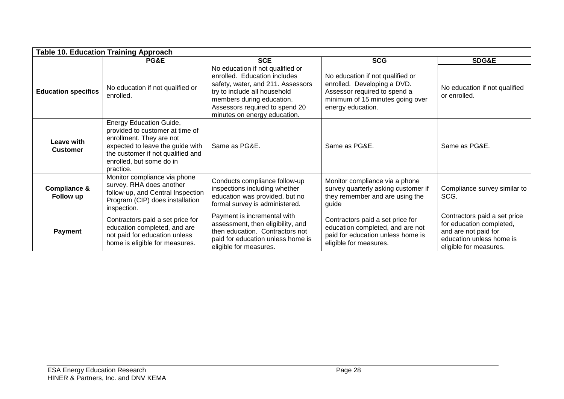| <b>Table 10. Education Training Approach</b> |                                                                                                                                                                                                                 |                                                                                                                                                                                                                                      |                                                                                                                                                          |                                                                                                                                        |  |  |
|----------------------------------------------|-----------------------------------------------------------------------------------------------------------------------------------------------------------------------------------------------------------------|--------------------------------------------------------------------------------------------------------------------------------------------------------------------------------------------------------------------------------------|----------------------------------------------------------------------------------------------------------------------------------------------------------|----------------------------------------------------------------------------------------------------------------------------------------|--|--|
|                                              | PG&E                                                                                                                                                                                                            | <b>SCE</b>                                                                                                                                                                                                                           | <b>SCG</b>                                                                                                                                               | <b>SDG&amp;E</b>                                                                                                                       |  |  |
| <b>Education specifics</b>                   | No education if not qualified or<br>enrolled.                                                                                                                                                                   | No education if not qualified or<br>enrolled. Education includes<br>safety, water, and 211. Assessors<br>try to include all household<br>members during education.<br>Assessors required to spend 20<br>minutes on energy education. | No education if not qualified or<br>enrolled. Developing a DVD.<br>Assessor required to spend a<br>minimum of 15 minutes going over<br>energy education. | No education if not qualified<br>or enrolled.                                                                                          |  |  |
| Leave with<br><b>Customer</b>                | <b>Energy Education Guide,</b><br>provided to customer at time of<br>enrollment. They are not<br>expected to leave the guide with<br>the customer if not qualified and<br>enrolled, but some do in<br>practice. | Same as PG&E.                                                                                                                                                                                                                        | Same as PG&E.                                                                                                                                            | Same as PG&E.                                                                                                                          |  |  |
| <b>Compliance &amp;</b><br>Follow up         | Monitor compliance via phone<br>survey. RHA does another<br>follow-up, and Central Inspection<br>Program (CIP) does installation<br>inspection.                                                                 | Conducts compliance follow-up<br>inspections including whether<br>education was provided, but no<br>formal survey is administered.                                                                                                   | Monitor compliance via a phone<br>survey quarterly asking customer if<br>they remember and are using the<br>guide                                        | Compliance survey similar to<br>SCG.                                                                                                   |  |  |
| <b>Payment</b>                               | Contractors paid a set price for<br>education completed, and are<br>not paid for education unless<br>home is eligible for measures.                                                                             | Payment is incremental with<br>assessment, then eligibility, and<br>then education. Contractors not<br>paid for education unless home is<br>eligible for measures.                                                                   | Contractors paid a set price for<br>education completed, and are not<br>paid for education unless home is<br>eligible for measures.                      | Contractors paid a set price<br>for education completed,<br>and are not paid for<br>education unless home is<br>eligible for measures. |  |  |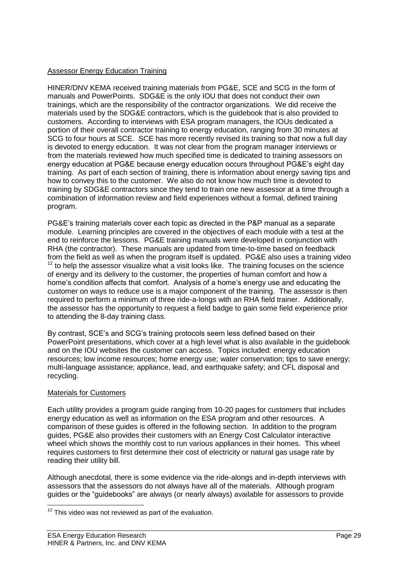## Assessor Energy Education Training

HINER/DNV KEMA received training materials from PG&E, SCE and SCG in the form of manuals and PowerPoints. SDG&E is the only IOU that does not conduct their own trainings, which are the responsibility of the contractor organizations. We did receive the materials used by the SDG&E contractors, which is the guidebook that is also provided to customers. According to interviews with ESA program managers, the IOUs dedicated a portion of their overall contractor training to energy education, ranging from 30 minutes at SCG to four hours at SCE. SCE has more recently revised its training so that now a full day is devoted to energy education. It was not clear from the program manager interviews or from the materials reviewed how much specified time is dedicated to training assessors on energy education at PG&E because energy education occurs throughout PG&E's eight day training. As part of each section of training, there is information about energy saving tips and how to convey this to the customer. We also do not know how much time is devoted to training by SDG&E contractors since they tend to train one new assessor at a time through a combination of information review and field experiences without a formal, defined training program.

PG&E's training materials cover each topic as directed in the P&P manual as a separate module. Learning principles are covered in the objectives of each module with a test at the end to reinforce the lessons. PG&E training manuals were developed in conjunction with RHA (the contractor). These manuals are updated from time-to-time based on feedback from the field as well as when the program itself is updated. PG&E also uses a training video  $12$  to help the assessor visualize what a visit looks like. The training focuses on the science of energy and its delivery to the customer, the properties of human comfort and how a home's condition affects that comfort. Analysis of a home's energy use and educating the customer on ways to reduce use is a major component of the training. The assessor is then required to perform a minimum of three ride-a-longs with an RHA field trainer. Additionally, the assessor has the opportunity to request a field badge to gain some field experience prior to attending the 8-day training class.

By contrast, SCE's and SCG's training protocols seem less defined based on their PowerPoint presentations, which cover at a high level what is also available in the guidebook and on the IOU websites the customer can access. Topics included: energy education resources; low income resources; home energy use; water conservation; tips to save energy; multi-language assistance; appliance, lead, and earthquake safety; and CFL disposal and recycling.

#### Materials for Customers

 $\overline{a}$ 

Each utility provides a program guide ranging from 10-20 pages for customers that includes energy education as well as information on the ESA program and other resources. A comparison of these guides is offered in the following section. In addition to the program guides, PG&E also provides their customers with an Energy Cost Calculator interactive wheel which shows the monthly cost to run various appliances in their homes. This wheel requires customers to first determine their cost of electricity or natural gas usage rate by reading their utility bill.

Although anecdotal, there is some evidence via the ride-alongs and in-depth interviews with assessors that the assessors do not always have all of the materials. Although program guides or the "guidebooks" are always (or nearly always) available for assessors to provide

 $12$  This video was not reviewed as part of the evaluation.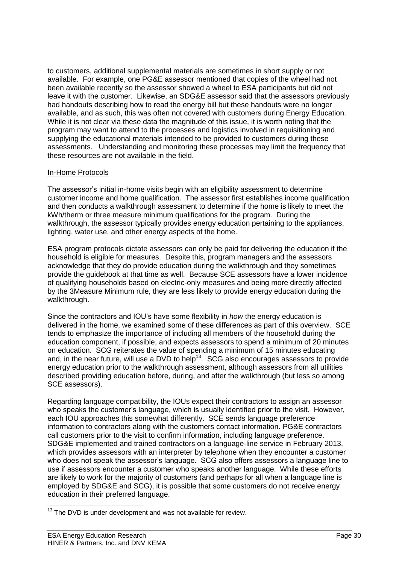to customers, additional supplemental materials are sometimes in short supply or not available. For example, one PG&E assessor mentioned that copies of the wheel had not been available recently so the assessor showed a wheel to ESA participants but did not leave it with the customer. Likewise, an SDG&E assessor said that the assessors previously had handouts describing how to read the energy bill but these handouts were no longer available, and as such, this was often not covered with customers during Energy Education. While it is not clear via these data the magnitude of this issue, it is worth noting that the program may want to attend to the processes and logistics involved in requisitioning and supplying the educational materials intended to be provided to customers during these assessments. Understanding and monitoring these processes may limit the frequency that these resources are not available in the field.

## In-Home Protocols

The assessor's initial in-home visits begin with an eligibility assessment to determine customer income and home qualification. The assessor first establishes income qualification and then conducts a walkthrough assessment to determine if the home is likely to meet the kWh/therm or three measure minimum qualifications for the program. During the walkthrough, the assessor typically provides energy education pertaining to the appliances, lighting, water use, and other energy aspects of the home.

ESA program protocols dictate assessors can only be paid for delivering the education if the household is eligible for measures. Despite this, program managers and the assessors acknowledge that they do provide education during the walkthrough and they sometimes provide the guidebook at that time as well. Because SCE assessors have a lower incidence of qualifying households based on electric-only measures and being more directly affected by the 3Measure Minimum rule, they are less likely to provide energy education during the walkthrough.

Since the contractors and IOU's have some flexibility in *how* the energy education is delivered in the home, we examined some of these differences as part of this overview. SCE tends to emphasize the importance of including all members of the household during the education component, if possible, and expects assessors to spend a minimum of 20 minutes on education. SCG reiterates the value of spending a minimum of 15 minutes educating and, in the near future, will use a DVD to help<sup>13</sup>. SCG also encourages assessors to provide energy education prior to the walkthrough assessment, although assessors from all utilities described providing education before, during, and after the walkthrough (but less so among SCE assessors).

Regarding language compatibility, the IOUs expect their contractors to assign an assessor who speaks the customer's language, which is usually identified prior to the visit. However, each IOU approaches this somewhat differently. SCE sends language preference information to contractors along with the customers contact information. PG&E contractors call customers prior to the visit to confirm information, including language preference. SDG&E implemented and trained contractors on a language-line service in February 2013, which provides assessors with an interpreter by telephone when they encounter a customer who does not speak the assessor's language. SCG also offers assessors a language line to use if assessors encounter a customer who speaks another language. While these efforts are likely to work for the majority of customers (and perhaps for all when a language line is employed by SDG&E and SCG), it is possible that some customers do not receive energy education in their preferred language.

 $\overline{a}$ 

 $13$  The DVD is under development and was not available for review.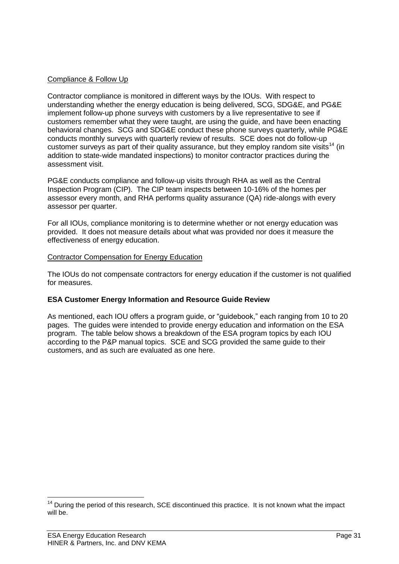## Compliance & Follow Up

Contractor compliance is monitored in different ways by the IOUs. With respect to understanding whether the energy education is being delivered, SCG, SDG&E, and PG&E implement follow-up phone surveys with customers by a live representative to see if customers remember what they were taught, are using the guide, and have been enacting behavioral changes. SCG and SDG&E conduct these phone surveys quarterly, while PG&E conducts monthly surveys with quarterly review of results. SCE does not do follow-up customer surveys as part of their quality assurance, but they employ random site visits<sup>14</sup> (in addition to state-wide mandated inspections) to monitor contractor practices during the assessment visit.

PG&E conducts compliance and follow-up visits through RHA as well as the Central Inspection Program (CIP). The CIP team inspects between 10-16% of the homes per assessor every month, and RHA performs quality assurance (QA) ride-alongs with every assessor per quarter.

For all IOUs, compliance monitoring is to determine whether or not energy education was provided. It does not measure details about what was provided nor does it measure the effectiveness of energy education.

#### Contractor Compensation for Energy Education

The IOUs do not compensate contractors for energy education if the customer is not qualified for measures.

## **ESA Customer Energy Information and Resource Guide Review**

As mentioned, each IOU offers a program guide, or "guidebook," each ranging from 10 to 20 pages. The guides were intended to provide energy education and information on the ESA program. The table below shows a breakdown of the ESA program topics by each IOU according to the P&P manual topics. SCE and SCG provided the same guide to their customers, and as such are evaluated as one here.

 $\overline{a}$ 

 $14$  During the period of this research, SCE discontinued this practice. It is not known what the impact will be.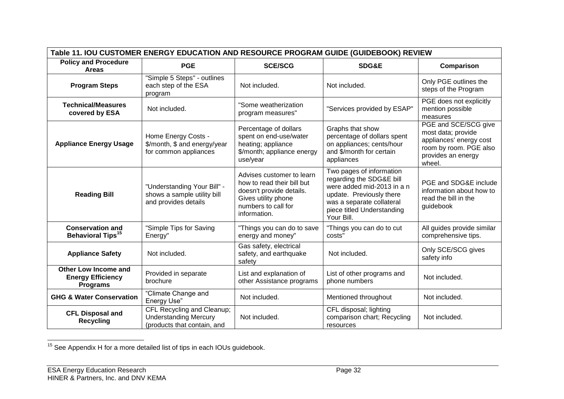| Table 11. IOU CUSTOMER ENERGY EDUCATION AND RESOURCE PROGRAM GUIDE (GUIDEBOOK) REVIEW |                                                                                           |                                                                                                                                                   |                                                                                                                                                                                         |                                                                                                                                 |  |  |  |
|---------------------------------------------------------------------------------------|-------------------------------------------------------------------------------------------|---------------------------------------------------------------------------------------------------------------------------------------------------|-----------------------------------------------------------------------------------------------------------------------------------------------------------------------------------------|---------------------------------------------------------------------------------------------------------------------------------|--|--|--|
| <b>Policy and Procedure</b><br><b>Areas</b>                                           | <b>PGE</b>                                                                                | <b>SCE/SCG</b>                                                                                                                                    | <b>SDG&amp;E</b>                                                                                                                                                                        | Comparison                                                                                                                      |  |  |  |
| <b>Program Steps</b>                                                                  | "Simple 5 Steps" - outlines<br>each step of the ESA<br>program                            | Not included.                                                                                                                                     | Not included.                                                                                                                                                                           | Only PGE outlines the<br>steps of the Program                                                                                   |  |  |  |
| <b>Technical/Measures</b><br>covered by ESA                                           | Not included.                                                                             | "Some weatherization<br>program measures"                                                                                                         | "Services provided by ESAP"                                                                                                                                                             | PGE does not explicitly<br>mention possible<br>measures                                                                         |  |  |  |
| <b>Appliance Energy Usage</b>                                                         | Home Energy Costs -<br>\$/month, \$ and energy/year<br>for common appliances              | Percentage of dollars<br>spent on end-use/water<br>heating; appliance<br>\$/month; appliance energy<br>use/year                                   | Graphs that show<br>percentage of dollars spent<br>on appliances; cents/hour<br>and \$/month for certain<br>appliances                                                                  | PGE and SCE/SCG give<br>most data; provide<br>appliances' energy cost<br>room by room. PGE also<br>provides an energy<br>wheel. |  |  |  |
| <b>Reading Bill</b>                                                                   | "Understanding Your Bill" -<br>shows a sample utility bill<br>and provides details        | Advises customer to learn<br>how to read their bill but<br>doesn't provide details.<br>Gives utility phone<br>numbers to call for<br>information. | Two pages of information<br>regarding the SDG&E bill<br>were added mid-2013 in a n<br>update. Previously there<br>was a separate collateral<br>piece titled Understanding<br>Your Bill. | PGE and SDG&E include<br>information about how to<br>read the bill in the<br>guidebook                                          |  |  |  |
| <b>Conservation and</b><br><b>Behavioral Tips<sup>15</sup></b>                        | "Simple Tips for Saving<br>Energy"                                                        | "Things you can do to save<br>energy and money"                                                                                                   | "Things you can do to cut<br>costs"                                                                                                                                                     | All guides provide similar<br>comprehensive tips.                                                                               |  |  |  |
| <b>Appliance Safety</b>                                                               | Not included.                                                                             | Gas safety, electrical<br>safety, and earthquake<br>safety                                                                                        | Not included.                                                                                                                                                                           | Only SCE/SCG gives<br>safety info                                                                                               |  |  |  |
| Other Low Income and<br><b>Energy Efficiency</b><br><b>Programs</b>                   | Provided in separate<br>brochure                                                          | List and explanation of<br>other Assistance programs                                                                                              | List of other programs and<br>phone numbers                                                                                                                                             | Not included.                                                                                                                   |  |  |  |
| <b>GHG &amp; Water Conservation</b>                                                   | "Climate Change and<br>Energy Use"                                                        | Not included.                                                                                                                                     | Mentioned throughout                                                                                                                                                                    | Not included.                                                                                                                   |  |  |  |
| <b>CFL Disposal and</b><br><b>Recycling</b>                                           | CFL Recycling and Cleanup;<br><b>Understanding Mercury</b><br>(products that contain, and | Not included.                                                                                                                                     | CFL disposal; lighting<br>comparison chart; Recycling<br>resources                                                                                                                      | Not included.                                                                                                                   |  |  |  |

 $15$  See Appendix H for a more detailed list of tips in each IOUs guidebook.

l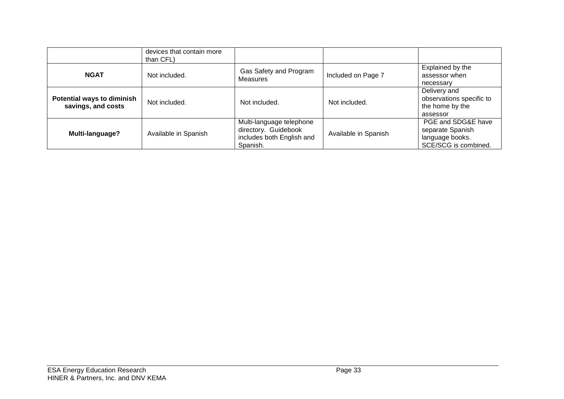|                                                         | devices that contain more<br>than CFL) |                                                                                           |                      |                                                                                   |
|---------------------------------------------------------|----------------------------------------|-------------------------------------------------------------------------------------------|----------------------|-----------------------------------------------------------------------------------|
| <b>NGAT</b>                                             | Not included.                          | Gas Safety and Program<br><b>Measures</b>                                                 | Included on Page 7   | Explained by the<br>assessor when<br>necessary                                    |
| <b>Potential ways to diminish</b><br>savings, and costs | Not included.                          | Not included.                                                                             | Not included.        | Delivery and<br>observations specific to<br>the home by the<br>assessor           |
| Multi-language?                                         | Available in Spanish                   | Multi-language telephone<br>directory. Guidebook<br>includes both English and<br>Spanish. | Available in Spanish | PGE and SDG&E have<br>separate Spanish<br>language books.<br>SCE/SCG is combined. |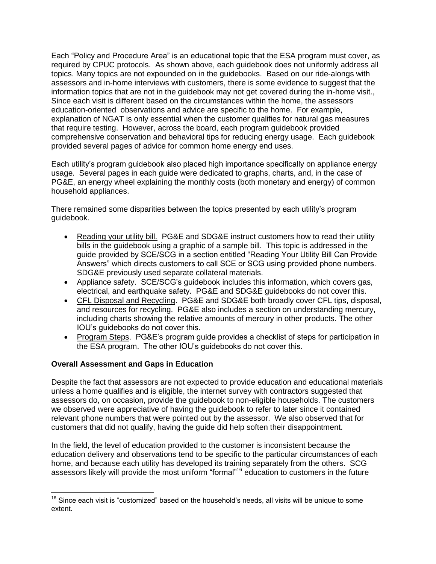Each "Policy and Procedure Area" is an educational topic that the ESA program must cover, as required by CPUC protocols. As shown above, each guidebook does not uniformly address all topics. Many topics are not expounded on in the guidebooks. Based on our ride-alongs with assessors and in-home interviews with customers, there is some evidence to suggest that the information topics that are not in the guidebook may not get covered during the in-home visit., Since each visit is different based on the circumstances within the home, the assessors education-oriented observations and advice are specific to the home. For example, explanation of NGAT is only essential when the customer qualifies for natural gas measures that require testing. However, across the board, each program guidebook provided comprehensive conservation and behavioral tips for reducing energy usage. Each guidebook provided several pages of advice for common home energy end uses.

Each utility's program guidebook also placed high importance specifically on appliance energy usage. Several pages in each guide were dedicated to graphs, charts, and, in the case of PG&E, an energy wheel explaining the monthly costs (both monetary and energy) of common household appliances.

There remained some disparities between the topics presented by each utility's program guidebook.

- Reading your utility bill. PG&E and SDG&E instruct customers how to read their utility bills in the guidebook using a graphic of a sample bill. This topic is addressed in the guide provided by SCE/SCG in a section entitled "Reading Your Utility Bill Can Provide Answers" which directs customers to call SCE or SCG using provided phone numbers. SDG&E previously used separate collateral materials.
- Appliance safety. SCE/SCG's guidebook includes this information, which covers gas, electrical, and earthquake safety. PG&E and SDG&E guidebooks do not cover this.
- CFL Disposal and Recycling. PG&E and SDG&E both broadly cover CFL tips, disposal, and resources for recycling. PG&E also includes a section on understanding mercury, including charts showing the relative amounts of mercury in other products. The other IOU's guidebooks do not cover this.
- Program Steps. PG&E's program guide provides a checklist of steps for participation in the ESA program. The other IOU's guidebooks do not cover this.

#### **Overall Assessment and Gaps in Education**

Despite the fact that assessors are not expected to provide education and educational materials unless a home qualifies and is eligible, the internet survey with contractors suggested that assessors do, on occasion, provide the guidebook to non-eligible households. The customers we observed were appreciative of having the guidebook to refer to later since it contained relevant phone numbers that were pointed out by the assessor. We also observed that for customers that did not qualify, having the guide did help soften their disappointment.

In the field, the level of education provided to the customer is inconsistent because the education delivery and observations tend to be specific to the particular circumstances of each home, and because each utility has developed its training separately from the others. SCG assessors likely will provide the most uniform "formal"<sup>16</sup> education to customers in the future

 $\overline{a}$  $16$  Since each visit is "customized" based on the household's needs, all visits will be unique to some extent.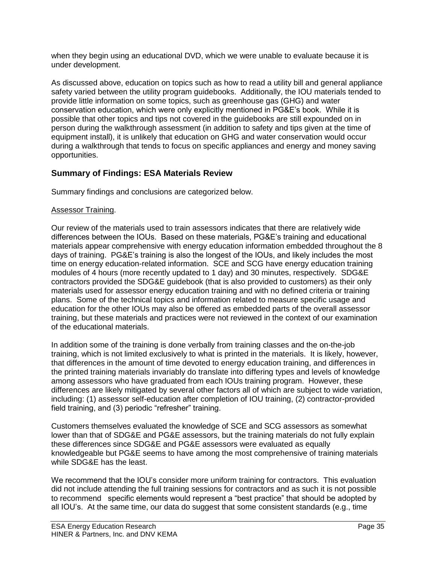when they begin using an educational DVD, which we were unable to evaluate because it is under development.

As discussed above, education on topics such as how to read a utility bill and general appliance safety varied between the utility program guidebooks. Additionally, the IOU materials tended to provide little information on some topics, such as greenhouse gas (GHG) and water conservation education, which were only explicitly mentioned in PG&E's book. While it is possible that other topics and tips not covered in the guidebooks are still expounded on in person during the walkthrough assessment (in addition to safety and tips given at the time of equipment install), it is unlikely that education on GHG and water conservation would occur during a walkthrough that tends to focus on specific appliances and energy and money saving opportunities.

## **Summary of Findings: ESA Materials Review**

Summary findings and conclusions are categorized below.

#### Assessor Training.

Our review of the materials used to train assessors indicates that there are relatively wide differences between the IOUs. Based on these materials, PG&E's training and educational materials appear comprehensive with energy education information embedded throughout the 8 days of training. PG&E's training is also the longest of the IOUs, and likely includes the most time on energy education-related information. SCE and SCG have energy education training modules of 4 hours (more recently updated to 1 day) and 30 minutes, respectively. SDG&E contractors provided the SDG&E guidebook (that is also provided to customers) as their only materials used for assessor energy education training and with no defined criteria or training plans. Some of the technical topics and information related to measure specific usage and education for the other IOUs may also be offered as embedded parts of the overall assessor training, but these materials and practices were not reviewed in the context of our examination of the educational materials.

In addition some of the training is done verbally from training classes and the on-the-job training, which is not limited exclusively to what is printed in the materials. It is likely, however, that differences in the amount of time devoted to energy education training, and differences in the printed training materials invariably do translate into differing types and levels of knowledge among assessors who have graduated from each IOUs training program. However, these differences are likely mitigated by several other factors all of which are subject to wide variation, including: (1) assessor self-education after completion of IOU training, (2) contractor-provided field training, and (3) periodic "refresher" training.

Customers themselves evaluated the knowledge of SCE and SCG assessors as somewhat lower than that of SDG&E and PG&E assessors, but the training materials do not fully explain these differences since SDG&E and PG&E assessors were evaluated as equally knowledgeable but PG&E seems to have among the most comprehensive of training materials while SDG&E has the least.

We recommend that the IOU's consider more uniform training for contractors. This evaluation did not include attending the full training sessions for contractors and as such it is not possible to recommend specific elements would represent a "best practice" that should be adopted by all IOU's. At the same time, our data do suggest that some consistent standards (e.g., time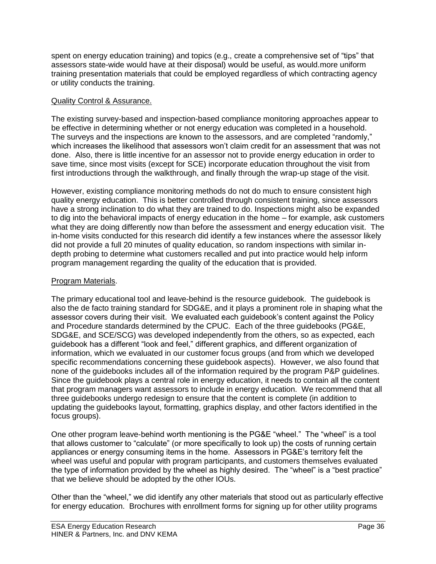spent on energy education training) and topics (e.g., create a comprehensive set of "tips" that assessors state-wide would have at their disposal) would be useful, as would.more uniform training presentation materials that could be employed regardless of which contracting agency or utility conducts the training.

#### Quality Control & Assurance.

The existing survey-based and inspection-based compliance monitoring approaches appear to be effective in determining whether or not energy education was completed in a household. The surveys and the inspections are known to the assessors, and are completed "randomly," which increases the likelihood that assessors won't claim credit for an assessment that was not done. Also, there is little incentive for an assessor not to provide energy education in order to save time, since most visits (except for SCE) incorporate education throughout the visit from first introductions through the walkthrough, and finally through the wrap-up stage of the visit.

However, existing compliance monitoring methods do not do much to ensure consistent high quality energy education. This is better controlled through consistent training, since assessors have a strong inclination to do what they are trained to do. Inspections might also be expanded to dig into the behavioral impacts of energy education in the home – for example, ask customers what they are doing differently now than before the assessment and energy education visit. The in-home visits conducted for this research did identify a few instances where the assessor likely did not provide a full 20 minutes of quality education, so random inspections with similar indepth probing to determine what customers recalled and put into practice would help inform program management regarding the quality of the education that is provided.

#### Program Materials.

The primary educational tool and leave-behind is the resource guidebook. The guidebook is also the de facto training standard for SDG&E, and it plays a prominent role in shaping what the assessor covers during their visit. We evaluated each guidebook's content against the Policy and Procedure standards determined by the CPUC. Each of the three guidebooks (PG&E, SDG&E, and SCE/SCG) was developed independently from the others, so as expected, each guidebook has a different "look and feel," different graphics, and different organization of information, which we evaluated in our customer focus groups (and from which we developed specific recommendations concerning these guidebook aspects). However, we also found that none of the guidebooks includes all of the information required by the program P&P guidelines. Since the guidebook plays a central role in energy education, it needs to contain all the content that program managers want assessors to include in energy education. We recommend that all three guidebooks undergo redesign to ensure that the content is complete (in addition to updating the guidebooks layout, formatting, graphics display, and other factors identified in the focus groups).

One other program leave-behind worth mentioning is the PG&E "wheel." The "wheel" is a tool that allows customer to "calculate" (or more specifically to look up) the costs of running certain appliances or energy consuming items in the home. Assessors in PG&E's territory felt the wheel was useful and popular with program participants, and customers themselves evaluated the type of information provided by the wheel as highly desired. The "wheel" is a "best practice" that we believe should be adopted by the other IOUs.

Other than the "wheel," we did identify any other materials that stood out as particularly effective for energy education. Brochures with enrollment forms for signing up for other utility programs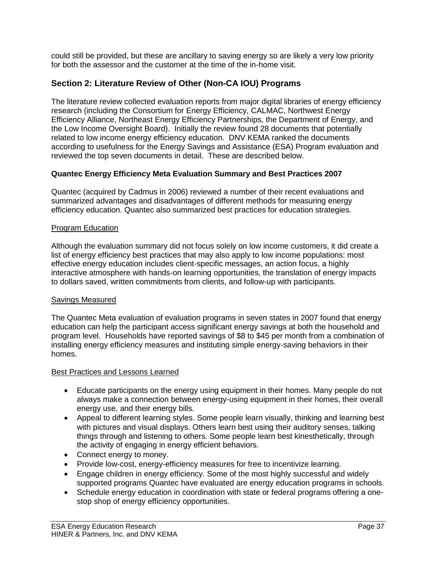could still be provided, but these are ancillary to saving energy so are likely a very low priority for both the assessor and the customer at the time of the in-home visit.

# **Section 2: Literature Review of Other (Non-CA IOU) Programs**

The literature review collected evaluation reports from major digital libraries of energy efficiency research (including the Consortium for Energy Efficiency, CALMAC, Northwest Energy Efficiency Alliance, Northeast Energy Efficiency Partnerships, the Department of Energy, and the Low Income Oversight Board). Initially the review found 28 documents that potentially related to low income energy efficiency education. DNV KEMA ranked the documents according to usefulness for the Energy Savings and Assistance (ESA) Program evaluation and reviewed the top seven documents in detail. These are described below.

# **Quantec Energy Efficiency Meta Evaluation Summary and Best Practices 2007**

Quantec (acquired by Cadmus in 2006) reviewed a number of their recent evaluations and summarized advantages and disadvantages of different methods for measuring energy efficiency education. Quantec also summarized best practices for education strategies.

# Program Education

Although the evaluation summary did not focus solely on low income customers, it did create a list of energy efficiency best practices that may also apply to low income populations: most effective energy education includes client-specific messages, an action focus, a highly interactive atmosphere with hands-on learning opportunities, the translation of energy impacts to dollars saved, written commitments from clients, and follow-up with participants.

#### Savings Measured

The Quantec Meta evaluation of evaluation programs in seven states in 2007 found that energy education can help the participant access significant energy savings at both the household and program level. Households have reported savings of \$8 to \$45 per month from a combination of installing energy efficiency measures and instituting simple energy-saving behaviors in their homes.

#### Best Practices and Lessons Learned

- Educate participants on the energy using equipment in their homes. Many people do not always make a connection between energy-using equipment in their homes, their overall energy use, and their energy bills.
- Appeal to different learning styles. Some people learn visually, thinking and learning best with pictures and visual displays. Others learn best using their auditory senses, talking things through and listening to others. Some people learn best kinesthetically, through the activity of engaging in energy efficient behaviors.
- Connect energy to money.
- Provide low-cost, energy-efficiency measures for free to incentivize learning.
- Engage children in energy efficiency. Some of the most highly successful and widely supported programs Quantec have evaluated are energy education programs in schools.
- Schedule energy education in coordination with state or federal programs offering a onestop shop of energy efficiency opportunities.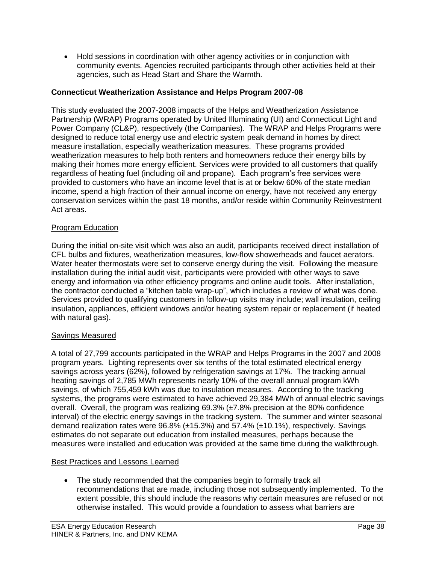Hold sessions in coordination with other agency activities or in conjunction with community events. Agencies recruited participants through other activities held at their agencies, such as Head Start and Share the Warmth.

# **Connecticut Weatherization Assistance and Helps Program 2007-08**

This study evaluated the 2007-2008 impacts of the Helps and Weatherization Assistance Partnership (WRAP) Programs operated by United Illuminating (UI) and Connecticut Light and Power Company (CL&P), respectively (the Companies). The WRAP and Helps Programs were designed to reduce total energy use and electric system peak demand in homes by direct measure installation, especially weatherization measures. These programs provided weatherization measures to help both renters and homeowners reduce their energy bills by making their homes more energy efficient. Services were provided to all customers that qualify regardless of heating fuel (including oil and propane). Each program's free services were provided to customers who have an income level that is at or below 60% of the state median income, spend a high fraction of their annual income on energy, have not received any energy conservation services within the past 18 months, and/or reside within Community Reinvestment Act areas.

# Program Education

During the initial on-site visit which was also an audit, participants received direct installation of CFL bulbs and fixtures, weatherization measures, low-flow showerheads and faucet aerators. Water heater thermostats were set to conserve energy during the visit. Following the measure installation during the initial audit visit, participants were provided with other ways to save energy and information via other efficiency programs and online audit tools. After installation, the contractor conducted a "kitchen table wrap-up", which includes a review of what was done. Services provided to qualifying customers in follow-up visits may include; wall insulation, ceiling insulation, appliances, efficient windows and/or heating system repair or replacement (if heated with natural gas).

# Savings Measured

A total of 27,799 accounts participated in the WRAP and Helps Programs in the 2007 and 2008 program years. Lighting represents over six tenths of the total estimated electrical energy savings across years (62%), followed by refrigeration savings at 17%. The tracking annual heating savings of 2,785 MWh represents nearly 10% of the overall annual program kWh savings, of which 755,459 kWh was due to insulation measures. According to the tracking systems, the programs were estimated to have achieved 29,384 MWh of annual electric savings overall. Overall, the program was realizing 69.3% (±7.8% precision at the 80% confidence interval) of the electric energy savings in the tracking system. The summer and winter seasonal demand realization rates were  $96.8\%$  ( $\pm 15.3\%$ ) and 57.4% ( $\pm 10.1\%$ ), respectively. Savings estimates do not separate out education from installed measures, perhaps because the measures were installed and education was provided at the same time during the walkthrough.

# Best Practices and Lessons Learned

 The study recommended that the companies begin to formally track all recommendations that are made, including those not subsequently implemented. To the extent possible, this should include the reasons why certain measures are refused or not otherwise installed. This would provide a foundation to assess what barriers are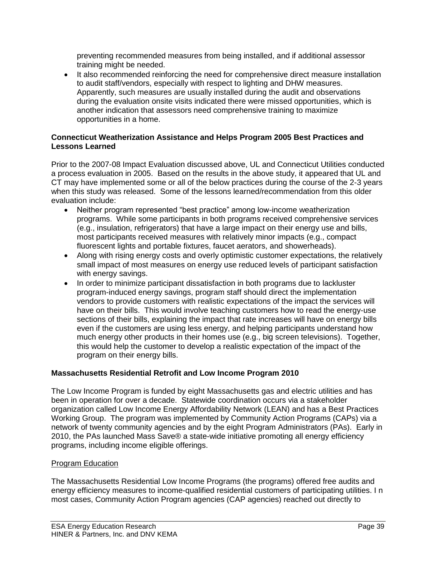preventing recommended measures from being installed, and if additional assessor training might be needed.

• It also recommended reinforcing the need for comprehensive direct measure installation to audit staff/vendors, especially with respect to lighting and DHW measures. Apparently, such measures are usually installed during the audit and observations during the evaluation onsite visits indicated there were missed opportunities, which is another indication that assessors need comprehensive training to maximize opportunities in a home.

# **Connecticut Weatherization Assistance and Helps Program 2005 Best Practices and Lessons Learned**

Prior to the 2007-08 Impact Evaluation discussed above, UL and Connecticut Utilities conducted a process evaluation in 2005. Based on the results in the above study, it appeared that UL and CT may have implemented some or all of the below practices during the course of the 2-3 years when this study was released. Some of the lessons learned/recommendation from this older evaluation include:

- Neither program represented "best practice" among low-income weatherization programs. While some participants in both programs received comprehensive services (e.g., insulation, refrigerators) that have a large impact on their energy use and bills, most participants received measures with relatively minor impacts (e.g., compact fluorescent lights and portable fixtures, faucet aerators, and showerheads).
- Along with rising energy costs and overly optimistic customer expectations, the relatively small impact of most measures on energy use reduced levels of participant satisfaction with energy savings.
- In order to minimize participant dissatisfaction in both programs due to lackluster program-induced energy savings, program staff should direct the implementation vendors to provide customers with realistic expectations of the impact the services will have on their bills. This would involve teaching customers how to read the energy-use sections of their bills, explaining the impact that rate increases will have on energy bills even if the customers are using less energy, and helping participants understand how much energy other products in their homes use (e.g., big screen televisions). Together, this would help the customer to develop a realistic expectation of the impact of the program on their energy bills.

# **Massachusetts Residential Retrofit and Low Income Program 2010**

The Low Income Program is funded by eight Massachusetts gas and electric utilities and has been in operation for over a decade. Statewide coordination occurs via a stakeholder organization called Low Income Energy Affordability Network (LEAN) and has a Best Practices Working Group. The program was implemented by Community Action Programs (CAPs) via a network of twenty community agencies and by the eight Program Administrators (PAs). Early in 2010, the PAs launched Mass Save® a state-wide initiative promoting all energy efficiency programs, including income eligible offerings.

# Program Education

The Massachusetts Residential Low Income Programs (the programs) offered free audits and energy efficiency measures to income-qualified residential customers of participating utilities. I n most cases, Community Action Program agencies (CAP agencies) reached out directly to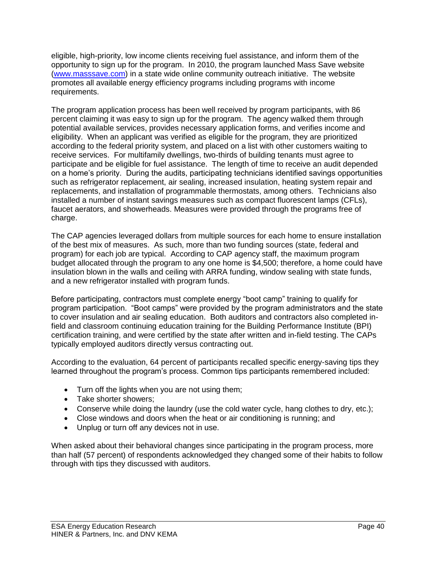eligible, high-priority, low income clients receiving fuel assistance, and inform them of the opportunity to sign up for the program. In 2010, the program launched Mass Save website [\(www.masssave.com\)](http://www.masssave.com/) in a state wide online community outreach initiative. The website promotes all available energy efficiency programs including programs with income requirements.

The program application process has been well received by program participants, with 86 percent claiming it was easy to sign up for the program. The agency walked them through potential available services, provides necessary application forms, and verifies income and eligibility. When an applicant was verified as eligible for the program, they are prioritized according to the federal priority system, and placed on a list with other customers waiting to receive services. For multifamily dwellings, two-thirds of building tenants must agree to participate and be eligible for fuel assistance. The length of time to receive an audit depended on a home's priority. During the audits, participating technicians identified savings opportunities such as refrigerator replacement, air sealing, increased insulation, heating system repair and replacements, and installation of programmable thermostats, among others. Technicians also installed a number of instant savings measures such as compact fluorescent lamps (CFLs), faucet aerators, and showerheads. Measures were provided through the programs free of charge.

The CAP agencies leveraged dollars from multiple sources for each home to ensure installation of the best mix of measures. As such, more than two funding sources (state, federal and program) for each job are typical. According to CAP agency staff, the maximum program budget allocated through the program to any one home is \$4,500; therefore, a home could have insulation blown in the walls and ceiling with ARRA funding, window sealing with state funds, and a new refrigerator installed with program funds.

Before participating, contractors must complete energy "boot camp" training to qualify for program participation. "Boot camps" were provided by the program administrators and the state to cover insulation and air sealing education. Both auditors and contractors also completed infield and classroom continuing education training for the Building Performance Institute (BPI) certification training, and were certified by the state after written and in-field testing. The CAPs typically employed auditors directly versus contracting out.

According to the evaluation, 64 percent of participants recalled specific energy-saving tips they learned throughout the program's process. Common tips participants remembered included:

- Turn off the lights when you are not using them;
- Take shorter showers;
- Conserve while doing the laundry (use the cold water cycle, hang clothes to dry, etc.);
- Close windows and doors when the heat or air conditioning is running; and
- Unplug or turn off any devices not in use.

When asked about their behavioral changes since participating in the program process, more than half (57 percent) of respondents acknowledged they changed some of their habits to follow through with tips they discussed with auditors.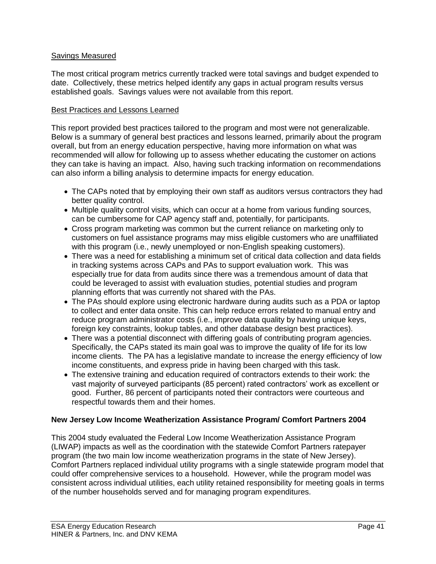# Savings Measured

The most critical program metrics currently tracked were total savings and budget expended to date. Collectively, these metrics helped identify any gaps in actual program results versus established goals. Savings values were not available from this report.

### Best Practices and Lessons Learned

This report provided best practices tailored to the program and most were not generalizable. Below is a summary of general best practices and lessons learned, primarily about the program overall, but from an energy education perspective, having more information on what was recommended will allow for following up to assess whether educating the customer on actions they can take is having an impact. Also, having such tracking information on recommendations can also inform a billing analysis to determine impacts for energy education.

- The CAPs noted that by employing their own staff as auditors versus contractors they had better quality control.
- Multiple quality control visits, which can occur at a home from various funding sources, can be cumbersome for CAP agency staff and, potentially, for participants.
- Cross program marketing was common but the current reliance on marketing only to customers on fuel assistance programs may miss eligible customers who are unaffiliated with this program (i.e., newly unemployed or non-English speaking customers).
- There was a need for establishing a minimum set of critical data collection and data fields in tracking systems across CAPs and PAs to support evaluation work. This was especially true for data from audits since there was a tremendous amount of data that could be leveraged to assist with evaluation studies, potential studies and program planning efforts that was currently not shared with the PAs.
- The PAs should explore using electronic hardware during audits such as a PDA or laptop to collect and enter data onsite. This can help reduce errors related to manual entry and reduce program administrator costs (i.e., improve data quality by having unique keys, foreign key constraints, lookup tables, and other database design best practices).
- There was a potential disconnect with differing goals of contributing program agencies. Specifically, the CAPs stated its main goal was to improve the quality of life for its low income clients. The PA has a legislative mandate to increase the energy efficiency of low income constituents, and express pride in having been charged with this task.
- The extensive training and education required of contractors extends to their work: the vast majority of surveyed participants (85 percent) rated contractors' work as excellent or good. Further, 86 percent of participants noted their contractors were courteous and respectful towards them and their homes.

# **New Jersey Low Income Weatherization Assistance Program/ Comfort Partners 2004**

This 2004 study evaluated the Federal Low Income Weatherization Assistance Program (LIWAP) impacts as well as the coordination with the statewide Comfort Partners ratepayer program (the two main low income weatherization programs in the state of New Jersey). Comfort Partners replaced individual utility programs with a single statewide program model that could offer comprehensive services to a household. However, while the program model was consistent across individual utilities, each utility retained responsibility for meeting goals in terms of the number households served and for managing program expenditures.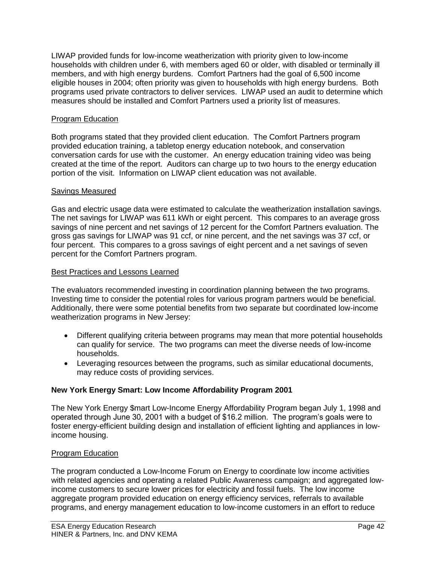LIWAP provided funds for low-income weatherization with priority given to low-income households with children under 6, with members aged 60 or older, with disabled or terminally ill members, and with high energy burdens. Comfort Partners had the goal of 6,500 income eligible houses in 2004; often priority was given to households with high energy burdens. Both programs used private contractors to deliver services. LIWAP used an audit to determine which measures should be installed and Comfort Partners used a priority list of measures.

# Program Education

Both programs stated that they provided client education. The Comfort Partners program provided education training, a tabletop energy education notebook, and conservation conversation cards for use with the customer. An energy education training video was being created at the time of the report. Auditors can charge up to two hours to the energy education portion of the visit. Information on LIWAP client education was not available.

# Savings Measured

Gas and electric usage data were estimated to calculate the weatherization installation savings. The net savings for LIWAP was 611 kWh or eight percent. This compares to an average gross savings of nine percent and net savings of 12 percent for the Comfort Partners evaluation. The gross gas savings for LIWAP was 91 ccf, or nine percent, and the net savings was 37 ccf, or four percent. This compares to a gross savings of eight percent and a net savings of seven percent for the Comfort Partners program.

# Best Practices and Lessons Learned

The evaluators recommended investing in coordination planning between the two programs. Investing time to consider the potential roles for various program partners would be beneficial. Additionally, there were some potential benefits from two separate but coordinated low-income weatherization programs in New Jersey:

- Different qualifying criteria between programs may mean that more potential households can qualify for service. The two programs can meet the diverse needs of low-income households.
- Leveraging resources between the programs, such as similar educational documents, may reduce costs of providing services.

# **New York Energy Smart: Low Income Affordability Program 2001**

The New York Energy \$mart Low-Income Energy Affordability Program began July 1, 1998 and operated through June 30, 2001 with a budget of \$16.2 million. The program's goals were to foster energy-efficient building design and installation of efficient lighting and appliances in lowincome housing.

# Program Education

The program conducted a Low-Income Forum on Energy to coordinate low income activities with related agencies and operating a related Public Awareness campaign; and aggregated lowincome customers to secure lower prices for electricity and fossil fuels. The low income aggregate program provided education on energy efficiency services, referrals to available programs, and energy management education to low-income customers in an effort to reduce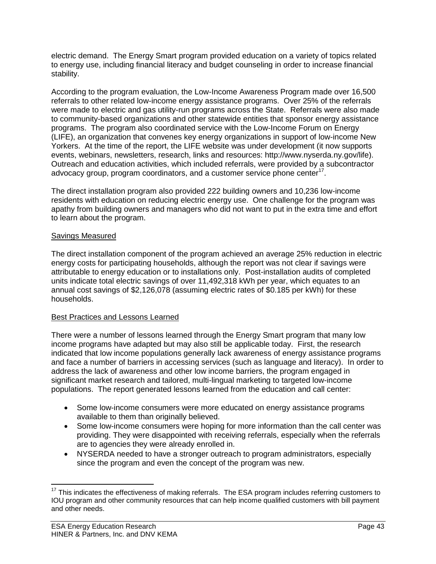electric demand. The Energy Smart program provided education on a variety of topics related to energy use, including financial literacy and budget counseling in order to increase financial stability.

According to the program evaluation, the Low-Income Awareness Program made over 16,500 referrals to other related low-income energy assistance programs. Over 25% of the referrals were made to electric and gas utility-run programs across the State. Referrals were also made to community-based organizations and other statewide entities that sponsor energy assistance programs. The program also coordinated service with the Low-Income Forum on Energy (LIFE), an organization that convenes key energy organizations in support of low-income New Yorkers. At the time of the report, the LIFE website was under development (it now supports events, webinars, newsletters, research, links and resources: http://www.nyserda.ny.gov/life). Outreach and education activities, which included referrals, were provided by a subcontractor advocacy group, program coordinators, and a customer service phone center $17$ .

The direct installation program also provided 222 building owners and 10,236 low-income residents with education on reducing electric energy use. One challenge for the program was apathy from building owners and managers who did not want to put in the extra time and effort to learn about the program.

# Savings Measured

The direct installation component of the program achieved an average 25% reduction in electric energy costs for participating households, although the report was not clear if savings were attributable to energy education or to installations only. Post-installation audits of completed units indicate total electric savings of over 11,492,318 kWh per year, which equates to an annual cost savings of \$2,126,078 (assuming electric rates of \$0.185 per kWh) for these households.

# Best Practices and Lessons Learned

There were a number of lessons learned through the Energy Smart program that many low income programs have adapted but may also still be applicable today. First, the research indicated that low income populations generally lack awareness of energy assistance programs and face a number of barriers in accessing services (such as language and literacy). In order to address the lack of awareness and other low income barriers, the program engaged in significant market research and tailored, multi-lingual marketing to targeted low-income populations. The report generated lessons learned from the education and call center:

- Some low-income consumers were more educated on energy assistance programs available to them than originally believed.
- Some low-income consumers were hoping for more information than the call center was providing. They were disappointed with receiving referrals, especially when the referrals are to agencies they were already enrolled in.
- NYSERDA needed to have a stronger outreach to program administrators, especially since the program and even the concept of the program was new.

 $\overline{a}$ 

<sup>&</sup>lt;sup>17</sup> This indicates the effectiveness of making referrals. The ESA program includes referring customers to IOU program and other community resources that can help income qualified customers with bill payment and other needs.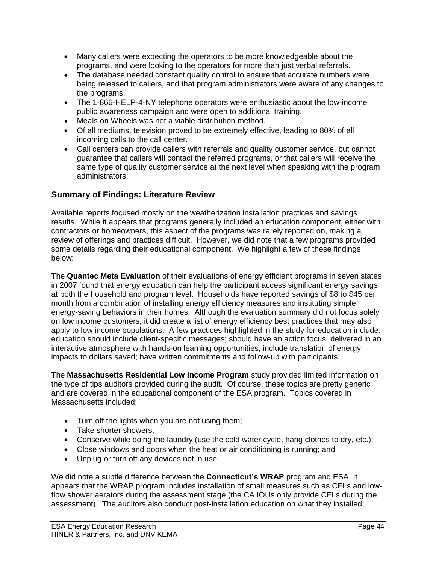- Many callers were expecting the operators to be more knowledgeable about the programs, and were looking to the operators for more than just verbal referrals.
- The database needed constant quality control to ensure that accurate numbers were being released to callers, and that program administrators were aware of any changes to the programs.
- The 1-866-HELP-4-NY telephone operators were enthusiastic about the low-income public awareness campaign and were open to additional training.
- Meals on Wheels was not a viable distribution method.
- Of all mediums, television proved to be extremely effective, leading to 80% of all incoming calls to the call center.
- Call centers can provide callers with referrals and quality customer service, but cannot guarantee that callers will contact the referred programs, or that callers will receive the same type of quality customer service at the next level when speaking with the program administrators.

# **Summary of Findings: Literature Review**

Available reports focused mostly on the weatherization installation practices and savings results. While it appears that programs generally included an education component, either with contractors or homeowners, this aspect of the programs was rarely reported on, making a review of offerings and practices difficult. However, we did note that a few programs provided some details regarding their educational component. We highlight a few of these findings below:

The **Quantec Meta Evaluation** of their evaluations of energy efficient programs in seven states in 2007 found that energy education can help the participant access significant energy savings at both the household and program level. Households have reported savings of \$8 to \$45 per month from a combination of installing energy efficiency measures and instituting simple energy-saving behaviors in their homes. Although the evaluation summary did not focus solely on low income customers, it did create a list of energy efficiency best practices that may also apply to low income populations. A few practices highlighted in the study for education include: education should include client-specific messages; should have an action focus; delivered in an interactive atmosphere with hands-on learning opportunities; include translation of energy impacts to dollars saved; have written commitments and follow-up with participants.

The **Massachusetts Residential Low Income Program** study provided limited information on the type of tips auditors provided during the audit. Of course, these topics are pretty generic and are covered in the educational component of the ESA program. Topics covered in Massachusetts included:

- Turn off the lights when you are not using them;
- Take shorter showers;
- Conserve while doing the laundry (use the cold water cycle, hang clothes to dry, etc.);
- Close windows and doors when the heat or air conditioning is running; and
- Unplug or turn off any devices not in use.

We did note a subtle difference between the **Connecticut's WRAP** program and ESA. It appears that the WRAP program includes installation of small measures such as CFLs and lowflow shower aerators during the assessment stage (the CA IOUs only provide CFLs during the assessment). The auditors also conduct post-installation education on what they installed,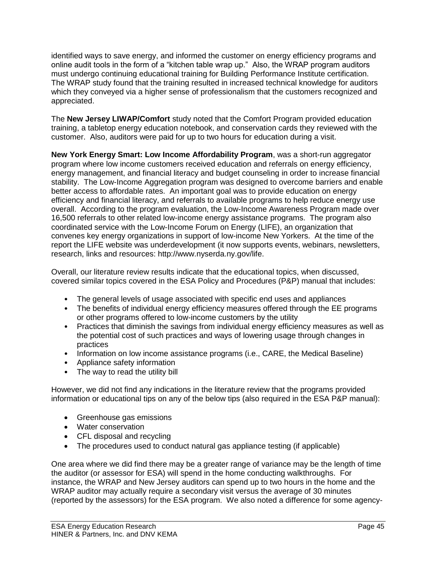identified ways to save energy, and informed the customer on energy efficiency programs and online audit tools in the form of a "kitchen table wrap up." Also, the WRAP program auditors must undergo continuing educational training for Building Performance Institute certification. The WRAP study found that the training resulted in increased technical knowledge for auditors which they conveyed via a higher sense of professionalism that the customers recognized and appreciated.

The **New Jersey LIWAP/Comfort** study noted that the Comfort Program provided education training, a tabletop energy education notebook, and conservation cards they reviewed with the customer. Also, auditors were paid for up to two hours for education during a visit.

**New York Energy Smart: Low Income Affordability Program**, was a short-run aggregator program where low income customers received education and referrals on energy efficiency, energy management, and financial literacy and budget counseling in order to increase financial stability. The Low-Income Aggregation program was designed to overcome barriers and enable better access to affordable rates. An important goal was to provide education on energy efficiency and financial literacy, and referrals to available programs to help reduce energy use overall. According to the program evaluation, the Low-Income Awareness Program made over 16,500 referrals to other related low-income energy assistance programs. The program also coordinated service with the Low-Income Forum on Energy (LIFE), an organization that convenes key energy organizations in support of low-income New Yorkers. At the time of the report the LIFE website was underdevelopment (it now supports events, webinars, newsletters, research, links and resources: http://www.nyserda.ny.gov/life.

Overall, our literature review results indicate that the educational topics, when discussed, covered similar topics covered in the ESA Policy and Procedures (P&P) manual that includes:

- The general levels of usage associated with specific end uses and appliances
- The benefits of individual energy efficiency measures offered through the EE programs or other programs offered to low-income customers by the utility
- Practices that diminish the savings from individual energy efficiency measures as well as the potential cost of such practices and ways of lowering usage through changes in practices
- Information on low income assistance programs (i.e., CARE, the Medical Baseline)
- Appliance safety information
- The way to read the utility bill

However, we did not find any indications in the literature review that the programs provided information or educational tips on any of the below tips (also required in the ESA P&P manual):

- Greenhouse gas emissions
- Water conservation
- CFL disposal and recycling
- The procedures used to conduct natural gas appliance testing (if applicable)

One area where we did find there may be a greater range of variance may be the length of time the auditor (or assessor for ESA) will spend in the home conducting walkthroughs. For instance, the WRAP and New Jersey auditors can spend up to two hours in the home and the WRAP auditor may actually require a secondary visit versus the average of 30 minutes (reported by the assessors) for the ESA program. We also noted a difference for some agency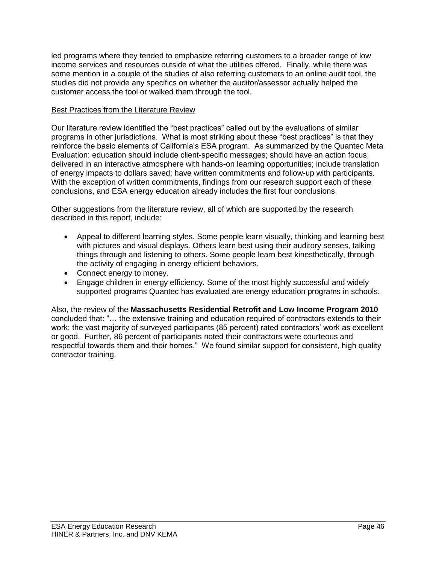led programs where they tended to emphasize referring customers to a broader range of low income services and resources outside of what the utilities offered. Finally, while there was some mention in a couple of the studies of also referring customers to an online audit tool, the studies did not provide any specifics on whether the auditor/assessor actually helped the customer access the tool or walked them through the tool.

# Best Practices from the Literature Review

Our literature review identified the "best practices" called out by the evaluations of similar programs in other jurisdictions. What is most striking about these "best practices" is that they reinforce the basic elements of California's ESA program. As summarized by the Quantec Meta Evaluation: education should include client-specific messages; should have an action focus; delivered in an interactive atmosphere with hands-on learning opportunities; include translation of energy impacts to dollars saved; have written commitments and follow-up with participants. With the exception of written commitments, findings from our research support each of these conclusions, and ESA energy education already includes the first four conclusions.

Other suggestions from the literature review, all of which are supported by the research described in this report, include:

- Appeal to different learning styles. Some people learn visually, thinking and learning best with pictures and visual displays. Others learn best using their auditory senses, talking things through and listening to others. Some people learn best kinesthetically, through the activity of engaging in energy efficient behaviors.
- Connect energy to money.
- Engage children in energy efficiency. Some of the most highly successful and widely supported programs Quantec has evaluated are energy education programs in schools.

Also, the review of the **Massachusetts Residential Retrofit and Low Income Program 2010** concluded that: "… the extensive training and education required of contractors extends to their work: the vast majority of surveyed participants (85 percent) rated contractors' work as excellent or good. Further, 86 percent of participants noted their contractors were courteous and respectful towards them and their homes." We found similar support for consistent, high quality contractor training.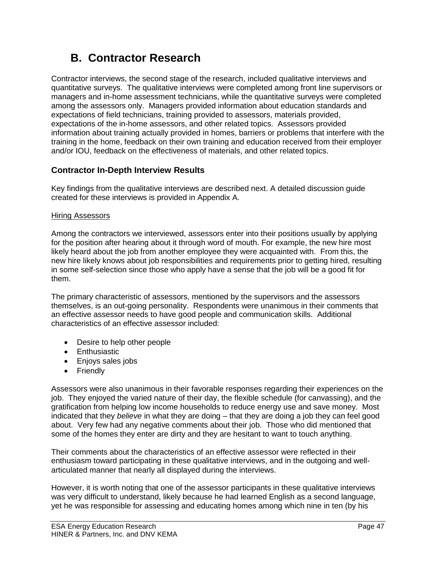# **B. Contractor Research**

Contractor interviews, the second stage of the research, included qualitative interviews and quantitative surveys. The qualitative interviews were completed among front line supervisors or managers and in-home assessment technicians, while the quantitative surveys were completed among the assessors only. Managers provided information about education standards and expectations of field technicians, training provided to assessors, materials provided, expectations of the in-home assessors, and other related topics. Assessors provided information about training actually provided in homes, barriers or problems that interfere with the training in the home, feedback on their own training and education received from their employer and/or IOU, feedback on the effectiveness of materials, and other related topics.

# **Contractor In-Depth Interview Results**

Key findings from the qualitative interviews are described next. A detailed discussion guide created for these interviews is provided in Appendix A.

# Hiring Assessors

Among the contractors we interviewed, assessors enter into their positions usually by applying for the position after hearing about it through word of mouth. For example, the new hire most likely heard about the job from another employee they were acquainted with. From this, the new hire likely knows about job responsibilities and requirements prior to getting hired, resulting in some self-selection since those who apply have a sense that the job will be a good fit for them.

The primary characteristic of assessors, mentioned by the supervisors and the assessors themselves, is an out-going personality. Respondents were unanimous in their comments that an effective assessor needs to have good people and communication skills. Additional characteristics of an effective assessor included:

- Desire to help other people
- Enthusiastic
- Enjoys sales jobs
- Friendly

Assessors were also unanimous in their favorable responses regarding their experiences on the job. They enjoyed the varied nature of their day, the flexible schedule (for canvassing), and the gratification from helping low income households to reduce energy use and save money. Most indicated that they *believe* in what they are doing – that they are doing a job they can feel good about. Very few had any negative comments about their job. Those who did mentioned that some of the homes they enter are dirty and they are hesitant to want to touch anything.

Their comments about the characteristics of an effective assessor were reflected in their enthusiasm toward participating in these qualitative interviews, and in the outgoing and wellarticulated manner that nearly all displayed during the interviews.

However, it is worth noting that one of the assessor participants in these qualitative interviews was very difficult to understand, likely because he had learned English as a second language, yet he was responsible for assessing and educating homes among which nine in ten (by his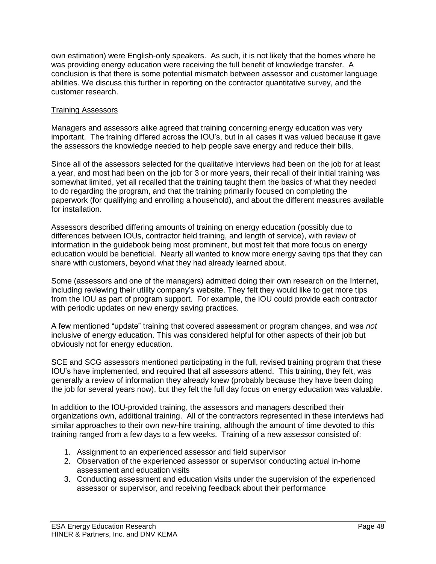own estimation) were English-only speakers. As such, it is not likely that the homes where he was providing energy education were receiving the full benefit of knowledge transfer. A conclusion is that there is some potential mismatch between assessor and customer language abilities. We discuss this further in reporting on the contractor quantitative survey, and the customer research.

# Training Assessors

Managers and assessors alike agreed that training concerning energy education was very important. The training differed across the IOU's, but in all cases it was valued because it gave the assessors the knowledge needed to help people save energy and reduce their bills.

Since all of the assessors selected for the qualitative interviews had been on the job for at least a year, and most had been on the job for 3 or more years, their recall of their initial training was somewhat limited, yet all recalled that the training taught them the basics of what they needed to do regarding the program, and that the training primarily focused on completing the paperwork (for qualifying and enrolling a household), and about the different measures available for installation.

Assessors described differing amounts of training on energy education (possibly due to differences between IOUs, contractor field training, and length of service), with review of information in the guidebook being most prominent, but most felt that more focus on energy education would be beneficial. Nearly all wanted to know more energy saving tips that they can share with customers, beyond what they had already learned about.

Some (assessors and one of the managers) admitted doing their own research on the Internet, including reviewing their utility company's website. They felt they would like to get more tips from the IOU as part of program support. For example, the IOU could provide each contractor with periodic updates on new energy saving practices.

A few mentioned "update" training that covered assessment or program changes, and was *not* inclusive of energy education. This was considered helpful for other aspects of their job but obviously not for energy education.

SCE and SCG assessors mentioned participating in the full, revised training program that these IOU's have implemented, and required that all assessors attend. This training, they felt, was generally a review of information they already knew (probably because they have been doing the job for several years now), but they felt the full day focus on energy education was valuable.

In addition to the IOU-provided training, the assessors and managers described their organizations own, additional training. All of the contractors represented in these interviews had similar approaches to their own new-hire training, although the amount of time devoted to this training ranged from a few days to a few weeks. Training of a new assessor consisted of:

- 1. Assignment to an experienced assessor and field supervisor
- 2. Observation of the experienced assessor or supervisor conducting actual in-home assessment and education visits
- 3. Conducting assessment and education visits under the supervision of the experienced assessor or supervisor, and receiving feedback about their performance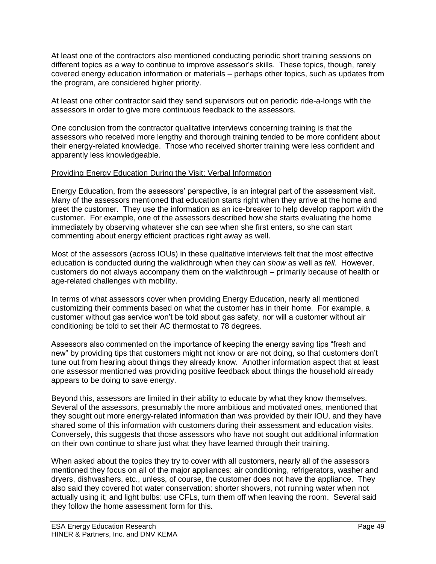At least one of the contractors also mentioned conducting periodic short training sessions on different topics as a way to continue to improve assessor's skills. These topics, though, rarely covered energy education information or materials – perhaps other topics, such as updates from the program, are considered higher priority.

At least one other contractor said they send supervisors out on periodic ride-a-longs with the assessors in order to give more continuous feedback to the assessors.

One conclusion from the contractor qualitative interviews concerning training is that the assessors who received more lengthy and thorough training tended to be more confident about their energy-related knowledge. Those who received shorter training were less confident and apparently less knowledgeable.

# Providing Energy Education During the Visit: Verbal Information

Energy Education, from the assessors' perspective, is an integral part of the assessment visit. Many of the assessors mentioned that education starts right when they arrive at the home and greet the customer. They use the information as an ice-breaker to help develop rapport with the customer. For example, one of the assessors described how she starts evaluating the home immediately by observing whatever she can see when she first enters, so she can start commenting about energy efficient practices right away as well.

Most of the assessors (across IOUs) in these qualitative interviews felt that the most effective education is conducted during the walkthrough when they can *show* as well as *tell*. However, customers do not always accompany them on the walkthrough – primarily because of health or age-related challenges with mobility.

In terms of what assessors cover when providing Energy Education, nearly all mentioned customizing their comments based on what the customer has in their home. For example, a customer without gas service won't be told about gas safety, nor will a customer without air conditioning be told to set their AC thermostat to 78 degrees.

Assessors also commented on the importance of keeping the energy saving tips "fresh and new" by providing tips that customers might not know or are not doing, so that customers don't tune out from hearing about things they already know. Another information aspect that at least one assessor mentioned was providing positive feedback about things the household already appears to be doing to save energy.

Beyond this, assessors are limited in their ability to educate by what they know themselves. Several of the assessors, presumably the more ambitious and motivated ones, mentioned that they sought out more energy-related information than was provided by their IOU, and they have shared some of this information with customers during their assessment and education visits. Conversely, this suggests that those assessors who have not sought out additional information on their own continue to share just what they have learned through their training.

When asked about the topics they try to cover with all customers, nearly all of the assessors mentioned they focus on all of the major appliances: air conditioning, refrigerators, washer and dryers, dishwashers, etc., unless, of course, the customer does not have the appliance. They also said they covered hot water conservation: shorter showers, not running water when not actually using it; and light bulbs: use CFLs, turn them off when leaving the room. Several said they follow the home assessment form for this.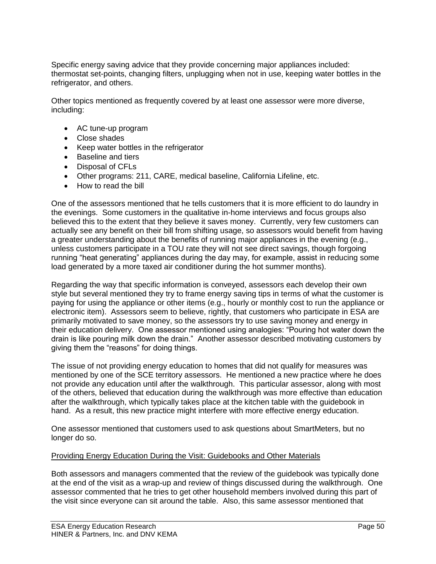Specific energy saving advice that they provide concerning major appliances included: thermostat set-points, changing filters, unplugging when not in use, keeping water bottles in the refrigerator, and others.

Other topics mentioned as frequently covered by at least one assessor were more diverse, including:

- AC tune-up program
- Close shades
- Keep water bottles in the refrigerator
- Baseline and tiers
- Disposal of CFLs
- Other programs: 211, CARE, medical baseline, California Lifeline, etc.
- How to read the bill

One of the assessors mentioned that he tells customers that it is more efficient to do laundry in the evenings. Some customers in the qualitative in-home interviews and focus groups also believed this to the extent that they believe it saves money. Currently, very few customers can actually see any benefit on their bill from shifting usage, so assessors would benefit from having a greater understanding about the benefits of running major appliances in the evening (e.g., unless customers participate in a TOU rate they will not see direct savings, though forgoing running "heat generating" appliances during the day may, for example, assist in reducing some load generated by a more taxed air conditioner during the hot summer months).

Regarding the way that specific information is conveyed, assessors each develop their own style but several mentioned they try to frame energy saving tips in terms of what the customer is paying for using the appliance or other items (e.g., hourly or monthly cost to run the appliance or electronic item). Assessors seem to believe, rightly, that customers who participate in ESA are primarily motivated to save money, so the assessors try to use saving money and energy in their education delivery. One assessor mentioned using analogies: "Pouring hot water down the drain is like pouring milk down the drain." Another assessor described motivating customers by giving them the "reasons" for doing things.

The issue of not providing energy education to homes that did not qualify for measures was mentioned by one of the SCE territory assessors. He mentioned a new practice where he does not provide any education until after the walkthrough. This particular assessor, along with most of the others, believed that education during the walkthrough was more effective than education after the walkthrough, which typically takes place at the kitchen table with the guidebook in hand. As a result, this new practice might interfere with more effective energy education.

One assessor mentioned that customers used to ask questions about SmartMeters, but no longer do so.

# Providing Energy Education During the Visit: Guidebooks and Other Materials

Both assessors and managers commented that the review of the guidebook was typically done at the end of the visit as a wrap-up and review of things discussed during the walkthrough. One assessor commented that he tries to get other household members involved during this part of the visit since everyone can sit around the table. Also, this same assessor mentioned that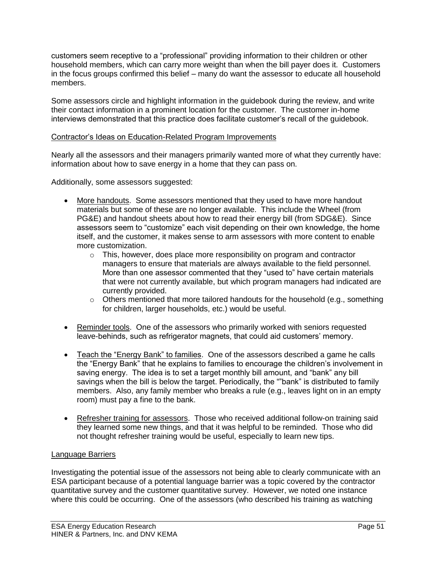customers seem receptive to a "professional" providing information to their children or other household members, which can carry more weight than when the bill payer does it. Customers in the focus groups confirmed this belief – many do want the assessor to educate all household members.

Some assessors circle and highlight information in the guidebook during the review, and write their contact information in a prominent location for the customer. The customer in-home interviews demonstrated that this practice does facilitate customer's recall of the guidebook.

# Contractor's Ideas on Education-Related Program Improvements

Nearly all the assessors and their managers primarily wanted more of what they currently have: information about how to save energy in a home that they can pass on.

Additionally, some assessors suggested:

- More handouts. Some assessors mentioned that they used to have more handout materials but some of these are no longer available. This include the Wheel (from PG&E) and handout sheets about how to read their energy bill (from SDG&E). Since assessors seem to "customize" each visit depending on their own knowledge, the home itself, and the customer, it makes sense to arm assessors with more content to enable more customization.
	- $\circ$  This, however, does place more responsibility on program and contractor managers to ensure that materials are always available to the field personnel. More than one assessor commented that they "used to" have certain materials that were not currently available, but which program managers had indicated are currently provided.
	- $\circ$  Others mentioned that more tailored handouts for the household (e.g., something for children, larger households, etc.) would be useful.
- Reminder tools. One of the assessors who primarily worked with seniors requested leave-behinds, such as refrigerator magnets, that could aid customers' memory.
- Teach the "Energy Bank" to families. One of the assessors described a game he calls the "Energy Bank" that he explains to families to encourage the children's involvement in saving energy. The idea is to set a target monthly bill amount, and "bank" any bill savings when the bill is below the target. Periodically, the ""bank" is distributed to family members. Also, any family member who breaks a rule (e.g., leaves light on in an empty room) must pay a fine to the bank.
- Refresher training for assessors. Those who received additional follow-on training said they learned some new things, and that it was helpful to be reminded. Those who did not thought refresher training would be useful, especially to learn new tips.

# Language Barriers

Investigating the potential issue of the assessors not being able to clearly communicate with an ESA participant because of a potential language barrier was a topic covered by the contractor quantitative survey and the customer quantitative survey. However, we noted one instance where this could be occurring. One of the assessors (who described his training as watching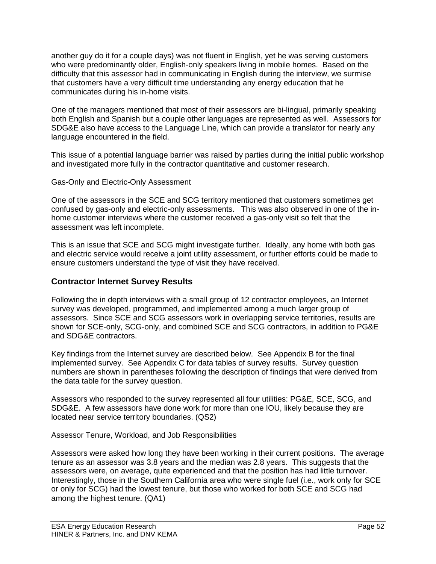another guy do it for a couple days) was not fluent in English, yet he was serving customers who were predominantly older, English-only speakers living in mobile homes. Based on the difficulty that this assessor had in communicating in English during the interview, we surmise that customers have a very difficult time understanding any energy education that he communicates during his in-home visits.

One of the managers mentioned that most of their assessors are bi-lingual, primarily speaking both English and Spanish but a couple other languages are represented as well. Assessors for SDG&E also have access to the Language Line, which can provide a translator for nearly any language encountered in the field.

This issue of a potential language barrier was raised by parties during the initial public workshop and investigated more fully in the contractor quantitative and customer research.

# Gas-Only and Electric-Only Assessment

One of the assessors in the SCE and SCG territory mentioned that customers sometimes get confused by gas-only and electric-only assessments. This was also observed in one of the inhome customer interviews where the customer received a gas-only visit so felt that the assessment was left incomplete.

This is an issue that SCE and SCG might investigate further. Ideally, any home with both gas and electric service would receive a joint utility assessment, or further efforts could be made to ensure customers understand the type of visit they have received.

# **Contractor Internet Survey Results**

Following the in depth interviews with a small group of 12 contractor employees, an Internet survey was developed, programmed, and implemented among a much larger group of assessors. Since SCE and SCG assessors work in overlapping service territories, results are shown for SCE-only, SCG-only, and combined SCE and SCG contractors, in addition to PG&E and SDG&E contractors.

Key findings from the Internet survey are described below. See Appendix B for the final implemented survey. See Appendix C for data tables of survey results. Survey question numbers are shown in parentheses following the description of findings that were derived from the data table for the survey question.

Assessors who responded to the survey represented all four utilities: PG&E, SCE, SCG, and SDG&E. A few assessors have done work for more than one IOU, likely because they are located near service territory boundaries. (QS2)

#### Assessor Tenure, Workload, and Job Responsibilities

Assessors were asked how long they have been working in their current positions. The average tenure as an assessor was 3.8 years and the median was 2.8 years. This suggests that the assessors were, on average, quite experienced and that the position has had little turnover. Interestingly, those in the Southern California area who were single fuel (i.e., work only for SCE or only for SCG) had the lowest tenure, but those who worked for both SCE and SCG had among the highest tenure. (QA1)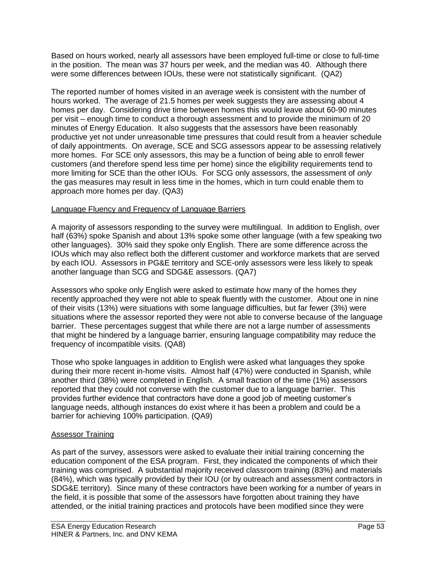Based on hours worked, nearly all assessors have been employed full-time or close to full-time in the position. The mean was 37 hours per week, and the median was 40. Although there were some differences between IOUs, these were not statistically significant. (QA2)

The reported number of homes visited in an average week is consistent with the number of hours worked. The average of 21.5 homes per week suggests they are assessing about 4 homes per day. Considering drive time between homes this would leave about 60-90 minutes per visit – enough time to conduct a thorough assessment and to provide the minimum of 20 minutes of Energy Education. It also suggests that the assessors have been reasonably productive yet not under unreasonable time pressures that could result from a heavier schedule of daily appointments. On average, SCE and SCG assessors appear to be assessing relatively more homes. For SCE only assessors, this may be a function of being able to enroll fewer customers (and therefore spend less time per home) since the eligibility requirements tend to more limiting for SCE than the other IOUs. For SCG only assessors, the assessment of *only* the gas measures may result in less time in the homes, which in turn could enable them to approach more homes per day. (QA3)

# Language Fluency and Frequency of Language Barriers

A majority of assessors responding to the survey were multilingual. In addition to English, over half (63%) spoke Spanish and about 13% spoke some other language (with a few speaking two other languages). 30% said they spoke only English. There are some difference across the IOUs which may also reflect both the different customer and workforce markets that are served by each IOU. Assessors in PG&E territory and SCE-only assessors were less likely to speak another language than SCG and SDG&E assessors. (QA7)

Assessors who spoke only English were asked to estimate how many of the homes they recently approached they were not able to speak fluently with the customer. About one in nine of their visits (13%) were situations with some language difficulties, but far fewer (3%) were situations where the assessor reported they were not able to converse because of the language barrier. These percentages suggest that while there are not a large number of assessments that might be hindered by a language barrier, ensuring language compatibility may reduce the frequency of incompatible visits. (QA8)

Those who spoke languages in addition to English were asked what languages they spoke during their more recent in-home visits. Almost half (47%) were conducted in Spanish, while another third (38%) were completed in English. A small fraction of the time (1%) assessors reported that they could not converse with the customer due to a language barrier. This provides further evidence that contractors have done a good job of meeting customer's language needs, although instances do exist where it has been a problem and could be a barrier for achieving 100% participation. (QA9)

# Assessor Training

As part of the survey, assessors were asked to evaluate their initial training concerning the education component of the ESA program. First, they indicated the components of which their training was comprised. A substantial majority received classroom training (83%) and materials (84%), which was typically provided by their IOU (or by outreach and assessment contractors in SDG&E territory). Since many of these contractors have been working for a number of years in the field, it is possible that some of the assessors have forgotten about training they have attended, or the initial training practices and protocols have been modified since they were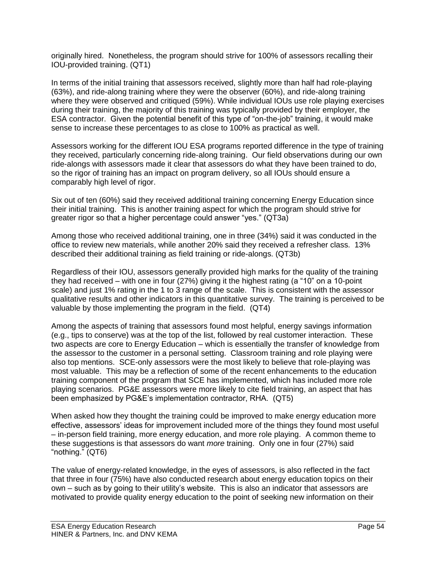originally hired. Nonetheless, the program should strive for 100% of assessors recalling their IOU-provided training. (QT1)

In terms of the initial training that assessors received, slightly more than half had role-playing (63%), and ride-along training where they were the observer (60%), and ride-along training where they were observed and critiqued (59%). While individual IOUs use role playing exercises during their training, the majority of this training was typically provided by their employer, the ESA contractor. Given the potential benefit of this type of "on-the-job" training, it would make sense to increase these percentages to as close to 100% as practical as well.

Assessors working for the different IOU ESA programs reported difference in the type of training they received, particularly concerning ride-along training. Our field observations during our own ride-alongs with assessors made it clear that assessors do what they have been trained to do, so the rigor of training has an impact on program delivery, so all IOUs should ensure a comparably high level of rigor.

Six out of ten (60%) said they received additional training concerning Energy Education since their initial training. This is another training aspect for which the program should strive for greater rigor so that a higher percentage could answer "yes." (QT3a)

Among those who received additional training, one in three (34%) said it was conducted in the office to review new materials, while another 20% said they received a refresher class. 13% described their additional training as field training or ride-alongs. (QT3b)

Regardless of their IOU, assessors generally provided high marks for the quality of the training they had received – with one in four (27%) giving it the highest rating (a "10" on a 10-point scale) and just 1% rating in the 1 to 3 range of the scale. This is consistent with the assessor qualitative results and other indicators in this quantitative survey. The training is perceived to be valuable by those implementing the program in the field. (QT4)

Among the aspects of training that assessors found most helpful, energy savings information (e.g., tips to conserve) was at the top of the list, followed by real customer interaction. These two aspects are core to Energy Education – which is essentially the transfer of knowledge from the assessor to the customer in a personal setting. Classroom training and role playing were also top mentions. SCE-only assessors were the most likely to believe that role-playing was most valuable. This may be a reflection of some of the recent enhancements to the education training component of the program that SCE has implemented, which has included more role playing scenarios. PG&E assessors were more likely to cite field training, an aspect that has been emphasized by PG&E's implementation contractor, RHA. (QT5)

When asked how they thought the training could be improved to make energy education more effective, assessors' ideas for improvement included more of the things they found most useful – in-person field training, more energy education, and more role playing. A common theme to these suggestions is that assessors do want *more* training. Only one in four (27%) said "nothing." (QT6)

The value of energy-related knowledge, in the eyes of assessors, is also reflected in the fact that three in four (75%) have also conducted research about energy education topics on their own – such as by going to their utility's website. This is also an indicator that assessors are motivated to provide quality energy education to the point of seeking new information on their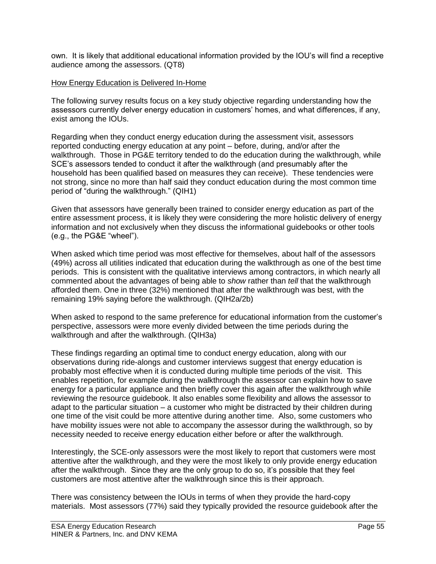own. It is likely that additional educational information provided by the IOU's will find a receptive audience among the assessors. (QT8)

# How Energy Education is Delivered In-Home

The following survey results focus on a key study objective regarding understanding how the assessors currently delver energy education in customers' homes, and what differences, if any, exist among the IOUs.

Regarding when they conduct energy education during the assessment visit, assessors reported conducting energy education at any point – before, during, and/or after the walkthrough. Those in PG&E territory tended to do the education during the walkthrough, while SCE's assessors tended to conduct it after the walkthrough (and presumably after the household has been qualified based on measures they can receive). These tendencies were not strong, since no more than half said they conduct education during the most common time period of "during the walkthrough." (QIH1)

Given that assessors have generally been trained to consider energy education as part of the entire assessment process, it is likely they were considering the more holistic delivery of energy information and not exclusively when they discuss the informational guidebooks or other tools (e.g., the PG&E "wheel").

When asked which time period was most effective for themselves, about half of the assessors (49%) across all utilities indicated that education during the walkthrough as one of the best time periods. This is consistent with the qualitative interviews among contractors, in which nearly all commented about the advantages of being able to *show* rather than *tell* that the walkthrough afforded them. One in three (32%) mentioned that after the walkthrough was best, with the remaining 19% saying before the walkthrough. (QIH2a/2b)

When asked to respond to the same preference for educational information from the customer's perspective, assessors were more evenly divided between the time periods during the walkthrough and after the walkthrough. (QIH3a)

These findings regarding an optimal time to conduct energy education, along with our observations during ride-alongs and customer interviews suggest that energy education is probably most effective when it is conducted during multiple time periods of the visit. This enables repetition, for example during the walkthrough the assessor can explain how to save energy for a particular appliance and then briefly cover this again after the walkthrough while reviewing the resource guidebook. It also enables some flexibility and allows the assessor to adapt to the particular situation – a customer who might be distracted by their children during one time of the visit could be more attentive during another time. Also, some customers who have mobility issues were not able to accompany the assessor during the walkthrough, so by necessity needed to receive energy education either before or after the walkthrough.

Interestingly, the SCE-only assessors were the most likely to report that customers were most attentive after the walkthrough, and they were the most likely to only provide energy education after the walkthrough. Since they are the only group to do so, it's possible that they feel customers are most attentive after the walkthrough since this is their approach.

There was consistency between the IOUs in terms of when they provide the hard-copy materials. Most assessors (77%) said they typically provided the resource guidebook after the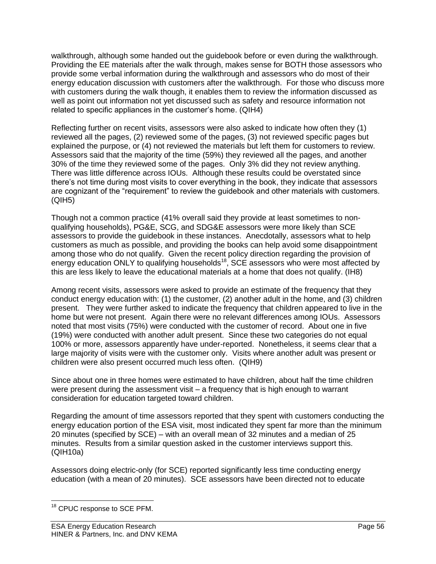walkthrough, although some handed out the guidebook before or even during the walkthrough. Providing the EE materials after the walk through, makes sense for BOTH those assessors who provide some verbal information during the walkthrough and assessors who do most of their energy education discussion with customers after the walkthrough. For those who discuss more with customers during the walk though, it enables them to review the information discussed as well as point out information not yet discussed such as safety and resource information not related to specific appliances in the customer's home. (QIH4)

Reflecting further on recent visits, assessors were also asked to indicate how often they (1) reviewed all the pages, (2) reviewed some of the pages, (3) not reviewed specific pages but explained the purpose, or (4) not reviewed the materials but left them for customers to review. Assessors said that the majority of the time (59%) they reviewed all the pages, and another 30% of the time they reviewed some of the pages. Only 3% did they not review anything. There was little difference across IOUs. Although these results could be overstated since there's not time during most visits to cover everything in the book, they indicate that assessors are cognizant of the "requirement" to review the guidebook and other materials with customers. (QIH5)

Though not a common practice (41% overall said they provide at least sometimes to nonqualifying households), PG&E, SCG, and SDG&E assessors were more likely than SCE assessors to provide the guidebook in these instances. Anecdotally, assessors what to help customers as much as possible, and providing the books can help avoid some disappointment among those who do not qualify. Given the recent policy direction regarding the provision of energy education ONLY to qualifying households<sup>18</sup>, SCE assessors who were most affected by this are less likely to leave the educational materials at a home that does not qualify. (IH8)

Among recent visits, assessors were asked to provide an estimate of the frequency that they conduct energy education with: (1) the customer, (2) another adult in the home, and (3) children present. They were further asked to indicate the frequency that children appeared to live in the home but were not present. Again there were no relevant differences among IOUs. Assessors noted that most visits (75%) were conducted with the customer of record. About one in five (19%) were conducted with another adult present. Since these two categories do not equal 100% or more, assessors apparently have under-reported. Nonetheless, it seems clear that a large majority of visits were with the customer only. Visits where another adult was present or children were also present occurred much less often. (QIH9)

Since about one in three homes were estimated to have children, about half the time children were present during the assessment visit – a frequency that is high enough to warrant consideration for education targeted toward children.

Regarding the amount of time assessors reported that they spent with customers conducting the energy education portion of the ESA visit, most indicated they spent far more than the minimum 20 minutes (specified by SCE) – with an overall mean of 32 minutes and a median of 25 minutes. Results from a similar question asked in the customer interviews support this. (QIH10a)

Assessors doing electric-only (for SCE) reported significantly less time conducting energy education (with a mean of 20 minutes). SCE assessors have been directed not to educate

 $\overline{a}$ <sup>18</sup> CPUC response to SCE PFM.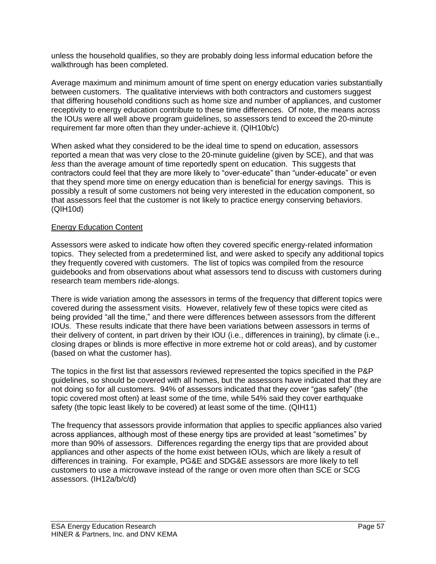unless the household qualifies, so they are probably doing less informal education before the walkthrough has been completed.

Average maximum and minimum amount of time spent on energy education varies substantially between customers. The qualitative interviews with both contractors and customers suggest that differing household conditions such as home size and number of appliances, and customer receptivity to energy education contribute to these time differences. Of note, the means across the IOUs were all well above program guidelines, so assessors tend to exceed the 20-minute requirement far more often than they under-achieve it. (QIH10b/c)

When asked what they considered to be the ideal time to spend on education, assessors reported a mean that was very close to the 20-minute guideline (given by SCE), and that was *less* than the average amount of time reportedly spent on education. This suggests that contractors could feel that they are more likely to "over-educate" than "under-educate" or even that they spend more time on energy education than is beneficial for energy savings. This is possibly a result of some customers not being very interested in the education component, so that assessors feel that the customer is not likely to practice energy conserving behaviors. (QIH10d)

# Energy Education Content

Assessors were asked to indicate how often they covered specific energy-related information topics. They selected from a predetermined list, and were asked to specify any additional topics they frequently covered with customers. The list of topics was compiled from the resource guidebooks and from observations about what assessors tend to discuss with customers during research team members ride-alongs.

There is wide variation among the assessors in terms of the frequency that different topics were covered during the assessment visits. However, relatively few of these topics were cited as being provided "all the time," and there were differences between assessors from the different IOUs. These results indicate that there have been variations between assessors in terms of their delivery of content, in part driven by their IOU (i.e., differences in training), by climate (i.e., closing drapes or blinds is more effective in more extreme hot or cold areas), and by customer (based on what the customer has).

The topics in the first list that assessors reviewed represented the topics specified in the P&P guidelines, so should be covered with all homes, but the assessors have indicated that they are not doing so for all customers. 94% of assessors indicated that they cover "gas safety" (the topic covered most often) at least some of the time, while 54% said they cover earthquake safety (the topic least likely to be covered) at least some of the time. (QIH11)

The frequency that assessors provide information that applies to specific appliances also varied across appliances, although most of these energy tips are provided at least "sometimes" by more than 90% of assessors. Differences regarding the energy tips that are provided about appliances and other aspects of the home exist between IOUs, which are likely a result of differences in training. For example, PG&E and SDG&E assessors are more likely to tell customers to use a microwave instead of the range or oven more often than SCE or SCG assessors. (IH12a/b/c/d)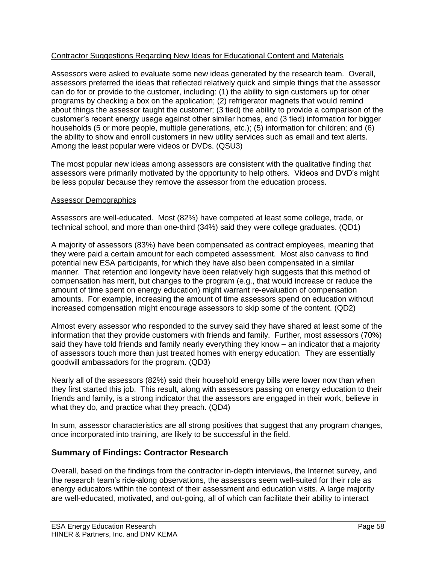# Contractor Suggestions Regarding New Ideas for Educational Content and Materials

Assessors were asked to evaluate some new ideas generated by the research team. Overall, assessors preferred the ideas that reflected relatively quick and simple things that the assessor can do for or provide to the customer, including: (1) the ability to sign customers up for other programs by checking a box on the application; (2) refrigerator magnets that would remind about things the assessor taught the customer; (3 tied) the ability to provide a comparison of the customer's recent energy usage against other similar homes, and (3 tied) information for bigger households (5 or more people, multiple generations, etc.); (5) information for children; and (6) the ability to show and enroll customers in new utility services such as email and text alerts. Among the least popular were videos or DVDs. (QSU3)

The most popular new ideas among assessors are consistent with the qualitative finding that assessors were primarily motivated by the opportunity to help others. Videos and DVD's might be less popular because they remove the assessor from the education process.

#### Assessor Demographics

Assessors are well-educated. Most (82%) have competed at least some college, trade, or technical school, and more than one-third (34%) said they were college graduates. (QD1)

A majority of assessors (83%) have been compensated as contract employees, meaning that they were paid a certain amount for each competed assessment. Most also canvass to find potential new ESA participants, for which they have also been compensated in a similar manner. That retention and longevity have been relatively high suggests that this method of compensation has merit, but changes to the program (e.g., that would increase or reduce the amount of time spent on energy education) might warrant re-evaluation of compensation amounts. For example, increasing the amount of time assessors spend on education without increased compensation might encourage assessors to skip some of the content. (QD2)

Almost every assessor who responded to the survey said they have shared at least some of the information that they provide customers with friends and family. Further, most assessors (70%) said they have told friends and family nearly everything they know – an indicator that a majority of assessors touch more than just treated homes with energy education. They are essentially goodwill ambassadors for the program. (QD3)

Nearly all of the assessors (82%) said their household energy bills were lower now than when they first started this job. This result, along with assessors passing on energy education to their friends and family, is a strong indicator that the assessors are engaged in their work, believe in what they do, and practice what they preach. (QD4)

In sum, assessor characteristics are all strong positives that suggest that any program changes, once incorporated into training, are likely to be successful in the field.

# **Summary of Findings: Contractor Research**

Overall, based on the findings from the contractor in-depth interviews, the Internet survey, and the research team's ride-along observations, the assessors seem well-suited for their role as energy educators within the context of their assessment and education visits. A large majority are well-educated, motivated, and out-going, all of which can facilitate their ability to interact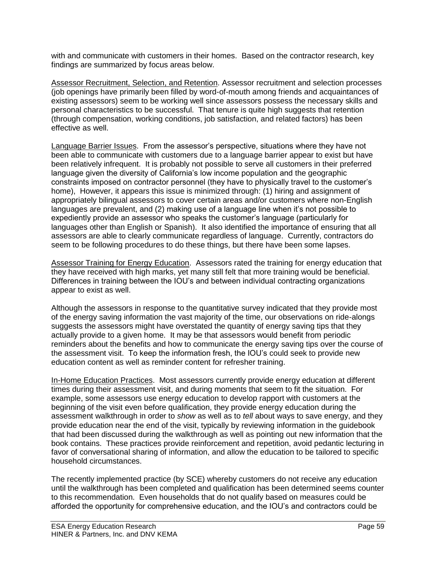with and communicate with customers in their homes. Based on the contractor research, key findings are summarized by focus areas below.

Assessor Recruitment, Selection, and Retention. Assessor recruitment and selection processes (job openings have primarily been filled by word-of-mouth among friends and acquaintances of existing assessors) seem to be working well since assessors possess the necessary skills and personal characteristics to be successful. That tenure is quite high suggests that retention (through compensation, working conditions, job satisfaction, and related factors) has been effective as well.

Language Barrier Issues. From the assessor's perspective, situations where they have not been able to communicate with customers due to a language barrier appear to exist but have been relatively infrequent. It is probably not possible to serve all customers in their preferred language given the diversity of California's low income population and the geographic constraints imposed on contractor personnel (they have to physically travel to the customer's home), However, it appears this issue is minimized through: (1) hiring and assignment of appropriately bilingual assessors to cover certain areas and/or customers where non-English languages are prevalent, and (2) making use of a language line when it's not possible to expediently provide an assessor who speaks the customer's language (particularly for languages other than English or Spanish). It also identified the importance of ensuring that all assessors are able to clearly communicate regardless of language. Currently, contractors do seem to be following procedures to do these things, but there have been some lapses.

Assessor Training for Energy Education. Assessors rated the training for energy education that they have received with high marks, yet many still felt that more training would be beneficial. Differences in training between the IOU's and between individual contracting organizations appear to exist as well.

Although the assessors in response to the quantitative survey indicated that they provide most of the energy saving information the vast majority of the time, our observations on ride-alongs suggests the assessors might have overstated the quantity of energy saving tips that they actually provide to a given home. It may be that assessors would benefit from periodic reminders about the benefits and how to communicate the energy saving tips over the course of the assessment visit. To keep the information fresh, the IOU's could seek to provide new education content as well as reminder content for refresher training.

In-Home Education Practices. Most assessors currently provide energy education at different times during their assessment visit, and during moments that seem to fit the situation. For example, some assessors use energy education to develop rapport with customers at the beginning of the visit even before qualification, they provide energy education during the assessment walkthrough in order to *show* as well as to *tell* about ways to save energy, and they provide education near the end of the visit, typically by reviewing information in the guidebook that had been discussed during the walkthrough as well as pointing out new information that the book contains. These practices provide reinforcement and repetition, avoid pedantic lecturing in favor of conversational sharing of information, and allow the education to be tailored to specific household circumstances.

The recently implemented practice (by SCE) whereby customers do not receive any education until the walkthrough has been completed and qualification has been determined seems counter to this recommendation. Even households that do not qualify based on measures could be afforded the opportunity for comprehensive education, and the IOU's and contractors could be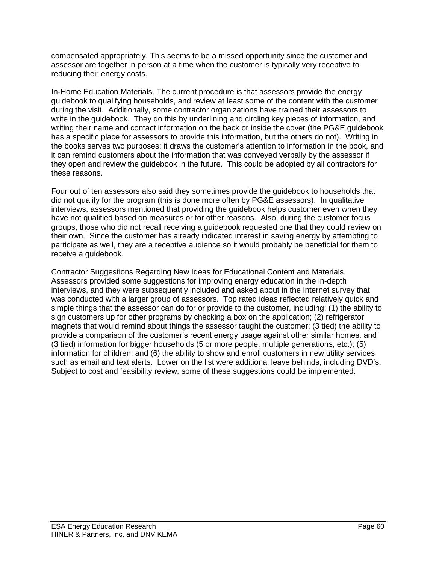compensated appropriately. This seems to be a missed opportunity since the customer and assessor are together in person at a time when the customer is typically very receptive to reducing their energy costs.

In-Home Education Materials. The current procedure is that assessors provide the energy guidebook to qualifying households, and review at least some of the content with the customer during the visit. Additionally, some contractor organizations have trained their assessors to write in the guidebook. They do this by underlining and circling key pieces of information, and writing their name and contact information on the back or inside the cover (the PG&E guidebook has a specific place for assessors to provide this information, but the others do not). Writing in the books serves two purposes: it draws the customer's attention to information in the book, and it can remind customers about the information that was conveyed verbally by the assessor if they open and review the guidebook in the future. This could be adopted by all contractors for these reasons.

Four out of ten assessors also said they sometimes provide the guidebook to households that did not qualify for the program (this is done more often by PG&E assessors). In qualitative interviews, assessors mentioned that providing the guidebook helps customer even when they have not qualified based on measures or for other reasons. Also, during the customer focus groups, those who did not recall receiving a guidebook requested one that they could review on their own. Since the customer has already indicated interest in saving energy by attempting to participate as well, they are a receptive audience so it would probably be beneficial for them to receive a guidebook.

Contractor Suggestions Regarding New Ideas for Educational Content and Materials. Assessors provided some suggestions for improving energy education in the in-depth interviews, and they were subsequently included and asked about in the Internet survey that was conducted with a larger group of assessors. Top rated ideas reflected relatively quick and simple things that the assessor can do for or provide to the customer, including: (1) the ability to sign customers up for other programs by checking a box on the application; (2) refrigerator magnets that would remind about things the assessor taught the customer; (3 tied) the ability to provide a comparison of the customer's recent energy usage against other similar homes, and (3 tied) information for bigger households (5 or more people, multiple generations, etc.); (5) information for children; and (6) the ability to show and enroll customers in new utility services such as email and text alerts. Lower on the list were additional leave behinds, including DVD's. Subject to cost and feasibility review, some of these suggestions could be implemented.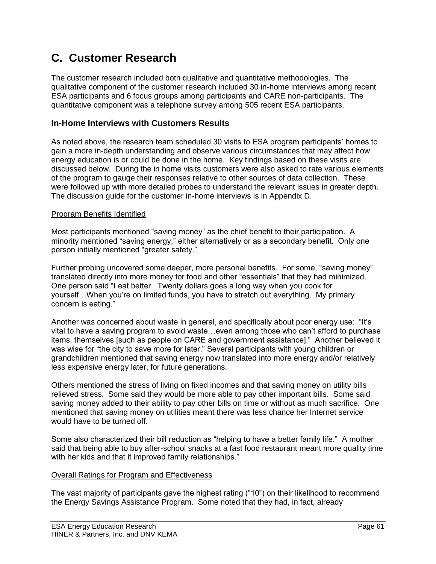# **C. Customer Research**

The customer research included both qualitative and quantitative methodologies. The qualitative component of the customer research included 30 in-home interviews among recent ESA participants and 6 focus groups among participants and CARE non-participants. The quantitative component was a telephone survey among 505 recent ESA participants.

# **In-Home Interviews with Customers Results**

As noted above, the research team scheduled 30 visits to ESA program participants' homes to gain a more in-depth understanding and observe various circumstances that may affect how energy education is or could be done in the home. Key findings based on these visits are discussed below. During the in home visits customers were also asked to rate various elements of the program to gauge their responses relative to other sources of data collection. These were followed up with more detailed probes to understand the relevant issues in greater depth. The discussion guide for the customer in-home interviews is in Appendix D.

# Program Benefits Identified

Most participants mentioned "saving money" as the chief benefit to their participation. A minority mentioned "saving energy," either alternatively or as a secondary benefit. Only one person initially mentioned "greater safety."

Further probing uncovered some deeper, more personal benefits. For some, "saving money" translated directly into more money for food and other "essentials" that they had minimized. One person said "I eat better. Twenty dollars goes a long way when you cook for yourself…When you're on limited funds, you have to stretch out everything. My primary concern is eating."

Another was concerned about waste in general, and specifically about poor energy use: "It's vital to have a saving program to avoid waste…even among those who can't afford to purchase items, themselves [such as people on CARE and government assistance]." Another believed it was wise for "the city to save more for later." Several participants with young children or grandchildren mentioned that saving energy now translated into more energy and/or relatively less expensive energy later, for future generations.

Others mentioned the stress of living on fixed incomes and that saving money on utility bills relieved stress. Some said they would be more able to pay other important bills. Some said saving money added to their ability to pay other bills on time or without as much sacrifice. One mentioned that saving money on utilities meant there was less chance her Internet service would have to be turned off.

Some also characterized their bill reduction as "helping to have a better family life." A mother said that being able to buy after-school snacks at a fast food restaurant meant more quality time with her kids and that it improved family relationships."

# Overall Ratings for Program and Effectiveness

The vast majority of participants gave the highest rating ("10") on their likelihood to recommend the Energy Savings Assistance Program. Some noted that they had, in fact, already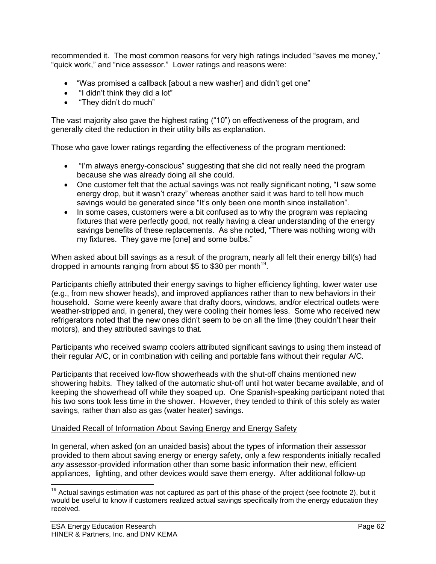recommended it. The most common reasons for very high ratings included "saves me money," "quick work," and "nice assessor." Lower ratings and reasons were:

- "Was promised a callback [about a new washer] and didn't get one"
- "I didn't think they did a lot"
- "They didn't do much"

The vast majority also gave the highest rating ("10") on effectiveness of the program, and generally cited the reduction in their utility bills as explanation.

Those who gave lower ratings regarding the effectiveness of the program mentioned:

- "I'm always energy-conscious" suggesting that she did not really need the program because she was already doing all she could.
- One customer felt that the actual savings was not really significant noting, "I saw some energy drop, but it wasn't crazy" whereas another said it was hard to tell how much savings would be generated since "It's only been one month since installation".
- In some cases, customers were a bit confused as to why the program was replacing fixtures that were perfectly good, not really having a clear understanding of the energy savings benefits of these replacements. As she noted, "There was nothing wrong with my fixtures. They gave me [one] and some bulbs."

When asked about bill savings as a result of the program, nearly all felt their energy bill(s) had dropped in amounts ranging from about \$5 to \$30 per month<sup>19</sup>.

Participants chiefly attributed their energy savings to higher efficiency lighting, lower water use (e.g., from new shower heads), and improved appliances rather than to new behaviors in their household. Some were keenly aware that drafty doors, windows, and/or electrical outlets were weather-stripped and, in general, they were cooling their homes less. Some who received new refrigerators noted that the new ones didn't seem to be on all the time (they couldn't hear their motors), and they attributed savings to that.

Participants who received swamp coolers attributed significant savings to using them instead of their regular A/C, or in combination with ceiling and portable fans without their regular A/C.

Participants that received low-flow showerheads with the shut-off chains mentioned new showering habits. They talked of the automatic shut-off until hot water became available, and of keeping the showerhead off while they soaped up. One Spanish-speaking participant noted that his two sons took less time in the shower. However, they tended to think of this solely as water savings, rather than also as gas (water heater) savings.

# Unaided Recall of Information About Saving Energy and Energy Safety

In general, when asked (on an unaided basis) about the types of information their assessor provided to them about saving energy or energy safety, only a few respondents initially recalled *any* assessor-provided information other than some basic information their new, efficient appliances, lighting, and other devices would save them energy. After additional follow-up

 $\overline{a}$ 

 $19$  Actual savings estimation was not captured as part of this phase of the project (see footnote 2), but it would be useful to know if customers realized actual savings specifically from the energy education they received.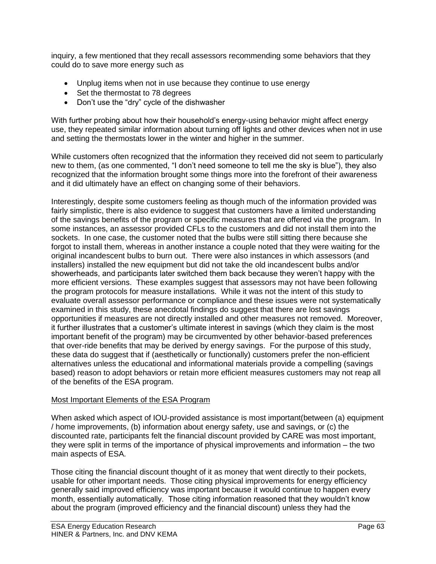inquiry, a few mentioned that they recall assessors recommending some behaviors that they could do to save more energy such as

- Unplug items when not in use because they continue to use energy
- Set the thermostat to 78 degrees
- Don't use the "dry" cycle of the dishwasher

With further probing about how their household's energy-using behavior might affect energy use, they repeated similar information about turning off lights and other devices when not in use and setting the thermostats lower in the winter and higher in the summer.

While customers often recognized that the information they received did not seem to particularly new to them, (as one commented, "I don't need someone to tell me the sky is blue"), they also recognized that the information brought some things more into the forefront of their awareness and it did ultimately have an effect on changing some of their behaviors.

Interestingly, despite some customers feeling as though much of the information provided was fairly simplistic, there is also evidence to suggest that customers have a limited understanding of the savings benefits of the program or specific measures that are offered via the program. In some instances, an assessor provided CFLs to the customers and did not install them into the sockets. In one case, the customer noted that the bulbs were still sitting there because she forgot to install them, whereas in another instance a couple noted that they were waiting for the original incandescent bulbs to burn out. There were also instances in which assessors (and installers) installed the new equipment but did not take the old incandescent bulbs and/or showerheads, and participants later switched them back because they weren't happy with the more efficient versions. These examples suggest that assessors may not have been following the program protocols for measure installations. While it was not the intent of this study to evaluate overall assessor performance or compliance and these issues were not systematically examined in this study, these anecdotal findings do suggest that there are lost savings opportunities if measures are not directly installed and other measures not removed. Moreover, it further illustrates that a customer's ultimate interest in savings (which they claim is the most important benefit of the program) may be circumvented by other behavior-based preferences that over-ride benefits that may be derived by energy savings. For the purpose of this study, these data do suggest that if (aesthetically or functionally) customers prefer the non-efficient alternatives unless the educational and informational materials provide a compelling (savings based) reason to adopt behaviors or retain more efficient measures customers may not reap all of the benefits of the ESA program.

# Most Important Elements of the ESA Program

When asked which aspect of IOU-provided assistance is most important(between (a) equipment / home improvements, (b) information about energy safety, use and savings, or (c) the discounted rate, participants felt the financial discount provided by CARE was most important, they were split in terms of the importance of physical improvements and information – the two main aspects of ESA.

Those citing the financial discount thought of it as money that went directly to their pockets, usable for other important needs. Those citing physical improvements for energy efficiency generally said improved efficiency was important because it would continue to happen every month, essentially automatically. Those citing information reasoned that they wouldn't know about the program (improved efficiency and the financial discount) unless they had the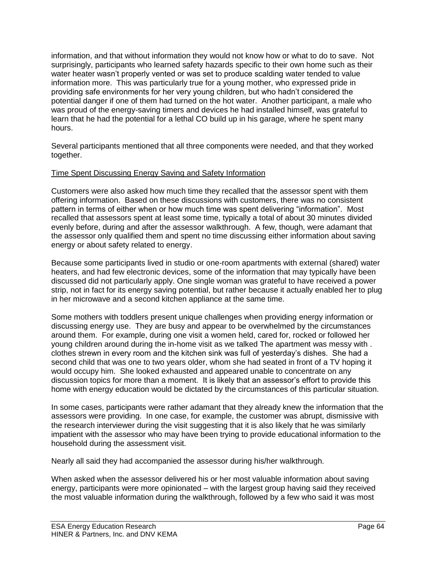information, and that without information they would not know how or what to do to save. Not surprisingly, participants who learned safety hazards specific to their own home such as their water heater wasn't properly vented or was set to produce scalding water tended to value information more. This was particularly true for a young mother, who expressed pride in providing safe environments for her very young children, but who hadn't considered the potential danger if one of them had turned on the hot water. Another participant, a male who was proud of the energy-saving timers and devices he had installed himself, was grateful to learn that he had the potential for a lethal CO build up in his garage, where he spent many hours.

Several participants mentioned that all three components were needed, and that they worked together.

# Time Spent Discussing Energy Saving and Safety Information

Customers were also asked how much time they recalled that the assessor spent with them offering information. Based on these discussions with customers, there was no consistent pattern in terms of either when or how much time was spent delivering "information". Most recalled that assessors spent at least some time, typically a total of about 30 minutes divided evenly before, during and after the assessor walkthrough. A few, though, were adamant that the assessor only qualified them and spent no time discussing either information about saving energy or about safety related to energy.

Because some participants lived in studio or one-room apartments with external (shared) water heaters, and had few electronic devices, some of the information that may typically have been discussed did not particularly apply. One single woman was grateful to have received a power strip, not in fact for its energy saving potential, but rather because it actually enabled her to plug in her microwave and a second kitchen appliance at the same time.

Some mothers with toddlers present unique challenges when providing energy information or discussing energy use. They are busy and appear to be overwhelmed by the circumstances around them. For example, during one visit a women held, cared for, rocked or followed her young children around during the in-home visit as we talked The apartment was messy with . clothes strewn in every room and the kitchen sink was full of yesterday's dishes. She had a second child that was one to two years older, whom she had seated in front of a TV hoping it would occupy him. She looked exhausted and appeared unable to concentrate on any discussion topics for more than a moment. It is likely that an assessor's effort to provide this home with energy education would be dictated by the circumstances of this particular situation.

In some cases, participants were rather adamant that they already knew the information that the assessors were providing. In one case, for example, the customer was abrupt, dismissive with the research interviewer during the visit suggesting that it is also likely that he was similarly impatient with the assessor who may have been trying to provide educational information to the household during the assessment visit.

Nearly all said they had accompanied the assessor during his/her walkthrough.

When asked when the assessor delivered his or her most valuable information about saving energy, participants were more opinionated – with the largest group having said they received the most valuable information during the walkthrough, followed by a few who said it was most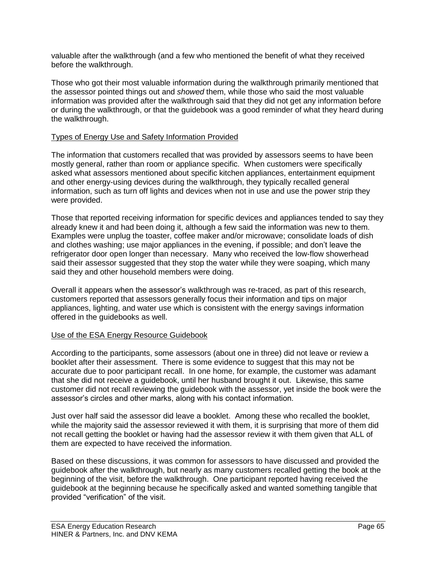valuable after the walkthrough (and a few who mentioned the benefit of what they received before the walkthrough.

Those who got their most valuable information during the walkthrough primarily mentioned that the assessor pointed things out and *showed* them, while those who said the most valuable information was provided after the walkthrough said that they did not get any information before or during the walkthrough, or that the guidebook was a good reminder of what they heard during the walkthrough.

# Types of Energy Use and Safety Information Provided

The information that customers recalled that was provided by assessors seems to have been mostly general, rather than room or appliance specific. When customers were specifically asked what assessors mentioned about specific kitchen appliances, entertainment equipment and other energy-using devices during the walkthrough, they typically recalled general information, such as turn off lights and devices when not in use and use the power strip they were provided.

Those that reported receiving information for specific devices and appliances tended to say they already knew it and had been doing it, although a few said the information was new to them. Examples were unplug the toaster, coffee maker and/or microwave; consolidate loads of dish and clothes washing; use major appliances in the evening, if possible; and don't leave the refrigerator door open longer than necessary. Many who received the low-flow showerhead said their assessor suggested that they stop the water while they were soaping, which many said they and other household members were doing.

Overall it appears when the assessor's walkthrough was re-traced, as part of this research, customers reported that assessors generally focus their information and tips on major appliances, lighting, and water use which is consistent with the energy savings information offered in the guidebooks as well.

# Use of the ESA Energy Resource Guidebook

According to the participants, some assessors (about one in three) did not leave or review a booklet after their assessment. There is some evidence to suggest that this may not be accurate due to poor participant recall. In one home, for example, the customer was adamant that she did not receive a guidebook, until her husband brought it out. Likewise, this same customer did not recall reviewing the guidebook with the assessor, yet inside the book were the assessor's circles and other marks, along with his contact information.

Just over half said the assessor did leave a booklet. Among these who recalled the booklet, while the majority said the assessor reviewed it with them, it is surprising that more of them did not recall getting the booklet or having had the assessor review it with them given that ALL of them are expected to have received the information.

Based on these discussions, it was common for assessors to have discussed and provided the guidebook after the walkthrough, but nearly as many customers recalled getting the book at the beginning of the visit, before the walkthrough. One participant reported having received the guidebook at the beginning because he specifically asked and wanted something tangible that provided "verification" of the visit.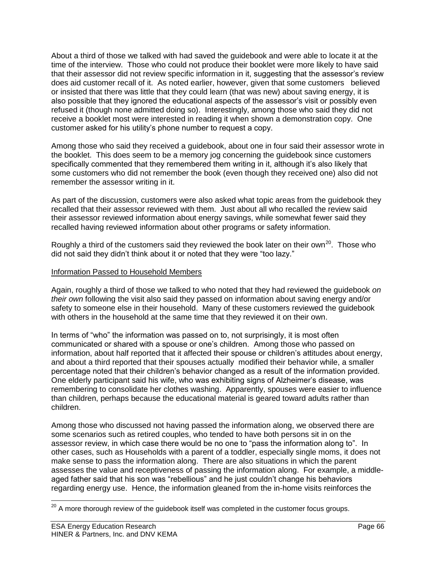About a third of those we talked with had saved the guidebook and were able to locate it at the time of the interview. Those who could not produce their booklet were more likely to have said that their assessor did not review specific information in it, suggesting that the assessor's review does aid customer recall of it. As noted earlier, however, given that some customers believed or insisted that there was little that they could learn (that was new) about saving energy, it is also possible that they ignored the educational aspects of the assessor's visit or possibly even refused it (though none admitted doing so). Interestingly, among those who said they did not receive a booklet most were interested in reading it when shown a demonstration copy. One customer asked for his utility's phone number to request a copy.

Among those who said they received a guidebook, about one in four said their assessor wrote in the booklet. This does seem to be a memory jog concerning the guidebook since customers specifically commented that they remembered them writing in it, although it's also likely that some customers who did not remember the book (even though they received one) also did not remember the assessor writing in it.

As part of the discussion, customers were also asked what topic areas from the guidebook they recalled that their assessor reviewed with them. Just about all who recalled the review said their assessor reviewed information about energy savings, while somewhat fewer said they recalled having reviewed information about other programs or safety information.

Roughly a third of the customers said they reviewed the book later on their own<sup>20</sup>. Those who did not said they didn't think about it or noted that they were "too lazy."

# Information Passed to Household Members

Again, roughly a third of those we talked to who noted that they had reviewed the guidebook *on their own* following the visit also said they passed on information about saving energy and/or safety to someone else in their household. Many of these customers reviewed the guidebook with others in the household at the same time that they reviewed it on their own.

In terms of "who" the information was passed on to, not surprisingly, it is most often communicated or shared with a spouse or one's children. Among those who passed on information, about half reported that it affected their spouse or children's attitudes about energy, and about a third reported that their spouses actually modified their behavior while, a smaller percentage noted that their children's behavior changed as a result of the information provided. One elderly participant said his wife, who was exhibiting signs of Alzheimer's disease, was remembering to consolidate her clothes washing. Apparently, spouses were easier to influence than children, perhaps because the educational material is geared toward adults rather than children.

Among those who discussed not having passed the information along, we observed there are some scenarios such as retired couples, who tended to have both persons sit in on the assessor review, in which case there would be no one to "pass the information along to". In other cases, such as Households with a parent of a toddler, especially single moms, it does not make sense to pass the information along. There are also situations in which the parent assesses the value and receptiveness of passing the information along. For example, a middleaged father said that his son was "rebellious" and he just couldn't change his behaviors regarding energy use. Hence, the information gleaned from the in-home visits reinforces the

 $\overline{a}$ 

 $^{20}$  A more thorough review of the guidebook itself was completed in the customer focus groups.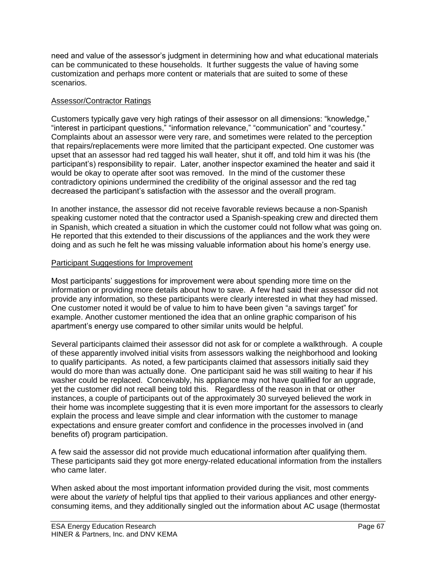need and value of the assessor's judgment in determining how and what educational materials can be communicated to these households. It further suggests the value of having some customization and perhaps more content or materials that are suited to some of these scenarios.

# Assessor/Contractor Ratings

Customers typically gave very high ratings of their assessor on all dimensions: "knowledge," "interest in participant questions," "information relevance," "communication" and "courtesy." Complaints about an assessor were very rare, and sometimes were related to the perception that repairs/replacements were more limited that the participant expected. One customer was upset that an assessor had red tagged his wall heater, shut it off, and told him it was his (the participant's) responsibility to repair. Later, another inspector examined the heater and said it would be okay to operate after soot was removed. In the mind of the customer these contradictory opinions undermined the credibility of the original assessor and the red tag decreased the participant's satisfaction with the assessor and the overall program.

In another instance, the assessor did not receive favorable reviews because a non-Spanish speaking customer noted that the contractor used a Spanish-speaking crew and directed them in Spanish, which created a situation in which the customer could not follow what was going on. He reported that this extended to their discussions of the appliances and the work they were doing and as such he felt he was missing valuable information about his home's energy use.

# Participant Suggestions for Improvement

Most participants' suggestions for improvement were about spending more time on the information or providing more details about how to save. A few had said their assessor did not provide any information, so these participants were clearly interested in what they had missed. One customer noted it would be of value to him to have been given "a savings target" for example. Another customer mentioned the idea that an online graphic comparison of his apartment's energy use compared to other similar units would be helpful.

Several participants claimed their assessor did not ask for or complete a walkthrough. A couple of these apparently involved initial visits from assessors walking the neighborhood and looking to qualify participants. As noted, a few participants claimed that assessors initially said they would do more than was actually done. One participant said he was still waiting to hear if his washer could be replaced. Conceivably, his appliance may not have qualified for an upgrade, yet the customer did not recall being told this. Regardless of the reason in that or other instances, a couple of participants out of the approximately 30 surveyed believed the work in their home was incomplete suggesting that it is even more important for the assessors to clearly explain the process and leave simple and clear information with the customer to manage expectations and ensure greater comfort and confidence in the processes involved in (and benefits of) program participation.

A few said the assessor did not provide much educational information after qualifying them. These participants said they got more energy-related educational information from the installers who came later.

When asked about the most important information provided during the visit, most comments were about the *variety* of helpful tips that applied to their various appliances and other energyconsuming items, and they additionally singled out the information about AC usage (thermostat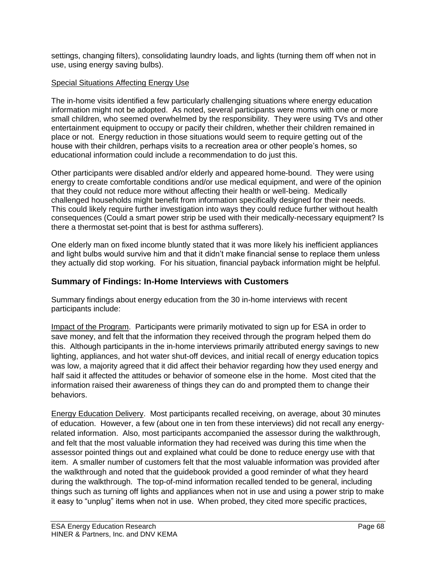settings, changing filters), consolidating laundry loads, and lights (turning them off when not in use, using energy saving bulbs).

# Special Situations Affecting Energy Use

The in-home visits identified a few particularly challenging situations where energy education information might not be adopted. As noted, several participants were moms with one or more small children, who seemed overwhelmed by the responsibility. They were using TVs and other entertainment equipment to occupy or pacify their children, whether their children remained in place or not. Energy reduction in those situations would seem to require getting out of the house with their children, perhaps visits to a recreation area or other people's homes, so educational information could include a recommendation to do just this.

Other participants were disabled and/or elderly and appeared home-bound. They were using energy to create comfortable conditions and/or use medical equipment, and were of the opinion that they could not reduce more without affecting their health or well-being. Medically challenged households might benefit from information specifically designed for their needs. This could likely require further investigation into ways they could reduce further without health consequences (Could a smart power strip be used with their medically-necessary equipment? Is there a thermostat set-point that is best for asthma sufferers).

One elderly man on fixed income bluntly stated that it was more likely his inefficient appliances and light bulbs would survive him and that it didn't make financial sense to replace them unless they actually did stop working. For his situation, financial payback information might be helpful.

# **Summary of Findings: In-Home Interviews with Customers**

Summary findings about energy education from the 30 in-home interviews with recent participants include:

Impact of the Program. Participants were primarily motivated to sign up for ESA in order to save money, and felt that the information they received through the program helped them do this. Although participants in the in-home interviews primarily attributed energy savings to new lighting, appliances, and hot water shut-off devices, and initial recall of energy education topics was low, a majority agreed that it did affect their behavior regarding how they used energy and half said it affected the attitudes or behavior of someone else in the home. Most cited that the information raised their awareness of things they can do and prompted them to change their behaviors.

Energy Education Delivery. Most participants recalled receiving, on average, about 30 minutes of education. However, a few (about one in ten from these interviews) did not recall any energyrelated information. Also, most participants accompanied the assessor during the walkthrough, and felt that the most valuable information they had received was during this time when the assessor pointed things out and explained what could be done to reduce energy use with that item. A smaller number of customers felt that the most valuable information was provided after the walkthrough and noted that the guidebook provided a good reminder of what they heard during the walkthrough. The top-of-mind information recalled tended to be general, including things such as turning off lights and appliances when not in use and using a power strip to make it easy to "unplug" items when not in use. When probed, they cited more specific practices,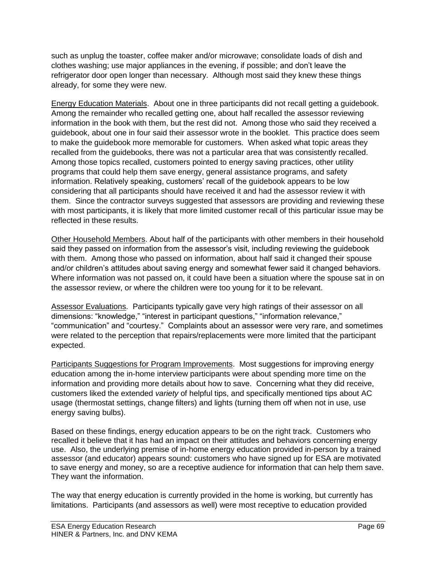such as unplug the toaster, coffee maker and/or microwave; consolidate loads of dish and clothes washing; use major appliances in the evening, if possible; and don't leave the refrigerator door open longer than necessary. Although most said they knew these things already, for some they were new.

Energy Education Materials. About one in three participants did not recall getting a guidebook. Among the remainder who recalled getting one, about half recalled the assessor reviewing information in the book with them, but the rest did not. Among those who said they received a guidebook, about one in four said their assessor wrote in the booklet. This practice does seem to make the guidebook more memorable for customers. When asked what topic areas they recalled from the guidebooks, there was not a particular area that was consistently recalled. Among those topics recalled, customers pointed to energy saving practices, other utility programs that could help them save energy, general assistance programs, and safety information. Relatively speaking, customers' recall of the guidebook appears to be low considering that all participants should have received it and had the assessor review it with them. Since the contractor surveys suggested that assessors are providing and reviewing these with most participants, it is likely that more limited customer recall of this particular issue may be reflected in these results.

Other Household Members. About half of the participants with other members in their household said they passed on information from the assessor's visit, including reviewing the guidebook with them. Among those who passed on information, about half said it changed their spouse and/or children's attitudes about saving energy and somewhat fewer said it changed behaviors. Where information was not passed on, it could have been a situation where the spouse sat in on the assessor review, or where the children were too young for it to be relevant.

Assessor Evaluations. Participants typically gave very high ratings of their assessor on all dimensions: "knowledge," "interest in participant questions," "information relevance," "communication" and "courtesy." Complaints about an assessor were very rare, and sometimes were related to the perception that repairs/replacements were more limited that the participant expected.

Participants Suggestions for Program Improvements. Most suggestions for improving energy education among the in-home interview participants were about spending more time on the information and providing more details about how to save. Concerning what they did receive, customers liked the extended *variety* of helpful tips, and specifically mentioned tips about AC usage (thermostat settings, change filters) and lights (turning them off when not in use, use energy saving bulbs).

Based on these findings, energy education appears to be on the right track. Customers who recalled it believe that it has had an impact on their attitudes and behaviors concerning energy use. Also, the underlying premise of in-home energy education provided in-person by a trained assessor (and educator) appears sound: customers who have signed up for ESA are motivated to save energy and money, so are a receptive audience for information that can help them save. They want the information.

The way that energy education is currently provided in the home is working, but currently has limitations. Participants (and assessors as well) were most receptive to education provided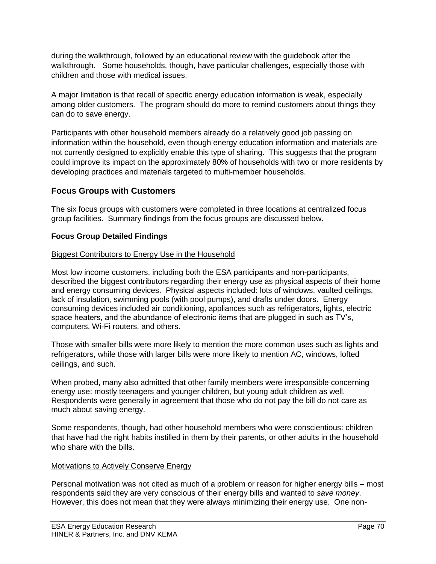during the walkthrough, followed by an educational review with the guidebook after the walkthrough. Some households, though, have particular challenges, especially those with children and those with medical issues.

A major limitation is that recall of specific energy education information is weak, especially among older customers. The program should do more to remind customers about things they can do to save energy.

Participants with other household members already do a relatively good job passing on information within the household, even though energy education information and materials are not currently designed to explicitly enable this type of sharing. This suggests that the program could improve its impact on the approximately 80% of households with two or more residents by developing practices and materials targeted to multi-member households.

# **Focus Groups with Customers**

The six focus groups with customers were completed in three locations at centralized focus group facilities. Summary findings from the focus groups are discussed below.

# **Focus Group Detailed Findings**

# Biggest Contributors to Energy Use in the Household

Most low income customers, including both the ESA participants and non-participants, described the biggest contributors regarding their energy use as physical aspects of their home and energy consuming devices. Physical aspects included: lots of windows, vaulted ceilings, lack of insulation, swimming pools (with pool pumps), and drafts under doors. Energy consuming devices included air conditioning, appliances such as refrigerators, lights, electric space heaters, and the abundance of electronic items that are plugged in such as TV's, computers, Wi-Fi routers, and others.

Those with smaller bills were more likely to mention the more common uses such as lights and refrigerators, while those with larger bills were more likely to mention AC, windows, lofted ceilings, and such.

When probed, many also admitted that other family members were irresponsible concerning energy use: mostly teenagers and younger children, but young adult children as well. Respondents were generally in agreement that those who do not pay the bill do not care as much about saving energy.

Some respondents, though, had other household members who were conscientious: children that have had the right habits instilled in them by their parents, or other adults in the household who share with the bills.

# Motivations to Actively Conserve Energy

Personal motivation was not cited as much of a problem or reason for higher energy bills – most respondents said they are very conscious of their energy bills and wanted to *save money*. However, this does not mean that they were always minimizing their energy use. One non-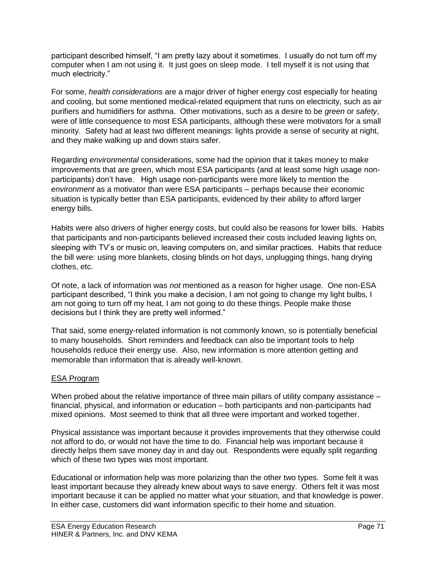participant described himself, "I am pretty lazy about it sometimes. I usually do not turn off my computer when I am not using it. It just goes on sleep mode. I tell myself it is not using that much electricity."

For some, *health considerations* are a major driver of higher energy cost especially for heating and cooling, but some mentioned medical-related equipment that runs on electricity, such as air purifiers and humidifiers for asthma. Other motivations, such as a desire to be *green* or *safety*, were of little consequence to most ESA participants, although these were motivators for a small minority. Safety had at least two different meanings: lights provide a sense of security at night, and they make walking up and down stairs safer.

Regarding *environmental* considerations, some had the opinion that it takes money to make improvements that are green, which most ESA participants (and at least some high usage nonparticipants) don't have. High usage non-participants were more likely to mention the *environment* as a motivator than were ESA participants – perhaps because their economic situation is typically better than ESA participants, evidenced by their ability to afford larger energy bills.

Habits were also drivers of higher energy costs, but could also be reasons for lower bills. Habits that participants and non-participants believed increased their costs included leaving lights on, sleeping with TV's or music on, leaving computers on, and similar practices. Habits that reduce the bill were: using more blankets, closing blinds on hot days, unplugging things, hang drying clothes, etc.

Of note, a lack of information was *not* mentioned as a reason for higher usage. One non-ESA participant described, "I think you make a decision, I am not going to change my light bulbs, I am not going to turn off my heat, I am not going to do these things. People make those decisions but I think they are pretty well informed."

That said, some energy-related information is not commonly known, so is potentially beneficial to many households. Short reminders and feedback can also be important tools to help households reduce their energy use. Also, new information is more attention getting and memorable than information that is already well-known.

# ESA Program

When probed about the relative importance of three main pillars of utility company assistance – financial, physical, and information or education – both participants and non-participants had mixed opinions. Most seemed to think that all three were important and worked together.

Physical assistance was important because it provides improvements that they otherwise could not afford to do, or would not have the time to do. Financial help was important because it directly helps them save money day in and day out. Respondents were equally split regarding which of these two types was most important.

Educational or information help was more polarizing than the other two types. Some felt it was least important because they already knew about ways to save energy. Others felt it was most important because it can be applied no matter what your situation, and that knowledge is power. In either case, customers did want information specific to their home and situation.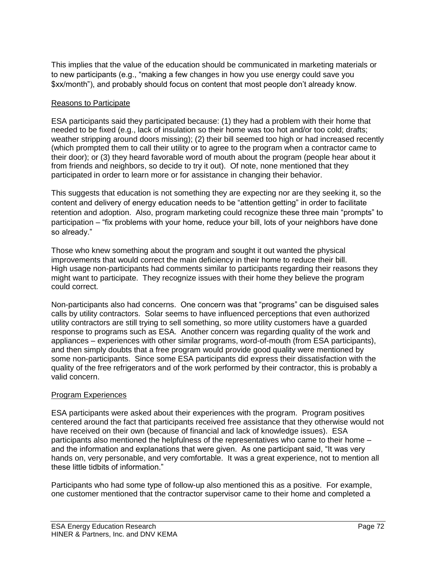This implies that the value of the education should be communicated in marketing materials or to new participants (e.g., "making a few changes in how you use energy could save you \$xx/month"), and probably should focus on content that most people don't already know.

# Reasons to Participate

ESA participants said they participated because: (1) they had a problem with their home that needed to be fixed (e.g., lack of insulation so their home was too hot and/or too cold; drafts; weather stripping around doors missing); (2) their bill seemed too high or had increased recently (which prompted them to call their utility or to agree to the program when a contractor came to their door); or (3) they heard favorable word of mouth about the program (people hear about it from friends and neighbors, so decide to try it out). Of note, none mentioned that they participated in order to learn more or for assistance in changing their behavior.

This suggests that education is not something they are expecting nor are they seeking it, so the content and delivery of energy education needs to be "attention getting" in order to facilitate retention and adoption. Also, program marketing could recognize these three main "prompts" to participation – "fix problems with your home, reduce your bill, lots of your neighbors have done so already."

Those who knew something about the program and sought it out wanted the physical improvements that would correct the main deficiency in their home to reduce their bill. High usage non-participants had comments similar to participants regarding their reasons they might want to participate. They recognize issues with their home they believe the program could correct.

Non-participants also had concerns. One concern was that "programs" can be disguised sales calls by utility contractors. Solar seems to have influenced perceptions that even authorized utility contractors are still trying to sell something, so more utility customers have a guarded response to programs such as ESA. Another concern was regarding quality of the work and appliances – experiences with other similar programs, word-of-mouth (from ESA participants), and then simply doubts that a free program would provide good quality were mentioned by some non-participants. Since some ESA participants did express their dissatisfaction with the quality of the free refrigerators and of the work performed by their contractor, this is probably a valid concern.

# Program Experiences

ESA participants were asked about their experiences with the program. Program positives centered around the fact that participants received free assistance that they otherwise would not have received on their own (because of financial and lack of knowledge issues). ESA participants also mentioned the helpfulness of the representatives who came to their home – and the information and explanations that were given. As one participant said, "It was very hands on, very personable, and very comfortable. It was a great experience, not to mention all these little tidbits of information."

Participants who had some type of follow-up also mentioned this as a positive. For example, one customer mentioned that the contractor supervisor came to their home and completed a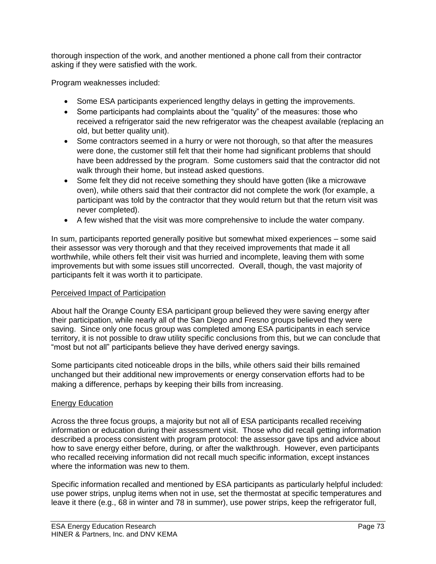thorough inspection of the work, and another mentioned a phone call from their contractor asking if they were satisfied with the work.

Program weaknesses included:

- Some ESA participants experienced lengthy delays in getting the improvements.
- Some participants had complaints about the "quality" of the measures: those who received a refrigerator said the new refrigerator was the cheapest available (replacing an old, but better quality unit).
- Some contractors seemed in a hurry or were not thorough, so that after the measures were done, the customer still felt that their home had significant problems that should have been addressed by the program. Some customers said that the contractor did not walk through their home, but instead asked questions.
- Some felt they did not receive something they should have gotten (like a microwave oven), while others said that their contractor did not complete the work (for example, a participant was told by the contractor that they would return but that the return visit was never completed).
- A few wished that the visit was more comprehensive to include the water company.

In sum, participants reported generally positive but somewhat mixed experiences – some said their assessor was very thorough and that they received improvements that made it all worthwhile, while others felt their visit was hurried and incomplete, leaving them with some improvements but with some issues still uncorrected. Overall, though, the vast majority of participants felt it was worth it to participate.

## Perceived Impact of Participation

About half the Orange County ESA participant group believed they were saving energy after their participation, while nearly all of the San Diego and Fresno groups believed they were saving. Since only one focus group was completed among ESA participants in each service territory, it is not possible to draw utility specific conclusions from this, but we can conclude that "most but not all" participants believe they have derived energy savings.

Some participants cited noticeable drops in the bills, while others said their bills remained unchanged but their additional new improvements or energy conservation efforts had to be making a difference, perhaps by keeping their bills from increasing.

# Energy Education

Across the three focus groups, a majority but not all of ESA participants recalled receiving information or education during their assessment visit. Those who did recall getting information described a process consistent with program protocol: the assessor gave tips and advice about how to save energy either before, during, or after the walkthrough. However, even participants who recalled receiving information did not recall much specific information, except instances where the information was new to them.

Specific information recalled and mentioned by ESA participants as particularly helpful included: use power strips, unplug items when not in use, set the thermostat at specific temperatures and leave it there (e.g., 68 in winter and 78 in summer), use power strips, keep the refrigerator full,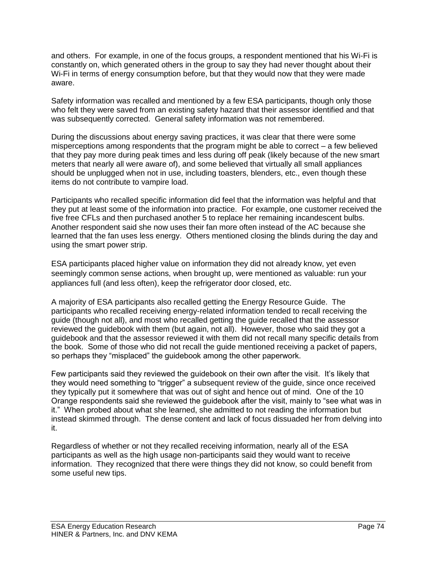and others. For example, in one of the focus groups, a respondent mentioned that his Wi-Fi is constantly on, which generated others in the group to say they had never thought about their Wi-Fi in terms of energy consumption before, but that they would now that they were made aware.

Safety information was recalled and mentioned by a few ESA participants, though only those who felt they were saved from an existing safety hazard that their assessor identified and that was subsequently corrected. General safety information was not remembered.

During the discussions about energy saving practices, it was clear that there were some misperceptions among respondents that the program might be able to correct – a few believed that they pay more during peak times and less during off peak (likely because of the new smart meters that nearly all were aware of), and some believed that virtually all small appliances should be unplugged when not in use, including toasters, blenders, etc., even though these items do not contribute to vampire load.

Participants who recalled specific information did feel that the information was helpful and that they put at least some of the information into practice. For example, one customer received the five free CFLs and then purchased another 5 to replace her remaining incandescent bulbs. Another respondent said she now uses their fan more often instead of the AC because she learned that the fan uses less energy. Others mentioned closing the blinds during the day and using the smart power strip.

ESA participants placed higher value on information they did not already know, yet even seemingly common sense actions, when brought up, were mentioned as valuable: run your appliances full (and less often), keep the refrigerator door closed, etc.

A majority of ESA participants also recalled getting the Energy Resource Guide. The participants who recalled receiving energy-related information tended to recall receiving the guide (though not all), and most who recalled getting the guide recalled that the assessor reviewed the guidebook with them (but again, not all). However, those who said they got a guidebook and that the assessor reviewed it with them did not recall many specific details from the book. Some of those who did not recall the guide mentioned receiving a packet of papers, so perhaps they "misplaced" the guidebook among the other paperwork.

Few participants said they reviewed the guidebook on their own after the visit. It's likely that they would need something to "trigger" a subsequent review of the guide, since once received they typically put it somewhere that was out of sight and hence out of mind. One of the 10 Orange respondents said she reviewed the guidebook after the visit, mainly to "see what was in it." When probed about what she learned, she admitted to not reading the information but instead skimmed through. The dense content and lack of focus dissuaded her from delving into it.

Regardless of whether or not they recalled receiving information, nearly all of the ESA participants as well as the high usage non-participants said they would want to receive information. They recognized that there were things they did not know, so could benefit from some useful new tips.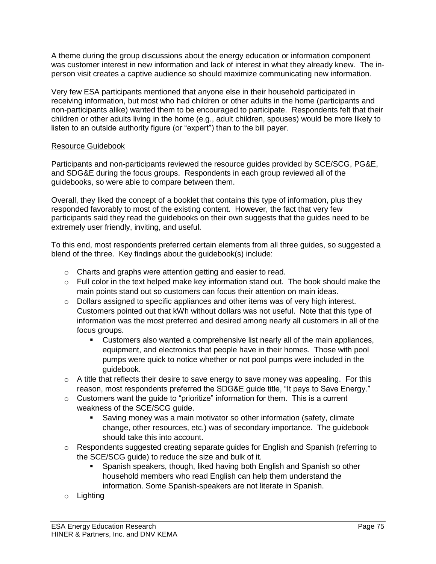A theme during the group discussions about the energy education or information component was customer interest in new information and lack of interest in what they already knew. The inperson visit creates a captive audience so should maximize communicating new information.

Very few ESA participants mentioned that anyone else in their household participated in receiving information, but most who had children or other adults in the home (participants and non-participants alike) wanted them to be encouraged to participate. Respondents felt that their children or other adults living in the home (e.g., adult children, spouses) would be more likely to listen to an outside authority figure (or "expert") than to the bill payer.

## Resource Guidebook

Participants and non-participants reviewed the resource guides provided by SCE/SCG, PG&E, and SDG&E during the focus groups. Respondents in each group reviewed all of the guidebooks, so were able to compare between them.

Overall, they liked the concept of a booklet that contains this type of information, plus they responded favorably to most of the existing content. However, the fact that very few participants said they read the guidebooks on their own suggests that the guides need to be extremely user friendly, inviting, and useful.

To this end, most respondents preferred certain elements from all three guides, so suggested a blend of the three. Key findings about the guidebook(s) include:

- o Charts and graphs were attention getting and easier to read.
- $\circ$  Full color in the text helped make key information stand out. The book should make the main points stand out so customers can focus their attention on main ideas.
- o Dollars assigned to specific appliances and other items was of very high interest. Customers pointed out that kWh without dollars was not useful. Note that this type of information was the most preferred and desired among nearly all customers in all of the focus groups.
	- **Customers also wanted a comprehensive list nearly all of the main appliances,** equipment, and electronics that people have in their homes. Those with pool pumps were quick to notice whether or not pool pumps were included in the guidebook.
- $\circ$  A title that reflects their desire to save energy to save money was appealing. For this reason, most respondents preferred the SDG&E guide title, "It pays to Save Energy."
- o Customers want the guide to "prioritize" information for them. This is a current weakness of the SCE/SCG guide.
	- Saving money was a main motivator so other information (safety, climate change, other resources, etc.) was of secondary importance. The guidebook should take this into account.
- $\circ$  Respondents suggested creating separate guides for English and Spanish (referring to the SCE/SCG guide) to reduce the size and bulk of it.
	- Spanish speakers, though, liked having both English and Spanish so other household members who read English can help them understand the information. Some Spanish-speakers are not literate in Spanish.
- o Lighting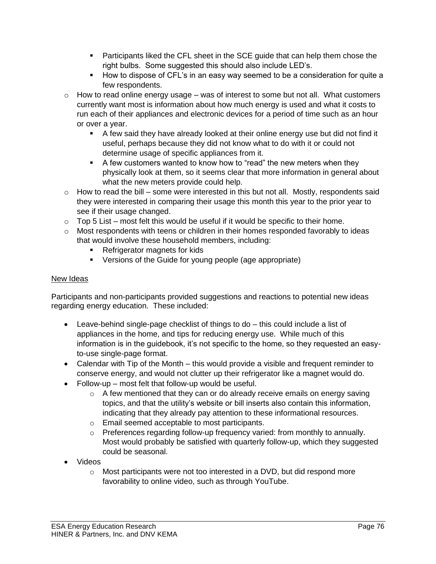- Participants liked the CFL sheet in the SCE guide that can help them chose the right bulbs. Some suggested this should also include LED's.
- How to dispose of CFL's in an easy way seemed to be a consideration for quite a few respondents.
- $\circ$  How to read online energy usage was of interest to some but not all. What customers currently want most is information about how much energy is used and what it costs to run each of their appliances and electronic devices for a period of time such as an hour or over a year.
	- A few said they have already looked at their online energy use but did not find it useful, perhaps because they did not know what to do with it or could not determine usage of specific appliances from it.
	- A few customers wanted to know how to "read" the new meters when they physically look at them, so it seems clear that more information in general about what the new meters provide could help.
- $\circ$  How to read the bill some were interested in this but not all. Mostly, respondents said they were interested in comparing their usage this month this year to the prior year to see if their usage changed.
- $\circ$  Top 5 List most felt this would be useful if it would be specific to their home.
- $\circ$  Most respondents with teens or children in their homes responded favorably to ideas that would involve these household members, including:
	- Refrigerator magnets for kids
	- Versions of the Guide for young people (age appropriate)

# New Ideas

Participants and non-participants provided suggestions and reactions to potential new ideas regarding energy education. These included:

- Leave-behind single-page checklist of things to do this could include a list of appliances in the home, and tips for reducing energy use. While much of this information is in the guidebook, it's not specific to the home, so they requested an easyto-use single-page format.
- Calendar with Tip of the Month this would provide a visible and frequent reminder to conserve energy, and would not clutter up their refrigerator like a magnet would do.
- Follow-up most felt that follow-up would be useful.
	- $\circ$  A few mentioned that they can or do already receive emails on energy saving topics, and that the utility's website or bill inserts also contain this information, indicating that they already pay attention to these informational resources.
	- o Email seemed acceptable to most participants.
	- $\circ$  Preferences regarding follow-up frequency varied: from monthly to annually. Most would probably be satisfied with quarterly follow-up, which they suggested could be seasonal.
- Videos
	- $\circ$  Most participants were not too interested in a DVD, but did respond more favorability to online video, such as through YouTube.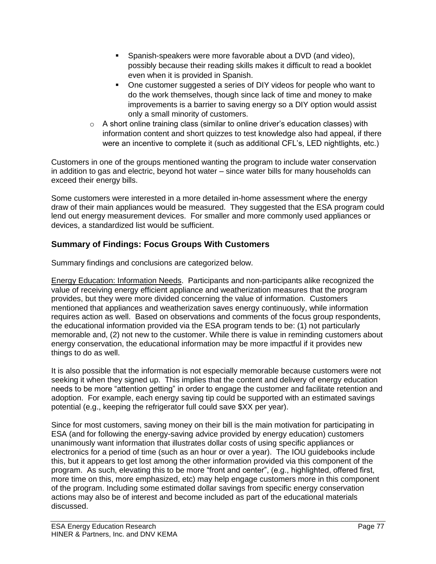- **Spanish-speakers were more favorable about a DVD (and video),** possibly because their reading skills makes it difficult to read a booklet even when it is provided in Spanish.
- One customer suggested a series of DIY videos for people who want to do the work themselves, though since lack of time and money to make improvements is a barrier to saving energy so a DIY option would assist only a small minority of customers.
- $\circ$  A short online training class (similar to online driver's education classes) with information content and short quizzes to test knowledge also had appeal, if there were an incentive to complete it (such as additional CFL's, LED nightlights, etc.)

Customers in one of the groups mentioned wanting the program to include water conservation in addition to gas and electric, beyond hot water – since water bills for many households can exceed their energy bills.

Some customers were interested in a more detailed in-home assessment where the energy draw of their main appliances would be measured. They suggested that the ESA program could lend out energy measurement devices. For smaller and more commonly used appliances or devices, a standardized list would be sufficient.

# **Summary of Findings: Focus Groups With Customers**

Summary findings and conclusions are categorized below.

Energy Education: Information Needs. Participants and non-participants alike recognized the value of receiving energy efficient appliance and weatherization measures that the program provides, but they were more divided concerning the value of information. Customers mentioned that appliances and weatherization saves energy continuously, while information requires action as well. Based on observations and comments of the focus group respondents, the educational information provided via the ESA program tends to be: (1) not particularly memorable and, (2) not new to the customer. While there is value in reminding customers about energy conservation, the educational information may be more impactful if it provides new things to do as well.

It is also possible that the information is not especially memorable because customers were not seeking it when they signed up. This implies that the content and delivery of energy education needs to be more "attention getting" in order to engage the customer and facilitate retention and adoption. For example, each energy saving tip could be supported with an estimated savings potential (e.g., keeping the refrigerator full could save \$XX per year).

Since for most customers, saving money on their bill is the main motivation for participating in ESA (and for following the energy-saving advice provided by energy education) customers unanimously want information that illustrates dollar costs of using specific appliances or electronics for a period of time (such as an hour or over a year). The IOU guidebooks include this, but it appears to get lost among the other information provided via this component of the program. As such, elevating this to be more "front and center", (e.g., highlighted, offered first, more time on this, more emphasized, etc) may help engage customers more in this component of the program. Including some estimated dollar savings from specific energy conservation actions may also be of interest and become included as part of the educational materials discussed.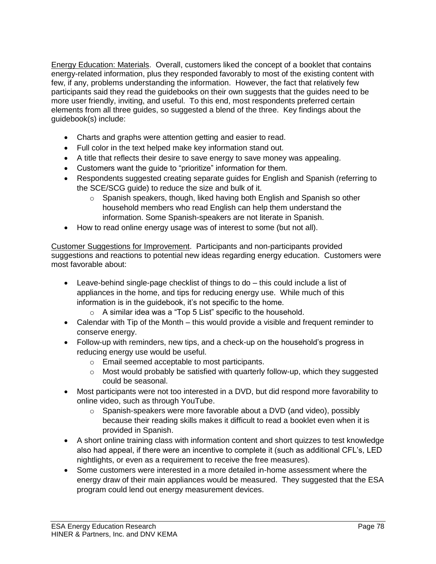Energy Education: Materials. Overall, customers liked the concept of a booklet that contains energy-related information, plus they responded favorably to most of the existing content with few, if any, problems understanding the information. However, the fact that relatively few participants said they read the guidebooks on their own suggests that the guides need to be more user friendly, inviting, and useful. To this end, most respondents preferred certain elements from all three guides, so suggested a blend of the three. Key findings about the guidebook(s) include:

- Charts and graphs were attention getting and easier to read.
- Full color in the text helped make key information stand out.
- A title that reflects their desire to save energy to save money was appealing.
- Customers want the guide to "prioritize" information for them.
- Respondents suggested creating separate guides for English and Spanish (referring to the SCE/SCG guide) to reduce the size and bulk of it.
	- $\circ$  Spanish speakers, though, liked having both English and Spanish so other household members who read English can help them understand the information. Some Spanish-speakers are not literate in Spanish.
- How to read online energy usage was of interest to some (but not all).

Customer Suggestions for Improvement. Participants and non-participants provided suggestions and reactions to potential new ideas regarding energy education. Customers were most favorable about:

- Leave-behind single-page checklist of things to do this could include a list of appliances in the home, and tips for reducing energy use. While much of this information is in the guidebook, it's not specific to the home.
	- o A similar idea was a "Top 5 List" specific to the household.
- Calendar with Tip of the Month this would provide a visible and frequent reminder to conserve energy.
- Follow-up with reminders, new tips, and a check-up on the household's progress in reducing energy use would be useful.
	- o Email seemed acceptable to most participants.
	- $\circ$  Most would probably be satisfied with quarterly follow-up, which they suggested could be seasonal.
- Most participants were not too interested in a DVD, but did respond more favorability to online video, such as through YouTube.
	- o Spanish-speakers were more favorable about a DVD (and video), possibly because their reading skills makes it difficult to read a booklet even when it is provided in Spanish.
- A short online training class with information content and short quizzes to test knowledge also had appeal, if there were an incentive to complete it (such as additional CFL's, LED nightlights, or even as a requirement to receive the free measures).
- Some customers were interested in a more detailed in-home assessment where the energy draw of their main appliances would be measured. They suggested that the ESA program could lend out energy measurement devices.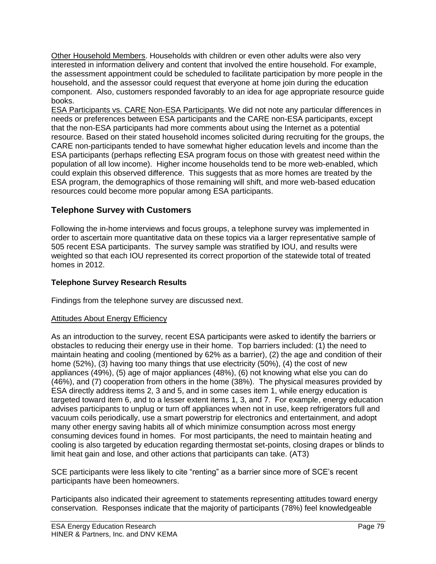Other Household Members. Households with children or even other adults were also very interested in information delivery and content that involved the entire household. For example, the assessment appointment could be scheduled to facilitate participation by more people in the household, and the assessor could request that everyone at home join during the education component. Also, customers responded favorably to an idea for age appropriate resource guide books.

ESA Participants vs. CARE Non-ESA Participants. We did not note any particular differences in needs or preferences between ESA participants and the CARE non-ESA participants, except that the non-ESA participants had more comments about using the Internet as a potential resource. Based on their stated household incomes solicited during recruiting for the groups, the CARE non-participants tended to have somewhat higher education levels and income than the ESA participants (perhaps reflecting ESA program focus on those with greatest need within the population of all low income). Higher income households tend to be more web-enabled, which could explain this observed difference. This suggests that as more homes are treated by the ESA program, the demographics of those remaining will shift, and more web-based education resources could become more popular among ESA participants.

# **Telephone Survey with Customers**

Following the in-home interviews and focus groups, a telephone survey was implemented in order to ascertain more quantitative data on these topics via a larger representative sample of 505 recent ESA participants. The survey sample was stratified by IOU, and results were weighted so that each IOU represented its correct proportion of the statewide total of treated homes in 2012.

# **Telephone Survey Research Results**

Findings from the telephone survey are discussed next.

# Attitudes About Energy Efficiency

As an introduction to the survey, recent ESA participants were asked to identify the barriers or obstacles to reducing their energy use in their home. Top barriers included: (1) the need to maintain heating and cooling (mentioned by 62% as a barrier), (2) the age and condition of their home (52%), (3) having too many things that use electricity (50%), (4) the cost of new appliances (49%), (5) age of major appliances (48%), (6) not knowing what else you can do (46%), and (7) cooperation from others in the home (38%). The physical measures provided by ESA directly address items 2, 3 and 5, and in some cases item 1, while energy education is targeted toward item 6, and to a lesser extent items 1, 3, and 7. For example, energy education advises participants to unplug or turn off appliances when not in use, keep refrigerators full and vacuum coils periodically, use a smart powerstrip for electronics and entertainment, and adopt many other energy saving habits all of which minimize consumption across most energy consuming devices found in homes. For most participants, the need to maintain heating and cooling is also targeted by education regarding thermostat set-points, closing drapes or blinds to limit heat gain and lose, and other actions that participants can take. (AT3)

SCE participants were less likely to cite "renting" as a barrier since more of SCE's recent participants have been homeowners.

Participants also indicated their agreement to statements representing attitudes toward energy conservation. Responses indicate that the majority of participants (78%) feel knowledgeable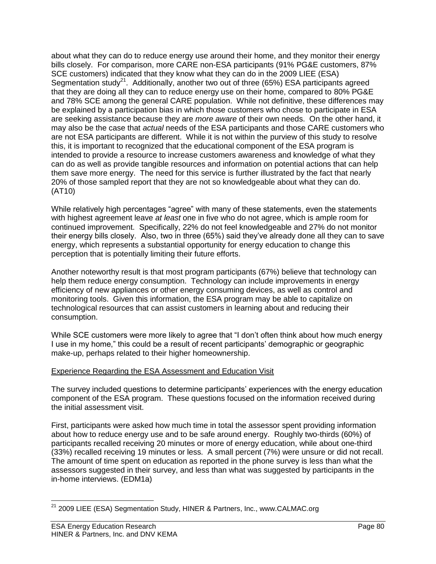about what they can do to reduce energy use around their home, and they monitor their energy bills closely. For comparison, more CARE non-ESA participants (91% PG&E customers, 87% SCE customers) indicated that they know what they can do in the 2009 LIEE (ESA) Segmentation study<sup>21</sup>. Additionally, another two out of three (65%) ESA participants agreed that they are doing all they can to reduce energy use on their home, compared to 80% PG&E and 78% SCE among the general CARE population. While not definitive, these differences may be explained by a participation bias in which those customers who chose to participate in ESA are seeking assistance because they are *more aware* of their own needs. On the other hand, it may also be the case that *actual* needs of the ESA participants and those CARE customers who are not ESA participants are different. While it is not within the purview of this study to resolve this, it is important to recognized that the educational component of the ESA program is intended to provide a resource to increase customers awareness and knowledge of what they can do as well as provide tangible resources and information on potential actions that can help them save more energy. The need for this service is further illustrated by the fact that nearly 20% of those sampled report that they are not so knowledgeable about what they can do. (AT10)

While relatively high percentages "agree" with many of these statements, even the statements with highest agreement leave *at least* one in five who do not agree, which is ample room for continued improvement. Specifically, 22% do not feel knowledgeable and 27% do not monitor their energy bills closely. Also, two in three (65%) said they've already done all they can to save energy, which represents a substantial opportunity for energy education to change this perception that is potentially limiting their future efforts.

Another noteworthy result is that most program participants (67%) believe that technology can help them reduce energy consumption. Technology can include improvements in energy efficiency of new appliances or other energy consuming devices, as well as control and monitoring tools. Given this information, the ESA program may be able to capitalize on technological resources that can assist customers in learning about and reducing their consumption.

While SCE customers were more likely to agree that "I don't often think about how much energy I use in my home," this could be a result of recent participants' demographic or geographic make-up, perhaps related to their higher homeownership.

# Experience Regarding the ESA Assessment and Education Visit

The survey included questions to determine participants' experiences with the energy education component of the ESA program. These questions focused on the information received during the initial assessment visit.

First, participants were asked how much time in total the assessor spent providing information about how to reduce energy use and to be safe around energy. Roughly two-thirds (60%) of participants recalled receiving 20 minutes or more of energy education, while about one-third (33%) recalled receiving 19 minutes or less. A small percent (7%) were unsure or did not recall. The amount of time spent on education as reported in the phone survey is less than what the assessors suggested in their survey, and less than what was suggested by participants in the in-home interviews. (EDM1a)

 $\overline{a}$ <sup>21</sup> 2009 LIEE (ESA) Segmentation Study, HINER & Partners, Inc., www.CALMAC.org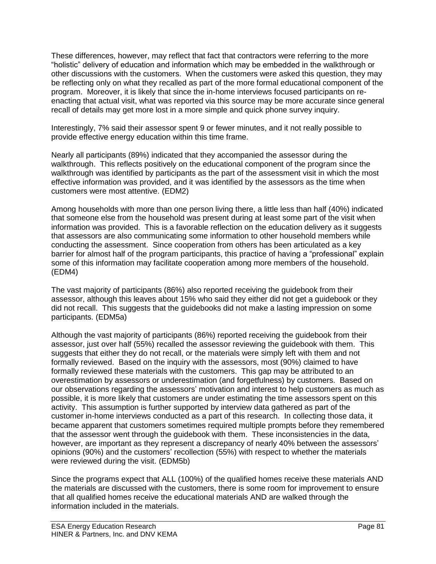These differences, however, may reflect that fact that contractors were referring to the more "holistic" delivery of education and information which may be embedded in the walkthrough or other discussions with the customers. When the customers were asked this question, they may be reflecting only on what they recalled as part of the more formal educational component of the program. Moreover, it is likely that since the in-home interviews focused participants on reenacting that actual visit, what was reported via this source may be more accurate since general recall of details may get more lost in a more simple and quick phone survey inquiry.

Interestingly, 7% said their assessor spent 9 or fewer minutes, and it not really possible to provide effective energy education within this time frame.

Nearly all participants (89%) indicated that they accompanied the assessor during the walkthrough. This reflects positively on the educational component of the program since the walkthrough was identified by participants as the part of the assessment visit in which the most effective information was provided, and it was identified by the assessors as the time when customers were most attentive. (EDM2)

Among households with more than one person living there, a little less than half (40%) indicated that someone else from the household was present during at least some part of the visit when information was provided. This is a favorable reflection on the education delivery as it suggests that assessors are also communicating some information to other household members while conducting the assessment. Since cooperation from others has been articulated as a key barrier for almost half of the program participants, this practice of having a "professional" explain some of this information may facilitate cooperation among more members of the household. (EDM4)

The vast majority of participants (86%) also reported receiving the guidebook from their assessor, although this leaves about 15% who said they either did not get a guidebook or they did not recall. This suggests that the guidebooks did not make a lasting impression on some participants. (EDM5a)

Although the vast majority of participants (86%) reported receiving the guidebook from their assessor, just over half (55%) recalled the assessor reviewing the guidebook with them. This suggests that either they do not recall, or the materials were simply left with them and not formally reviewed. Based on the inquiry with the assessors, most (90%) claimed to have formally reviewed these materials with the customers. This gap may be attributed to an overestimation by assessors or underestimation (and forgetfulness) by customers. Based on our observations regarding the assessors' motivation and interest to help customers as much as possible, it is more likely that customers are under estimating the time assessors spent on this activity. This assumption is further supported by interview data gathered as part of the customer in-home interviews conducted as a part of this research. In collecting those data, it became apparent that customers sometimes required multiple prompts before they remembered that the assessor went through the guidebook with them. These inconsistencies in the data, however, are important as they represent a discrepancy of nearly 40% between the assessors' opinions (90%) and the customers' recollection (55%) with respect to whether the materials were reviewed during the visit. (EDM5b)

Since the programs expect that ALL (100%) of the qualified homes receive these materials AND the materials are discussed with the customers, there is some room for improvement to ensure that all qualified homes receive the educational materials AND are walked through the information included in the materials.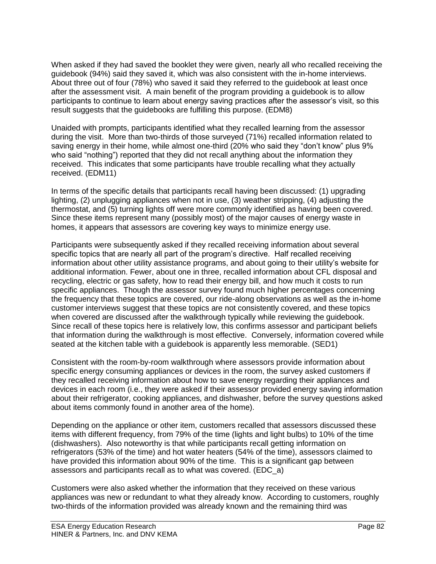When asked if they had saved the booklet they were given, nearly all who recalled receiving the guidebook (94%) said they saved it, which was also consistent with the in-home interviews. About three out of four (78%) who saved it said they referred to the guidebook at least once after the assessment visit. A main benefit of the program providing a guidebook is to allow participants to continue to learn about energy saving practices after the assessor's visit, so this result suggests that the guidebooks are fulfilling this purpose. (EDM8)

Unaided with prompts, participants identified what they recalled learning from the assessor during the visit. More than two-thirds of those surveyed (71%) recalled information related to saving energy in their home, while almost one-third (20% who said they "don't know" plus 9% who said "nothing") reported that they did not recall anything about the information they received. This indicates that some participants have trouble recalling what they actually received. (EDM11)

In terms of the specific details that participants recall having been discussed: (1) upgrading lighting, (2) unplugging appliances when not in use, (3) weather stripping, (4) adjusting the thermostat, and (5) turning lights off were more commonly identified as having been covered. Since these items represent many (possibly most) of the major causes of energy waste in homes, it appears that assessors are covering key ways to minimize energy use.

Participants were subsequently asked if they recalled receiving information about several specific topics that are nearly all part of the program's directive. Half recalled receiving information about other utility assistance programs, and about going to their utility's website for additional information. Fewer, about one in three, recalled information about CFL disposal and recycling, electric or gas safety, how to read their energy bill, and how much it costs to run specific appliances. Though the assessor survey found much higher percentages concerning the frequency that these topics are covered, our ride-along observations as well as the in-home customer interviews suggest that these topics are not consistently covered, and these topics when covered are discussed after the walkthrough typically while reviewing the guidebook. Since recall of these topics here is relatively low, this confirms assessor and participant beliefs that information during the walkthrough is most effective. Conversely, information covered while seated at the kitchen table with a guidebook is apparently less memorable. (SED1)

Consistent with the room-by-room walkthrough where assessors provide information about specific energy consuming appliances or devices in the room, the survey asked customers if they recalled receiving information about how to save energy regarding their appliances and devices in each room (i.e., they were asked if their assessor provided energy saving information about their refrigerator, cooking appliances, and dishwasher, before the survey questions asked about items commonly found in another area of the home).

Depending on the appliance or other item, customers recalled that assessors discussed these items with different frequency, from 79% of the time (lights and light bulbs) to 10% of the time (dishwashers). Also noteworthy is that while participants recall getting information on refrigerators (53% of the time) and hot water heaters (54% of the time), assessors claimed to have provided this information about 90% of the time. This is a significant gap between assessors and participants recall as to what was covered. (EDC\_a)

Customers were also asked whether the information that they received on these various appliances was new or redundant to what they already know. According to customers, roughly two-thirds of the information provided was already known and the remaining third was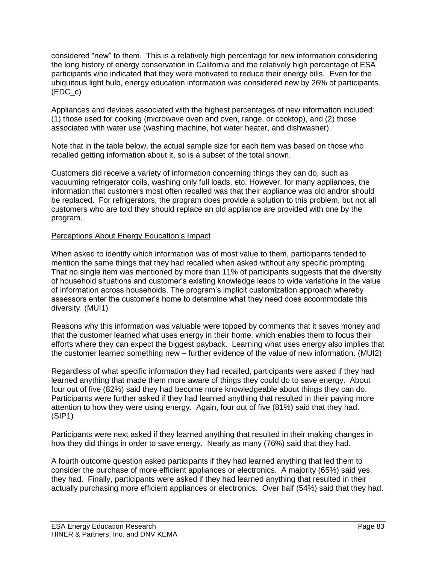considered "new" to them. This is a relatively high percentage for new information considering the long history of energy conservation in California and the relatively high percentage of ESA participants who indicated that they were motivated to reduce their energy bills. Even for the ubiquitous light bulb, energy education information was considered new by 26% of participants. (EDC\_c)

Appliances and devices associated with the highest percentages of new information included: (1) those used for cooking (microwave oven and oven, range, or cooktop), and (2) those associated with water use (washing machine, hot water heater, and dishwasher).

Note that in the table below, the actual sample size for each item was based on those who recalled getting information about it, so is a subset of the total shown.

Customers did receive a variety of information concerning things they can do, such as vacuuming refrigerator coils, washing only full loads, etc. However, for many appliances, the information that customers most often recalled was that their appliance was old and/or should be replaced. For refrigerators, the program does provide a solution to this problem, but not all customers who are told they should replace an old appliance are provided with one by the program.

### Perceptions About Energy Education's Impact

When asked to identify which information was of most value to them, participants tended to mention the same things that they had recalled when asked without any specific prompting. That no single item was mentioned by more than 11% of participants suggests that the diversity of household situations and customer's existing knowledge leads to wide variations in the value of information across households. The program's implicit customization approach whereby assessors enter the customer's home to determine what they need does accommodate this diversity. (MUI1)

Reasons why this information was valuable were topped by comments that it saves money and that the customer learned what uses energy in their home, which enables them to focus their efforts where they can expect the biggest payback. Learning what uses energy also implies that the customer learned something new – further evidence of the value of new information. (MUI2)

Regardless of what specific information they had recalled, participants were asked if they had learned anything that made them more aware of things they could do to save energy. About four out of five (82%) said they had become more knowledgeable about things they can do. Participants were further asked if they had learned anything that resulted in their paying more attention to how they were using energy. Again, four out of five (81%) said that they had. (SIP1)

Participants were next asked if they learned anything that resulted in their making changes in how they did things in order to save energy. Nearly as many (76%) said that they had.

A fourth outcome question asked participants if they had learned anything that led them to consider the purchase of more efficient appliances or electronics. A majority (65%) said yes, they had. Finally, participants were asked if they had learned anything that resulted in their actually purchasing more efficient appliances or electronics. Over half (54%) said that they had.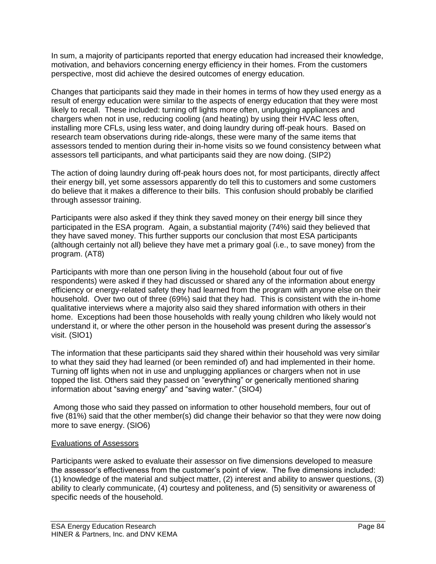In sum, a majority of participants reported that energy education had increased their knowledge, motivation, and behaviors concerning energy efficiency in their homes. From the customers perspective, most did achieve the desired outcomes of energy education.

Changes that participants said they made in their homes in terms of how they used energy as a result of energy education were similar to the aspects of energy education that they were most likely to recall. These included: turning off lights more often, unplugging appliances and chargers when not in use, reducing cooling (and heating) by using their HVAC less often, installing more CFLs, using less water, and doing laundry during off-peak hours. Based on research team observations during ride-alongs, these were many of the same items that assessors tended to mention during their in-home visits so we found consistency between what assessors tell participants, and what participants said they are now doing. (SIP2)

The action of doing laundry during off-peak hours does not, for most participants, directly affect their energy bill, yet some assessors apparently do tell this to customers and some customers do believe that it makes a difference to their bills. This confusion should probably be clarified through assessor training.

Participants were also asked if they think they saved money on their energy bill since they participated in the ESA program. Again, a substantial majority (74%) said they believed that they have saved money. This further supports our conclusion that most ESA participants (although certainly not all) believe they have met a primary goal (i.e., to save money) from the program. (AT8)

Participants with more than one person living in the household (about four out of five respondents) were asked if they had discussed or shared any of the information about energy efficiency or energy-related safety they had learned from the program with anyone else on their household. Over two out of three (69%) said that they had. This is consistent with the in-home qualitative interviews where a majority also said they shared information with others in their home. Exceptions had been those households with really young children who likely would not understand it, or where the other person in the household was present during the assessor's visit. (SIO1)

The information that these participants said they shared within their household was very similar to what they said they had learned (or been reminded of) and had implemented in their home. Turning off lights when not in use and unplugging appliances or chargers when not in use topped the list. Others said they passed on "everything" or generically mentioned sharing information about "saving energy" and "saving water." (SIO4)

Among those who said they passed on information to other household members, four out of five (81%) said that the other member(s) did change their behavior so that they were now doing more to save energy. (SIO6)

## Evaluations of Assessors

Participants were asked to evaluate their assessor on five dimensions developed to measure the assessor's effectiveness from the customer's point of view. The five dimensions included: (1) knowledge of the material and subject matter, (2) interest and ability to answer questions, (3) ability to clearly communicate, (4) courtesy and politeness, and (5) sensitivity or awareness of specific needs of the household.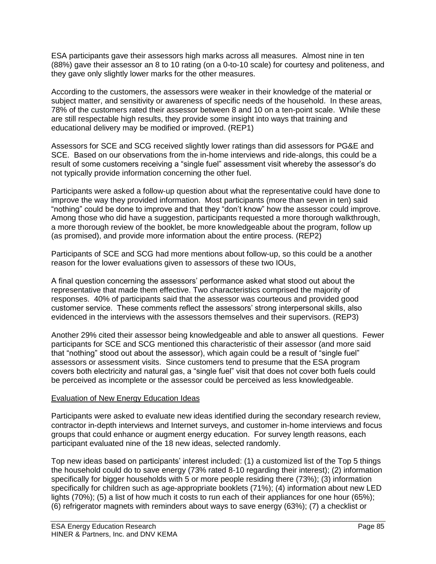ESA participants gave their assessors high marks across all measures. Almost nine in ten (88%) gave their assessor an 8 to 10 rating (on a 0-to-10 scale) for courtesy and politeness, and they gave only slightly lower marks for the other measures.

According to the customers, the assessors were weaker in their knowledge of the material or subject matter, and sensitivity or awareness of specific needs of the household. In these areas, 78% of the customers rated their assessor between 8 and 10 on a ten-point scale. While these are still respectable high results, they provide some insight into ways that training and educational delivery may be modified or improved. (REP1)

Assessors for SCE and SCG received slightly lower ratings than did assessors for PG&E and SCE. Based on our observations from the in-home interviews and ride-alongs, this could be a result of some customers receiving a "single fuel" assessment visit whereby the assessor's do not typically provide information concerning the other fuel.

Participants were asked a follow-up question about what the representative could have done to improve the way they provided information. Most participants (more than seven in ten) said "nothing" could be done to improve and that they "don't know" how the assessor could improve. Among those who did have a suggestion, participants requested a more thorough walkthrough, a more thorough review of the booklet, be more knowledgeable about the program, follow up (as promised), and provide more information about the entire process. (REP2)

Participants of SCE and SCG had more mentions about follow-up, so this could be a another reason for the lower evaluations given to assessors of these two IOUs,

A final question concerning the assessors' performance asked what stood out about the representative that made them effective. Two characteristics comprised the majority of responses. 40% of participants said that the assessor was courteous and provided good customer service. These comments reflect the assessors' strong interpersonal skills, also evidenced in the interviews with the assessors themselves and their supervisors. (REP3)

Another 29% cited their assessor being knowledgeable and able to answer all questions. Fewer participants for SCE and SCG mentioned this characteristic of their assessor (and more said that "nothing" stood out about the assessor), which again could be a result of "single fuel" assessors or assessment visits. Since customers tend to presume that the ESA program covers both electricity and natural gas, a "single fuel" visit that does not cover both fuels could be perceived as incomplete or the assessor could be perceived as less knowledgeable.

## Evaluation of New Energy Education Ideas

Participants were asked to evaluate new ideas identified during the secondary research review, contractor in-depth interviews and Internet surveys, and customer in-home interviews and focus groups that could enhance or augment energy education. For survey length reasons, each participant evaluated nine of the 18 new ideas, selected randomly.

Top new ideas based on participants' interest included: (1) a customized list of the Top 5 things the household could do to save energy (73% rated 8-10 regarding their interest); (2) information specifically for bigger households with 5 or more people residing there (73%); (3) information specifically for children such as age-appropriate booklets (71%); (4) information about new LED lights (70%); (5) a list of how much it costs to run each of their appliances for one hour (65%); (6) refrigerator magnets with reminders about ways to save energy (63%); (7) a checklist or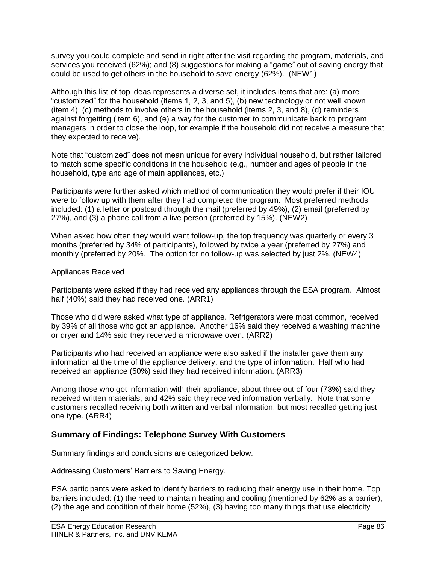survey you could complete and send in right after the visit regarding the program, materials, and services you received (62%); and (8) suggestions for making a "game" out of saving energy that could be used to get others in the household to save energy (62%). (NEW1)

Although this list of top ideas represents a diverse set, it includes items that are: (a) more "customized" for the household (items 1, 2, 3, and 5), (b) new technology or not well known (item 4), (c) methods to involve others in the household (items 2, 3, and 8), (d) reminders against forgetting (item 6), and (e) a way for the customer to communicate back to program managers in order to close the loop, for example if the household did not receive a measure that they expected to receive).

Note that "customized" does not mean unique for every individual household, but rather tailored to match some specific conditions in the household (e.g., number and ages of people in the household, type and age of main appliances, etc.)

Participants were further asked which method of communication they would prefer if their IOU were to follow up with them after they had completed the program. Most preferred methods included: (1) a letter or postcard through the mail (preferred by 49%), (2) email (preferred by 27%), and (3) a phone call from a live person (preferred by 15%). (NEW2)

When asked how often they would want follow-up, the top frequency was quarterly or every 3 months (preferred by 34% of participants), followed by twice a year (preferred by 27%) and monthly (preferred by 20%. The option for no follow-up was selected by just 2%. (NEW4)

## Appliances Received

Participants were asked if they had received any appliances through the ESA program. Almost half (40%) said they had received one. (ARR1)

Those who did were asked what type of appliance. Refrigerators were most common, received by 39% of all those who got an appliance. Another 16% said they received a washing machine or dryer and 14% said they received a microwave oven. (ARR2)

Participants who had received an appliance were also asked if the installer gave them any information at the time of the appliance delivery, and the type of information. Half who had received an appliance (50%) said they had received information. (ARR3)

Among those who got information with their appliance, about three out of four (73%) said they received written materials, and 42% said they received information verbally. Note that some customers recalled receiving both written and verbal information, but most recalled getting just one type. (ARR4)

# **Summary of Findings: Telephone Survey With Customers**

Summary findings and conclusions are categorized below.

## Addressing Customers' Barriers to Saving Energy.

ESA participants were asked to identify barriers to reducing their energy use in their home. Top barriers included: (1) the need to maintain heating and cooling (mentioned by 62% as a barrier), (2) the age and condition of their home (52%), (3) having too many things that use electricity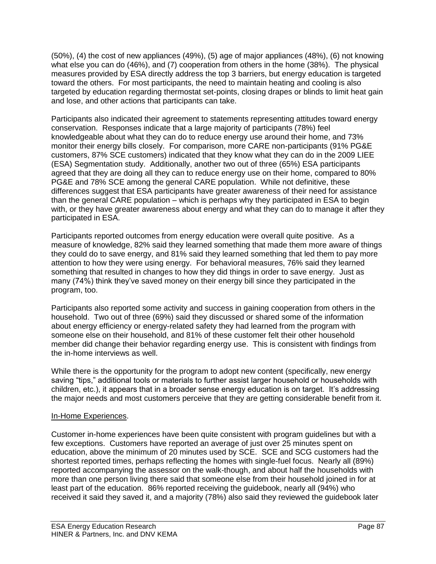(50%), (4) the cost of new appliances (49%), (5) age of major appliances (48%), (6) not knowing what else you can do (46%), and (7) cooperation from others in the home (38%). The physical measures provided by ESA directly address the top 3 barriers, but energy education is targeted toward the others. For most participants, the need to maintain heating and cooling is also targeted by education regarding thermostat set-points, closing drapes or blinds to limit heat gain and lose, and other actions that participants can take.

Participants also indicated their agreement to statements representing attitudes toward energy conservation. Responses indicate that a large majority of participants (78%) feel knowledgeable about what they can do to reduce energy use around their home, and 73% monitor their energy bills closely. For comparison, more CARE non-participants (91% PG&E customers, 87% SCE customers) indicated that they know what they can do in the 2009 LIEE (ESA) Segmentation study. Additionally, another two out of three (65%) ESA participants agreed that they are doing all they can to reduce energy use on their home, compared to 80% PG&E and 78% SCE among the general CARE population. While not definitive, these differences suggest that ESA participants have greater awareness of their need for assistance than the general CARE population – which is perhaps why they participated in ESA to begin with, or they have greater awareness about energy and what they can do to manage it after they participated in ESA.

Participants reported outcomes from energy education were overall quite positive. As a measure of knowledge, 82% said they learned something that made them more aware of things they could do to save energy, and 81% said they learned something that led them to pay more attention to how they were using energy. For behavioral measures, 76% said they learned something that resulted in changes to how they did things in order to save energy. Just as many (74%) think they've saved money on their energy bill since they participated in the program, too.

Participants also reported some activity and success in gaining cooperation from others in the household. Two out of three (69%) said they discussed or shared some of the information about energy efficiency or energy-related safety they had learned from the program with someone else on their household, and 81% of these customer felt their other household member did change their behavior regarding energy use. This is consistent with findings from the in-home interviews as well.

While there is the opportunity for the program to adopt new content (specifically, new energy saving "tips," additional tools or materials to further assist larger household or households with children, etc.), it appears that in a broader sense energy education is on target. It's addressing the major needs and most customers perceive that they are getting considerable benefit from it.

## In-Home Experiences.

Customer in-home experiences have been quite consistent with program guidelines but with a few exceptions. Customers have reported an average of just over 25 minutes spent on education, above the minimum of 20 minutes used by SCE. SCE and SCG customers had the shortest reported times, perhaps reflecting the homes with single-fuel focus. Nearly all (89%) reported accompanying the assessor on the walk-though, and about half the households with more than one person living there said that someone else from their household joined in for at least part of the education. 86% reported receiving the guidebook, nearly all (94%) who received it said they saved it, and a majority (78%) also said they reviewed the guidebook later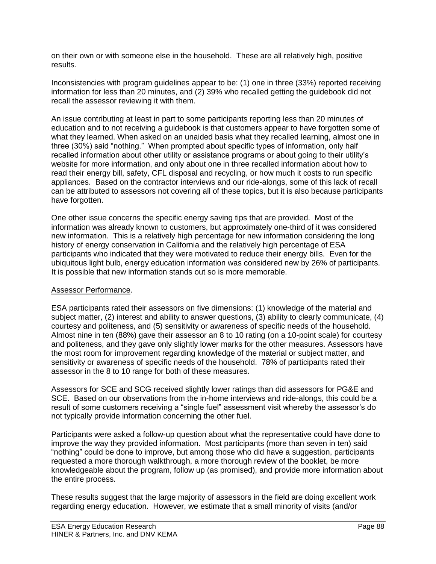on their own or with someone else in the household. These are all relatively high, positive results.

Inconsistencies with program guidelines appear to be: (1) one in three (33%) reported receiving information for less than 20 minutes, and (2) 39% who recalled getting the guidebook did not recall the assessor reviewing it with them.

An issue contributing at least in part to some participants reporting less than 20 minutes of education and to not receiving a guidebook is that customers appear to have forgotten some of what they learned. When asked on an unaided basis what they recalled learning, almost one in three (30%) said "nothing." When prompted about specific types of information, only half recalled information about other utility or assistance programs or about going to their utility's website for more information, and only about one in three recalled information about how to read their energy bill, safety, CFL disposal and recycling, or how much it costs to run specific appliances. Based on the contractor interviews and our ride-alongs, some of this lack of recall can be attributed to assessors not covering all of these topics, but it is also because participants have forgotten.

One other issue concerns the specific energy saving tips that are provided. Most of the information was already known to customers, but approximately one-third of it was considered new information. This is a relatively high percentage for new information considering the long history of energy conservation in California and the relatively high percentage of ESA participants who indicated that they were motivated to reduce their energy bills. Even for the ubiquitous light bulb, energy education information was considered new by 26% of participants. It is possible that new information stands out so is more memorable.

## Assessor Performance.

ESA participants rated their assessors on five dimensions: (1) knowledge of the material and subject matter, (2) interest and ability to answer questions, (3) ability to clearly communicate, (4) courtesy and politeness, and (5) sensitivity or awareness of specific needs of the household. Almost nine in ten (88%) gave their assessor an 8 to 10 rating (on a 10-point scale) for courtesy and politeness, and they gave only slightly lower marks for the other measures. Assessors have the most room for improvement regarding knowledge of the material or subject matter, and sensitivity or awareness of specific needs of the household. 78% of participants rated their assessor in the 8 to 10 range for both of these measures.

Assessors for SCE and SCG received slightly lower ratings than did assessors for PG&E and SCE. Based on our observations from the in-home interviews and ride-alongs, this could be a result of some customers receiving a "single fuel" assessment visit whereby the assessor's do not typically provide information concerning the other fuel.

Participants were asked a follow-up question about what the representative could have done to improve the way they provided information. Most participants (more than seven in ten) said "nothing" could be done to improve, but among those who did have a suggestion, participants requested a more thorough walkthrough, a more thorough review of the booklet, be more knowledgeable about the program, follow up (as promised), and provide more information about the entire process.

These results suggest that the large majority of assessors in the field are doing excellent work regarding energy education. However, we estimate that a small minority of visits (and/or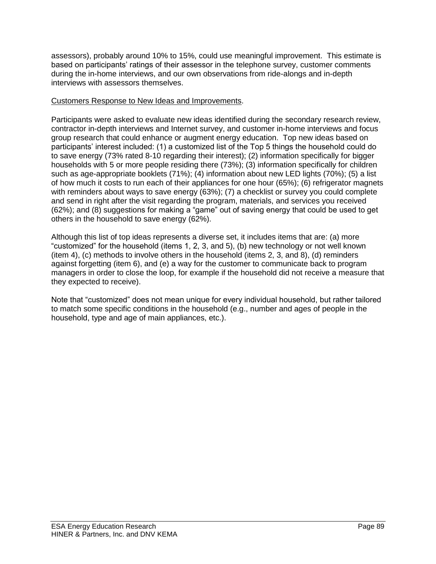assessors), probably around 10% to 15%, could use meaningful improvement. This estimate is based on participants' ratings of their assessor in the telephone survey, customer comments during the in-home interviews, and our own observations from ride-alongs and in-depth interviews with assessors themselves.

## Customers Response to New Ideas and Improvements.

Participants were asked to evaluate new ideas identified during the secondary research review, contractor in-depth interviews and Internet survey, and customer in-home interviews and focus group research that could enhance or augment energy education. Top new ideas based on participants' interest included: (1) a customized list of the Top 5 things the household could do to save energy (73% rated 8-10 regarding their interest); (2) information specifically for bigger households with 5 or more people residing there (73%); (3) information specifically for children such as age-appropriate booklets (71%); (4) information about new LED lights (70%); (5) a list of how much it costs to run each of their appliances for one hour (65%); (6) refrigerator magnets with reminders about ways to save energy (63%); (7) a checklist or survey you could complete and send in right after the visit regarding the program, materials, and services you received (62%); and (8) suggestions for making a "game" out of saving energy that could be used to get others in the household to save energy (62%).

Although this list of top ideas represents a diverse set, it includes items that are: (a) more "customized" for the household (items 1, 2, 3, and 5), (b) new technology or not well known (item 4), (c) methods to involve others in the household (items 2, 3, and 8), (d) reminders against forgetting (item 6), and (e) a way for the customer to communicate back to program managers in order to close the loop, for example if the household did not receive a measure that they expected to receive).

Note that "customized" does not mean unique for every individual household, but rather tailored to match some specific conditions in the household (e.g., number and ages of people in the household, type and age of main appliances, etc.).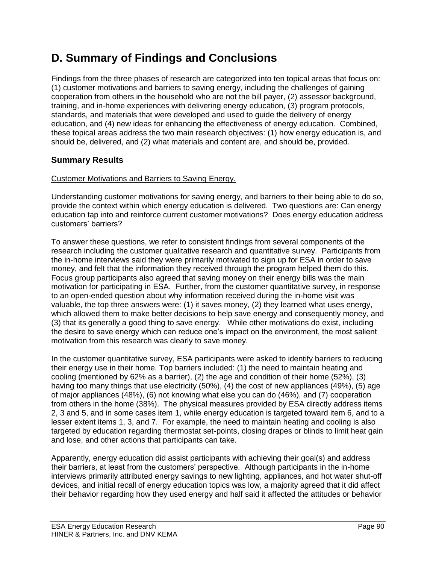# **D. Summary of Findings and Conclusions**

Findings from the three phases of research are categorized into ten topical areas that focus on: (1) customer motivations and barriers to saving energy, including the challenges of gaining cooperation from others in the household who are not the bill payer, (2) assessor background, training, and in-home experiences with delivering energy education, (3) program protocols, standards, and materials that were developed and used to guide the delivery of energy education, and (4) new ideas for enhancing the effectiveness of energy education. Combined, these topical areas address the two main research objectives: (1) how energy education is, and should be, delivered, and (2) what materials and content are, and should be, provided.

# **Summary Results**

## Customer Motivations and Barriers to Saving Energy.

Understanding customer motivations for saving energy, and barriers to their being able to do so, provide the context within which energy education is delivered. Two questions are: Can energy education tap into and reinforce current customer motivations? Does energy education address customers' barriers?

To answer these questions, we refer to consistent findings from several components of the research including the customer qualitative research and quantitative survey. Participants from the in-home interviews said they were primarily motivated to sign up for ESA in order to save money, and felt that the information they received through the program helped them do this. Focus group participants also agreed that saving money on their energy bills was the main motivation for participating in ESA. Further, from the customer quantitative survey, in response to an open-ended question about why information received during the in-home visit was valuable, the top three answers were: (1) it saves money, (2) they learned what uses energy, which allowed them to make better decisions to help save energy and consequently money, and (3) that its generally a good thing to save energy. While other motivations do exist, including the desire to save energy which can reduce one's impact on the environment, the most salient motivation from this research was clearly to save money.

In the customer quantitative survey, ESA participants were asked to identify barriers to reducing their energy use in their home. Top barriers included: (1) the need to maintain heating and cooling (mentioned by 62% as a barrier), (2) the age and condition of their home (52%), (3) having too many things that use electricity (50%), (4) the cost of new appliances (49%), (5) age of major appliances (48%), (6) not knowing what else you can do (46%), and (7) cooperation from others in the home (38%). The physical measures provided by ESA directly address items 2, 3 and 5, and in some cases item 1, while energy education is targeted toward item 6, and to a lesser extent items 1, 3, and 7. For example, the need to maintain heating and cooling is also targeted by education regarding thermostat set-points, closing drapes or blinds to limit heat gain and lose, and other actions that participants can take.

Apparently, energy education did assist participants with achieving their goal(s) and address their barriers, at least from the customers' perspective. Although participants in the in-home interviews primarily attributed energy savings to new lighting, appliances, and hot water shut-off devices, and initial recall of energy education topics was low, a majority agreed that it did affect their behavior regarding how they used energy and half said it affected the attitudes or behavior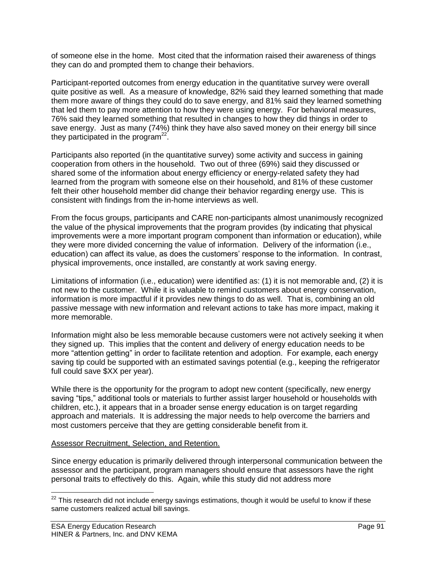of someone else in the home. Most cited that the information raised their awareness of things they can do and prompted them to change their behaviors.

Participant-reported outcomes from energy education in the quantitative survey were overall quite positive as well. As a measure of knowledge, 82% said they learned something that made them more aware of things they could do to save energy, and 81% said they learned something that led them to pay more attention to how they were using energy. For behavioral measures, 76% said they learned something that resulted in changes to how they did things in order to save energy. Just as many (74%) think they have also saved money on their energy bill since they participated in the program $22$ .

Participants also reported (in the quantitative survey) some activity and success in gaining cooperation from others in the household. Two out of three (69%) said they discussed or shared some of the information about energy efficiency or energy-related safety they had learned from the program with someone else on their household, and 81% of these customer felt their other household member did change their behavior regarding energy use. This is consistent with findings from the in-home interviews as well.

From the focus groups, participants and CARE non-participants almost unanimously recognized the value of the physical improvements that the program provides (by indicating that physical improvements were a more important program component than information or education), while they were more divided concerning the value of information. Delivery of the information (i.e., education) can affect its value, as does the customers' response to the information. In contrast, physical improvements, once installed, are constantly at work saving energy.

Limitations of information (i.e., education) were identified as: (1) it is not memorable and, (2) it is not new to the customer. While it is valuable to remind customers about energy conservation, information is more impactful if it provides new things to do as well. That is, combining an old passive message with new information and relevant actions to take has more impact, making it more memorable.

Information might also be less memorable because customers were not actively seeking it when they signed up. This implies that the content and delivery of energy education needs to be more "attention getting" in order to facilitate retention and adoption. For example, each energy saving tip could be supported with an estimated savings potential (e.g., keeping the refrigerator full could save \$XX per year).

While there is the opportunity for the program to adopt new content (specifically, new energy saving "tips," additional tools or materials to further assist larger household or households with children, etc.), it appears that in a broader sense energy education is on target regarding approach and materials. It is addressing the major needs to help overcome the barriers and most customers perceive that they are getting considerable benefit from it.

## Assessor Recruitment, Selection, and Retention.

Since energy education is primarily delivered through interpersonal communication between the assessor and the participant, program managers should ensure that assessors have the right personal traits to effectively do this. Again, while this study did not address more

 $\overline{a}$ 

 $^{22}$  This research did not include energy savings estimations, though it would be useful to know if these same customers realized actual bill savings.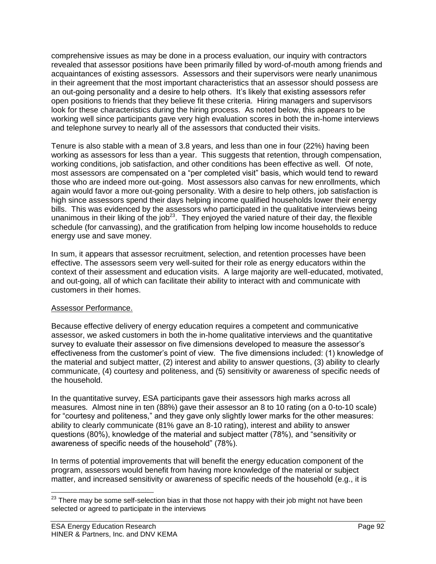comprehensive issues as may be done in a process evaluation, our inquiry with contractors revealed that assessor positions have been primarily filled by word-of-mouth among friends and acquaintances of existing assessors. Assessors and their supervisors were nearly unanimous in their agreement that the most important characteristics that an assessor should possess are an out-going personality and a desire to help others. It's likely that existing assessors refer open positions to friends that they believe fit these criteria. Hiring managers and supervisors look for these characteristics during the hiring process. As noted below, this appears to be working well since participants gave very high evaluation scores in both the in-home interviews and telephone survey to nearly all of the assessors that conducted their visits.

Tenure is also stable with a mean of 3.8 years, and less than one in four (22%) having been working as assessors for less than a year. This suggests that retention, through compensation, working conditions, job satisfaction, and other conditions has been effective as well. Of note, most assessors are compensated on a "per completed visit" basis, which would tend to reward those who are indeed more out-going. Most assessors also canvas for new enrollments, which again would favor a more out-going personality. With a desire to help others, job satisfaction is high since assessors spend their days helping income qualified households lower their energy bills. This was evidenced by the assessors who participated in the qualitative interviews being unanimous in their liking of the job<sup>23</sup>. They enjoyed the varied nature of their day, the flexible schedule (for canvassing), and the gratification from helping low income households to reduce energy use and save money.

In sum, it appears that assessor recruitment, selection, and retention processes have been effective. The assessors seem very well-suited for their role as energy educators within the context of their assessment and education visits. A large majority are well-educated, motivated, and out-going, all of which can facilitate their ability to interact with and communicate with customers in their homes.

# Assessor Performance.

Because effective delivery of energy education requires a competent and communicative assessor, we asked customers in both the in-home qualitative interviews and the quantitative survey to evaluate their assessor on five dimensions developed to measure the assessor's effectiveness from the customer's point of view. The five dimensions included: (1) knowledge of the material and subject matter, (2) interest and ability to answer questions, (3) ability to clearly communicate, (4) courtesy and politeness, and (5) sensitivity or awareness of specific needs of the household.

In the quantitative survey, ESA participants gave their assessors high marks across all measures. Almost nine in ten (88%) gave their assessor an 8 to 10 rating (on a 0-to-10 scale) for "courtesy and politeness," and they gave only slightly lower marks for the other measures: ability to clearly communicate (81% gave an 8-10 rating), interest and ability to answer questions (80%), knowledge of the material and subject matter (78%), and "sensitivity or awareness of specific needs of the household" (78%).

In terms of potential improvements that will benefit the energy education component of the program, assessors would benefit from having more knowledge of the material or subject matter, and increased sensitivity or awareness of specific needs of the household (e.g., it is

 $\overline{a}$  $^{23}$  There may be some self-selection bias in that those not happy with their job might not have been selected or agreed to participate in the interviews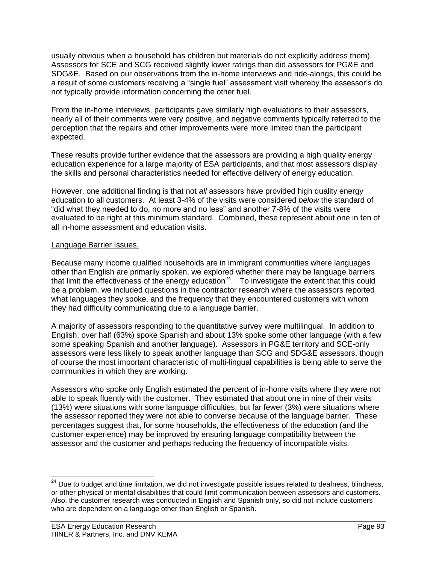usually obvious when a household has children but materials do not explicitly address them). Assessors for SCE and SCG received slightly lower ratings than did assessors for PG&E and SDG&E. Based on our observations from the in-home interviews and ride-alongs, this could be a result of some customers receiving a "single fuel" assessment visit whereby the assessor's do not typically provide information concerning the other fuel.

From the in-home interviews, participants gave similarly high evaluations to their assessors, nearly all of their comments were very positive, and negative comments typically referred to the perception that the repairs and other improvements were more limited than the participant expected.

These results provide further evidence that the assessors are providing a high quality energy education experience for a large majority of ESA participants, and that most assessors display the skills and personal characteristics needed for effective delivery of energy education.

However, one additional finding is that not *all* assessors have provided high quality energy education to all customers. At least 3-4% of the visits were considered *below* the standard of "did what they needed to do, no more and no less" and another 7-8% of the visits were evaluated to be right at this minimum standard. Combined, these represent about one in ten of all in-home assessment and education visits.

## Language Barrier Issues.

Because many income qualified households are in immigrant communities where languages other than English are primarily spoken, we explored whether there may be language barriers that limit the effectiveness of the energy education<sup>24</sup>. To investigate the extent that this could be a problem, we included questions in the contractor research where the assessors reported what languages they spoke, and the frequency that they encountered customers with whom they had difficulty communicating due to a language barrier.

A majority of assessors responding to the quantitative survey were multilingual. In addition to English, over half (63%) spoke Spanish and about 13% spoke some other language (with a few some speaking Spanish and another language). Assessors in PG&E territory and SCE-only assessors were less likely to speak another language than SCG and SDG&E assessors, though of course the most important characteristic of multi-lingual capabilities is being able to serve the communities in which they are working.

Assessors who spoke only English estimated the percent of in-home visits where they were not able to speak fluently with the customer. They estimated that about one in nine of their visits (13%) were situations with some language difficulties, but far fewer (3%) were situations where the assessor reported they were not able to converse because of the language barrier. These percentages suggest that, for some households, the effectiveness of the education (and the customer experience) may be improved by ensuring language compatibility between the assessor and the customer and perhaps reducing the frequency of incompatible visits.

 $\overline{a}$ 

<sup>&</sup>lt;sup>24</sup> Due to budget and time limitation, we did not investigate possible issues related to deafness, blindness, or other physical or mental disabilities that could limit communication between assessors and customers. Also, the customer research was conducted in English and Spanish only, so did not include customers who are dependent on a language other than English or Spanish.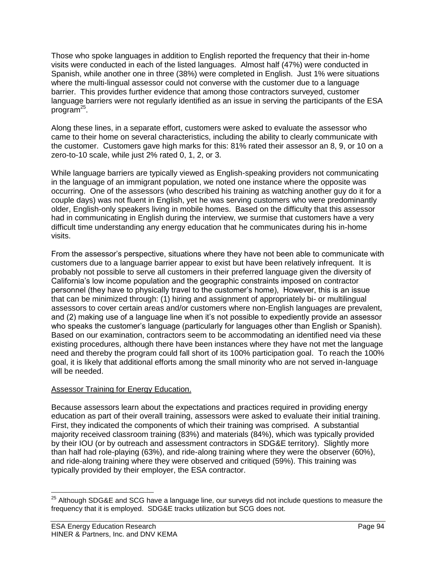Those who spoke languages in addition to English reported the frequency that their in-home visits were conducted in each of the listed languages. Almost half (47%) were conducted in Spanish, while another one in three (38%) were completed in English. Just 1% were situations where the multi-lingual assessor could not converse with the customer due to a language barrier. This provides further evidence that among those contractors surveyed, customer language barriers were not regularly identified as an issue in serving the participants of the ESA program<sup>25</sup>.

Along these lines, in a separate effort, customers were asked to evaluate the assessor who came to their home on several characteristics, including the ability to clearly communicate with the customer. Customers gave high marks for this: 81% rated their assessor an 8, 9, or 10 on a zero-to-10 scale, while just 2% rated 0, 1, 2, or 3.

While language barriers are typically viewed as English-speaking providers not communicating in the language of an immigrant population, we noted one instance where the opposite was occurring. One of the assessors (who described his training as watching another guy do it for a couple days) was not fluent in English, yet he was serving customers who were predominantly older, English-only speakers living in mobile homes. Based on the difficulty that this assessor had in communicating in English during the interview, we surmise that customers have a very difficult time understanding any energy education that he communicates during his in-home visits.

From the assessor's perspective, situations where they have not been able to communicate with customers due to a language barrier appear to exist but have been relatively infrequent. It is probably not possible to serve all customers in their preferred language given the diversity of California's low income population and the geographic constraints imposed on contractor personnel (they have to physically travel to the customer's home), However, this is an issue that can be minimized through: (1) hiring and assignment of appropriately bi- or multilingual assessors to cover certain areas and/or customers where non-English languages are prevalent, and (2) making use of a language line when it's not possible to expediently provide an assessor who speaks the customer's language (particularly for languages other than English or Spanish). Based on our examination, contractors seem to be accommodating an identified need via these existing procedures, although there have been instances where they have not met the language need and thereby the program could fall short of its 100% participation goal. To reach the 100% goal, it is likely that additional efforts among the small minority who are not served in-language will be needed.

# Assessor Training for Energy Education.

Because assessors learn about the expectations and practices required in providing energy education as part of their overall training, assessors were asked to evaluate their initial training. First, they indicated the components of which their training was comprised. A substantial majority received classroom training (83%) and materials (84%), which was typically provided by their IOU (or by outreach and assessment contractors in SDG&E territory). Slightly more than half had role-playing (63%), and ride-along training where they were the observer (60%), and ride-along training where they were observed and critiqued (59%). This training was typically provided by their employer, the ESA contractor.

 $\overline{a}$ 

 $^{25}$  Although SDG&E and SCG have a language line, our surveys did not include questions to measure the frequency that it is employed. SDG&E tracks utilization but SCG does not.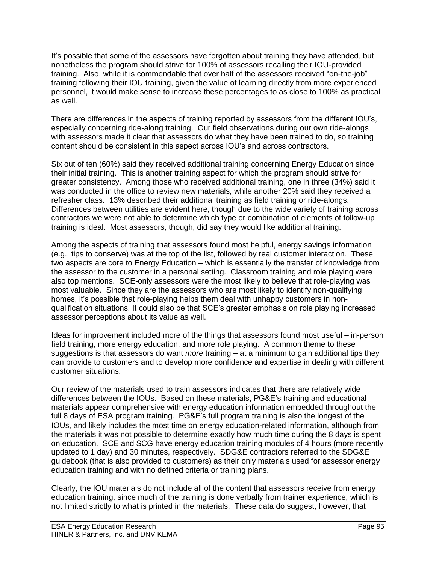It's possible that some of the assessors have forgotten about training they have attended, but nonetheless the program should strive for 100% of assessors recalling their IOU-provided training. Also, while it is commendable that over half of the assessors received "on-the-job" training following their IOU training, given the value of learning directly from more experienced personnel, it would make sense to increase these percentages to as close to 100% as practical as well.

There are differences in the aspects of training reported by assessors from the different IOU's, especially concerning ride-along training. Our field observations during our own ride-alongs with assessors made it clear that assessors do what they have been trained to do, so training content should be consistent in this aspect across IOU's and across contractors.

Six out of ten (60%) said they received additional training concerning Energy Education since their initial training. This is another training aspect for which the program should strive for greater consistency. Among those who received additional training, one in three (34%) said it was conducted in the office to review new materials, while another 20% said they received a refresher class. 13% described their additional training as field training or ride-alongs. Differences between utilities are evident here, though due to the wide variety of training across contractors we were not able to determine which type or combination of elements of follow-up training is ideal. Most assessors, though, did say they would like additional training.

Among the aspects of training that assessors found most helpful, energy savings information (e.g., tips to conserve) was at the top of the list, followed by real customer interaction. These two aspects are core to Energy Education – which is essentially the transfer of knowledge from the assessor to the customer in a personal setting. Classroom training and role playing were also top mentions. SCE-only assessors were the most likely to believe that role-playing was most valuable. Since they are the assessors who are most likely to identify non-qualifying homes, it's possible that role-playing helps them deal with unhappy customers in nonqualification situations. It could also be that SCE's greater emphasis on role playing increased assessor perceptions about its value as well.

Ideas for improvement included more of the things that assessors found most useful – in-person field training, more energy education, and more role playing. A common theme to these suggestions is that assessors do want *more* training – at a minimum to gain additional tips they can provide to customers and to develop more confidence and expertise in dealing with different customer situations.

Our review of the materials used to train assessors indicates that there are relatively wide differences between the IOUs. Based on these materials, PG&E's training and educational materials appear comprehensive with energy education information embedded throughout the full 8 days of ESA program training. PG&E's full program training is also the longest of the IOUs, and likely includes the most time on energy education-related information, although from the materials it was not possible to determine exactly how much time during the 8 days is spent on education. SCE and SCG have energy education training modules of 4 hours (more recently updated to 1 day) and 30 minutes, respectively. SDG&E contractors referred to the SDG&E guidebook (that is also provided to customers) as their only materials used for assessor energy education training and with no defined criteria or training plans.

Clearly, the IOU materials do not include all of the content that assessors receive from energy education training, since much of the training is done verbally from trainer experience, which is not limited strictly to what is printed in the materials. These data do suggest, however, that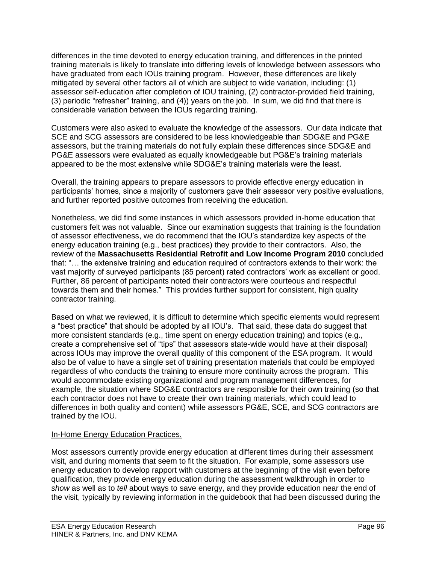differences in the time devoted to energy education training, and differences in the printed training materials is likely to translate into differing levels of knowledge between assessors who have graduated from each IOUs training program. However, these differences are likely mitigated by several other factors all of which are subject to wide variation, including: (1) assessor self-education after completion of IOU training, (2) contractor-provided field training, (3) periodic "refresher" training, and (4)) years on the job. In sum, we did find that there is considerable variation between the IOUs regarding training.

Customers were also asked to evaluate the knowledge of the assessors. Our data indicate that SCE and SCG assessors are considered to be less knowledgeable than SDG&E and PG&E assessors, but the training materials do not fully explain these differences since SDG&E and PG&E assessors were evaluated as equally knowledgeable but PG&E's training materials appeared to be the most extensive while SDG&E's training materials were the least.

Overall, the training appears to prepare assessors to provide effective energy education in participants' homes, since a majority of customers gave their assessor very positive evaluations, and further reported positive outcomes from receiving the education.

Nonetheless, we did find some instances in which assessors provided in-home education that customers felt was not valuable. Since our examination suggests that training is the foundation of assessor effectiveness, we do recommend that the IOU's standardize key aspects of the energy education training (e.g., best practices) they provide to their contractors. Also, the review of the **Massachusetts Residential Retrofit and Low Income Program 2010** concluded that: "… the extensive training and education required of contractors extends to their work: the vast majority of surveyed participants (85 percent) rated contractors' work as excellent or good. Further, 86 percent of participants noted their contractors were courteous and respectful towards them and their homes." This provides further support for consistent, high quality contractor training.

Based on what we reviewed, it is difficult to determine which specific elements would represent a "best practice" that should be adopted by all IOU's. That said, these data do suggest that more consistent standards (e.g., time spent on energy education training) and topics (e.g., create a comprehensive set of "tips" that assessors state-wide would have at their disposal) across IOUs may improve the overall quality of this component of the ESA program. It would also be of value to have a single set of training presentation materials that could be employed regardless of who conducts the training to ensure more continuity across the program. This would accommodate existing organizational and program management differences, for example, the situation where SDG&E contractors are responsible for their own training (so that each contractor does not have to create their own training materials, which could lead to differences in both quality and content) while assessors PG&E, SCE, and SCG contractors are trained by the IOU.

# In-Home Energy Education Practices.

Most assessors currently provide energy education at different times during their assessment visit, and during moments that seem to fit the situation. For example, some assessors use energy education to develop rapport with customers at the beginning of the visit even before qualification, they provide energy education during the assessment walkthrough in order to *show* as well as to *tell* about ways to save energy, and they provide education near the end of the visit, typically by reviewing information in the guidebook that had been discussed during the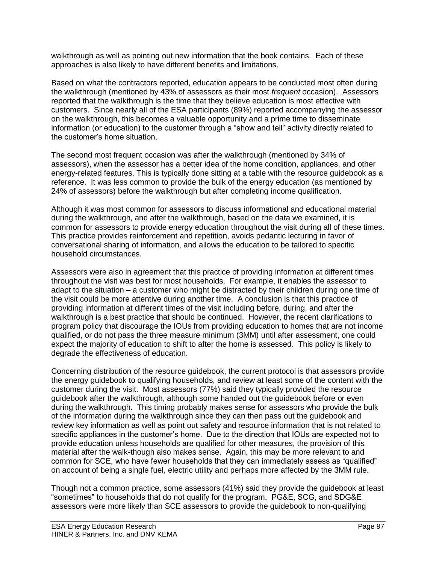walkthrough as well as pointing out new information that the book contains. Each of these approaches is also likely to have different benefits and limitations.

Based on what the contractors reported, education appears to be conducted most often during the walkthrough (mentioned by 43% of assessors as their most *frequent* occasion). Assessors reported that the walkthrough is the time that they believe education is most effective with customers. Since nearly all of the ESA participants (89%) reported accompanying the assessor on the walkthrough, this becomes a valuable opportunity and a prime time to disseminate information (or education) to the customer through a "show and tell" activity directly related to the customer's home situation.

The second most frequent occasion was after the walkthrough (mentioned by 34% of assessors), when the assessor has a better idea of the home condition, appliances, and other energy-related features. This is typically done sitting at a table with the resource guidebook as a reference. It was less common to provide the bulk of the energy education (as mentioned by 24% of assessors) before the walkthrough but after completing income qualification.

Although it was most common for assessors to discuss informational and educational material during the walkthrough, and after the walkthrough, based on the data we examined, it is common for assessors to provide energy education throughout the visit during all of these times. This practice provides reinforcement and repetition, avoids pedantic lecturing in favor of conversational sharing of information, and allows the education to be tailored to specific household circumstances.

Assessors were also in agreement that this practice of providing information at different times throughout the visit was best for most households. For example, it enables the assessor to adapt to the situation – a customer who might be distracted by their children during one time of the visit could be more attentive during another time. A conclusion is that this practice of providing information at different times of the visit including before, during, and after the walkthrough is a best practice that should be continued. However, the recent clarifications to program policy that discourage the IOUs from providing education to homes that are not income qualified, or do not pass the three measure minimum (3MM) until after assessment, one could expect the majority of education to shift to after the home is assessed. This policy is likely to degrade the effectiveness of education.

Concerning distribution of the resource guidebook, the current protocol is that assessors provide the energy guidebook to qualifying households, and review at least some of the content with the customer during the visit. Most assessors (77%) said they typically provided the resource guidebook after the walkthrough, although some handed out the guidebook before or even during the walkthrough. This timing probably makes sense for assessors who provide the bulk of the information during the walkthrough since they can then pass out the guidebook and review key information as well as point out safety and resource information that is not related to specific appliances in the customer's home. Due to the direction that IOUs are expected not to provide education unless households are qualified for other measures, the provision of this material after the walk-though also makes sense. Again, this may be more relevant to and common for SCE, who have fewer households that they can immediately assess as "qualified" on account of being a single fuel, electric utility and perhaps more affected by the 3MM rule.

Though not a common practice, some assessors (41%) said they provide the guidebook at least "sometimes" to households that do not qualify for the program. PG&E, SCG, and SDG&E assessors were more likely than SCE assessors to provide the guidebook to non-qualifying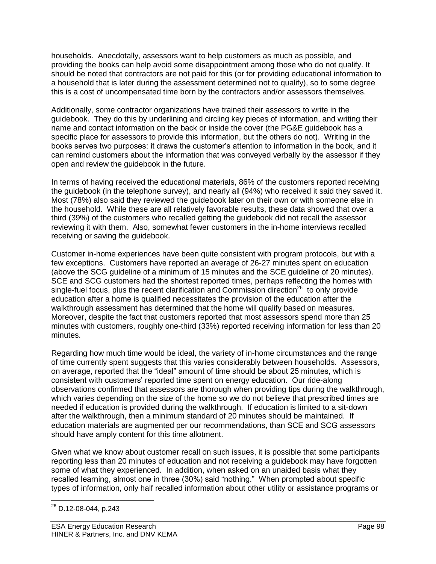households. Anecdotally, assessors want to help customers as much as possible, and providing the books can help avoid some disappointment among those who do not qualify. It should be noted that contractors are not paid for this (or for providing educational information to a household that is later during the assessment determined not to qualify), so to some degree this is a cost of uncompensated time born by the contractors and/or assessors themselves.

Additionally, some contractor organizations have trained their assessors to write in the guidebook. They do this by underlining and circling key pieces of information, and writing their name and contact information on the back or inside the cover (the PG&E guidebook has a specific place for assessors to provide this information, but the others do not). Writing in the books serves two purposes: it draws the customer's attention to information in the book, and it can remind customers about the information that was conveyed verbally by the assessor if they open and review the guidebook in the future.

In terms of having received the educational materials, 86% of the customers reported receiving the guidebook (in the telephone survey), and nearly all (94%) who received it said they saved it. Most (78%) also said they reviewed the guidebook later on their own or with someone else in the household. While these are all relatively favorable results, these data showed that over a third (39%) of the customers who recalled getting the guidebook did not recall the assessor reviewing it with them. Also, somewhat fewer customers in the in-home interviews recalled receiving or saving the guidebook.

Customer in-home experiences have been quite consistent with program protocols, but with a few exceptions. Customers have reported an average of 26-27 minutes spent on education (above the SCG guideline of a minimum of 15 minutes and the SCE guideline of 20 minutes). SCE and SCG customers had the shortest reported times, perhaps reflecting the homes with single-fuel focus, plus the recent clarification and Commission direction<sup>26</sup> to only provide education after a home is qualified necessitates the provision of the education after the walkthrough assessment has determined that the home will qualify based on measures. Moreover, despite the fact that customers reported that most assessors spend more than 25 minutes with customers, roughly one-third (33%) reported receiving information for less than 20 minutes.

Regarding how much time would be ideal, the variety of in-home circumstances and the range of time currently spent suggests that this varies considerably between households. Assessors, on average, reported that the "ideal" amount of time should be about 25 minutes, which is consistent with customers' reported time spent on energy education. Our ride-along observations confirmed that assessors are thorough when providing tips during the walkthrough, which varies depending on the size of the home so we do not believe that prescribed times are needed if education is provided during the walkthrough. If education is limited to a sit-down after the walkthrough, then a minimum standard of 20 minutes should be maintained. If education materials are augmented per our recommendations, than SCE and SCG assessors should have amply content for this time allotment.

Given what we know about customer recall on such issues, it is possible that some participants reporting less than 20 minutes of education and not receiving a guidebook may have forgotten some of what they experienced. In addition, when asked on an unaided basis what they recalled learning, almost one in three (30%) said "nothing." When prompted about specific types of information, only half recalled information about other utility or assistance programs or

 $\overline{a}$ <sup>26</sup> D.12-08-044, p.243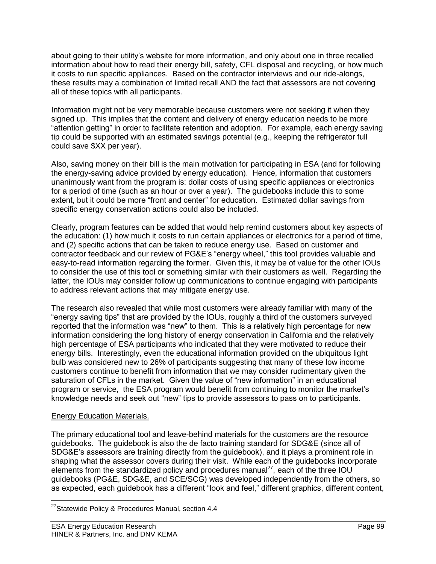about going to their utility's website for more information, and only about one in three recalled information about how to read their energy bill, safety, CFL disposal and recycling, or how much it costs to run specific appliances. Based on the contractor interviews and our ride-alongs, these results may a combination of limited recall AND the fact that assessors are not covering all of these topics with all participants.

Information might not be very memorable because customers were not seeking it when they signed up. This implies that the content and delivery of energy education needs to be more "attention getting" in order to facilitate retention and adoption. For example, each energy saving tip could be supported with an estimated savings potential (e.g., keeping the refrigerator full could save \$XX per year).

Also, saving money on their bill is the main motivation for participating in ESA (and for following the energy-saving advice provided by energy education). Hence, information that customers unanimously want from the program is: dollar costs of using specific appliances or electronics for a period of time (such as an hour or over a year). The guidebooks include this to some extent, but it could be more "front and center" for education. Estimated dollar savings from specific energy conservation actions could also be included.

Clearly, program features can be added that would help remind customers about key aspects of the education: (1) how much it costs to run certain appliances or electronics for a period of time, and (2) specific actions that can be taken to reduce energy use. Based on customer and contractor feedback and our review of PG&E's "energy wheel," this tool provides valuable and easy-to-read information regarding the former. Given this, it may be of value for the other IOUs to consider the use of this tool or something similar with their customers as well. Regarding the latter, the IOUs may consider follow up communications to continue engaging with participants to address relevant actions that may mitigate energy use.

The research also revealed that while most customers were already familiar with many of the "energy saving tips" that are provided by the IOUs, roughly a third of the customers surveyed reported that the information was "new" to them. This is a relatively high percentage for new information considering the long history of energy conservation in California and the relatively high percentage of ESA participants who indicated that they were motivated to reduce their energy bills. Interestingly, even the educational information provided on the ubiquitous light bulb was considered new to 26% of participants suggesting that many of these low income customers continue to benefit from information that we may consider rudimentary given the saturation of CFLs in the market. Given the value of "new information" in an educational program or service, the ESA program would benefit from continuing to monitor the market's knowledge needs and seek out "new" tips to provide assessors to pass on to participants.

# Energy Education Materials.

The primary educational tool and leave-behind materials for the customers are the resource guidebooks. The guidebook is also the de facto training standard for SDG&E (since all of SDG&E's assessors are training directly from the guidebook), and it plays a prominent role in shaping what the assessor covers during their visit. While each of the guidebooks incorporate elements from the standardized policy and procedures manual $^{27}$ , each of the three IOU guidebooks (PG&E, SDG&E, and SCE/SCG) was developed independently from the others, so as expected, each guidebook has a different "look and feel," different graphics, different content,

 $\overline{a}$ <sup>27</sup>Statewide Policy & Procedures Manual, section 4.4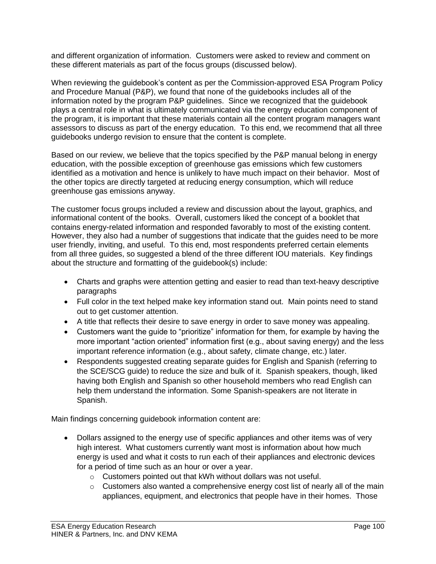and different organization of information. Customers were asked to review and comment on these different materials as part of the focus groups (discussed below).

When reviewing the guidebook's content as per the Commission-approved ESA Program Policy and Procedure Manual (P&P), we found that none of the guidebooks includes all of the information noted by the program P&P guidelines. Since we recognized that the guidebook plays a central role in what is ultimately communicated via the energy education component of the program, it is important that these materials contain all the content program managers want assessors to discuss as part of the energy education. To this end, we recommend that all three guidebooks undergo revision to ensure that the content is complete.

Based on our review, we believe that the topics specified by the P&P manual belong in energy education, with the possible exception of greenhouse gas emissions which few customers identified as a motivation and hence is unlikely to have much impact on their behavior. Most of the other topics are directly targeted at reducing energy consumption, which will reduce greenhouse gas emissions anyway.

The customer focus groups included a review and discussion about the layout, graphics, and informational content of the books. Overall, customers liked the concept of a booklet that contains energy-related information and responded favorably to most of the existing content. However, they also had a number of suggestions that indicate that the guides need to be more user friendly, inviting, and useful. To this end, most respondents preferred certain elements from all three guides, so suggested a blend of the three different IOU materials. Key findings about the structure and formatting of the guidebook(s) include:

- Charts and graphs were attention getting and easier to read than text-heavy descriptive paragraphs
- Full color in the text helped make key information stand out. Main points need to stand out to get customer attention.
- A title that reflects their desire to save energy in order to save money was appealing.
- Customers want the guide to "prioritize" information for them, for example by having the more important "action oriented" information first (e.g., about saving energy) and the less important reference information (e.g., about safety, climate change, etc.) later.
- Respondents suggested creating separate guides for English and Spanish (referring to the SCE/SCG guide) to reduce the size and bulk of it. Spanish speakers, though, liked having both English and Spanish so other household members who read English can help them understand the information. Some Spanish-speakers are not literate in Spanish.

Main findings concerning guidebook information content are:

- Dollars assigned to the energy use of specific appliances and other items was of very high interest. What customers currently want most is information about how much energy is used and what it costs to run each of their appliances and electronic devices for a period of time such as an hour or over a year.
	- o Customers pointed out that kWh without dollars was not useful.
	- $\circ$  Customers also wanted a comprehensive energy cost list of nearly all of the main appliances, equipment, and electronics that people have in their homes. Those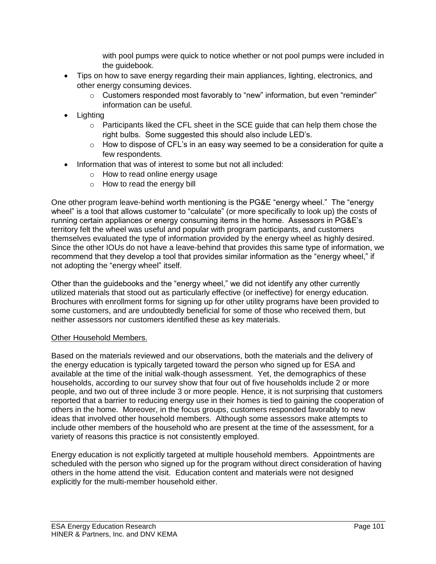with pool pumps were quick to notice whether or not pool pumps were included in the guidebook.

- Tips on how to save energy regarding their main appliances, lighting, electronics, and other energy consuming devices.
	- o Customers responded most favorably to "new" information, but even "reminder" information can be useful.
- Lighting
	- o Participants liked the CFL sheet in the SCE guide that can help them chose the right bulbs. Some suggested this should also include LED's.
	- $\circ$  How to dispose of CFL's in an easy way seemed to be a consideration for quite a few respondents.
- Information that was of interest to some but not all included:
	- o How to read online energy usage
	- o How to read the energy bill

One other program leave-behind worth mentioning is the PG&E "energy wheel." The "energy wheel" is a tool that allows customer to "calculate" (or more specifically to look up) the costs of running certain appliances or energy consuming items in the home. Assessors in PG&E's territory felt the wheel was useful and popular with program participants, and customers themselves evaluated the type of information provided by the energy wheel as highly desired. Since the other IOUs do not have a leave-behind that provides this same type of information, we recommend that they develop a tool that provides similar information as the "energy wheel," if not adopting the "energy wheel" itself.

Other than the guidebooks and the "energy wheel," we did not identify any other currently utilized materials that stood out as particularly effective (or ineffective) for energy education. Brochures with enrollment forms for signing up for other utility programs have been provided to some customers, and are undoubtedly beneficial for some of those who received them, but neither assessors nor customers identified these as key materials.

## Other Household Members.

Based on the materials reviewed and our observations, both the materials and the delivery of the energy education is typically targeted toward the person who signed up for ESA and available at the time of the initial walk-though assessment. Yet, the demographics of these households, according to our survey show that four out of five households include 2 or more people, and two out of three include 3 or more people. Hence, it is not surprising that customers reported that a barrier to reducing energy use in their homes is tied to gaining the cooperation of others in the home. Moreover, in the focus groups, customers responded favorably to new ideas that involved other household members. Although some assessors make attempts to include other members of the household who are present at the time of the assessment, for a variety of reasons this practice is not consistently employed.

Energy education is not explicitly targeted at multiple household members. Appointments are scheduled with the person who signed up for the program without direct consideration of having others in the home attend the visit. Education content and materials were not designed explicitly for the multi-member household either.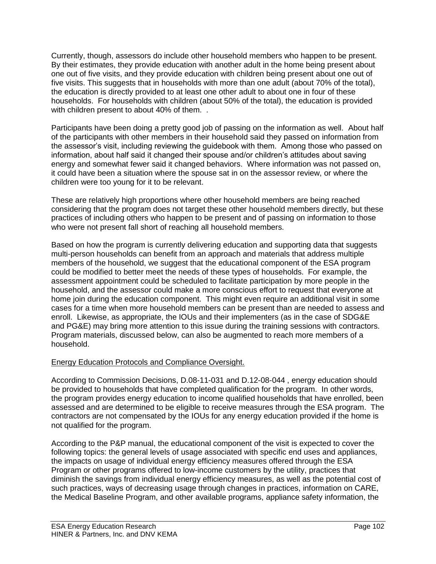Currently, though, assessors do include other household members who happen to be present. By their estimates, they provide education with another adult in the home being present about one out of five visits, and they provide education with children being present about one out of five visits. This suggests that in households with more than one adult (about 70% of the total), the education is directly provided to at least one other adult to about one in four of these households. For households with children (about 50% of the total), the education is provided with children present to about 40% of them. .

Participants have been doing a pretty good job of passing on the information as well. About half of the participants with other members in their household said they passed on information from the assessor's visit, including reviewing the guidebook with them. Among those who passed on information, about half said it changed their spouse and/or children's attitudes about saving energy and somewhat fewer said it changed behaviors. Where information was not passed on, it could have been a situation where the spouse sat in on the assessor review, or where the children were too young for it to be relevant.

These are relatively high proportions where other household members are being reached considering that the program does not target these other household members directly, but these practices of including others who happen to be present and of passing on information to those who were not present fall short of reaching all household members.

Based on how the program is currently delivering education and supporting data that suggests multi-person households can benefit from an approach and materials that address multiple members of the household, we suggest that the educational component of the ESA program could be modified to better meet the needs of these types of households. For example, the assessment appointment could be scheduled to facilitate participation by more people in the household, and the assessor could make a more conscious effort to request that everyone at home join during the education component. This might even require an additional visit in some cases for a time when more household members can be present than are needed to assess and enroll. Likewise, as appropriate, the IOUs and their implementers (as in the case of SDG&E and PG&E) may bring more attention to this issue during the training sessions with contractors. Program materials, discussed below, can also be augmented to reach more members of a household.

# Energy Education Protocols and Compliance Oversight.

According to Commission Decisions, D.08-11-031 and D.12-08-044 , energy education should be provided to households that have completed qualification for the program. In other words, the program provides energy education to income qualified households that have enrolled, been assessed and are determined to be eligible to receive measures through the ESA program. The contractors are not compensated by the IOUs for any energy education provided if the home is not qualified for the program.

According to the P&P manual, the educational component of the visit is expected to cover the following topics: the general levels of usage associated with specific end uses and appliances, the impacts on usage of individual energy efficiency measures offered through the ESA Program or other programs offered to low-income customers by the utility, practices that diminish the savings from individual energy efficiency measures, as well as the potential cost of such practices, ways of decreasing usage through changes in practices, information on CARE, the Medical Baseline Program, and other available programs, appliance safety information, the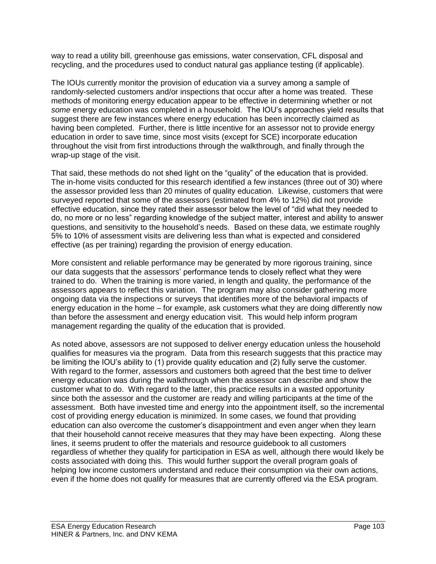way to read a utility bill, greenhouse gas emissions, water conservation, CFL disposal and recycling, and the procedures used to conduct natural gas appliance testing (if applicable).

The IOUs currently monitor the provision of education via a survey among a sample of randomly-selected customers and/or inspections that occur after a home was treated. These methods of monitoring energy education appear to be effective in determining whether or not *some* energy education was completed in a household. The IOU's approaches yield results that suggest there are few instances where energy education has been incorrectly claimed as having been completed. Further, there is little incentive for an assessor not to provide energy education in order to save time, since most visits (except for SCE) incorporate education throughout the visit from first introductions through the walkthrough, and finally through the wrap-up stage of the visit.

That said, these methods do not shed light on the "quality" of the education that is provided. The in-home visits conducted for this research identified a few instances (three out of 30) where the assessor provided less than 20 minutes of quality education. Likewise, customers that were surveyed reported that some of the assessors (estimated from 4% to 12%) did not provide effective education, since they rated their assessor below the level of "did what they needed to do, no more or no less" regarding knowledge of the subject matter, interest and ability to answer questions, and sensitivity to the household's needs. Based on these data, we estimate roughly 5% to 10% of assessment visits are delivering less than what is expected and considered effective (as per training) regarding the provision of energy education.

More consistent and reliable performance may be generated by more rigorous training, since our data suggests that the assessors' performance tends to closely reflect what they were trained to do. When the training is more varied, in length and quality, the performance of the assessors appears to reflect this variation. The program may also consider gathering more ongoing data via the inspections or surveys that identifies more of the behavioral impacts of energy education in the home – for example, ask customers what they are doing differently now than before the assessment and energy education visit. This would help inform program management regarding the quality of the education that is provided.

As noted above, assessors are not supposed to deliver energy education unless the household qualifies for measures via the program. Data from this research suggests that this practice may be limiting the IOU's ability to (1) provide quality education and (2) fully serve the customer. With regard to the former, assessors and customers both agreed that the best time to deliver energy education was during the walkthrough when the assessor can describe and show the customer what to do. With regard to the latter, this practice results in a wasted opportunity since both the assessor and the customer are ready and willing participants at the time of the assessment. Both have invested time and energy into the appointment itself, so the incremental cost of providing energy education is minimized. In some cases, we found that providing education can also overcome the customer's disappointment and even anger when they learn that their household cannot receive measures that they may have been expecting. Along these lines, it seems prudent to offer the materials and resource guidebook to all customers regardless of whether they qualify for participation in ESA as well, although there would likely be costs associated with doing this. This would further support the overall program goals of helping low income customers understand and reduce their consumption via their own actions, even if the home does not qualify for measures that are currently offered via the ESA program.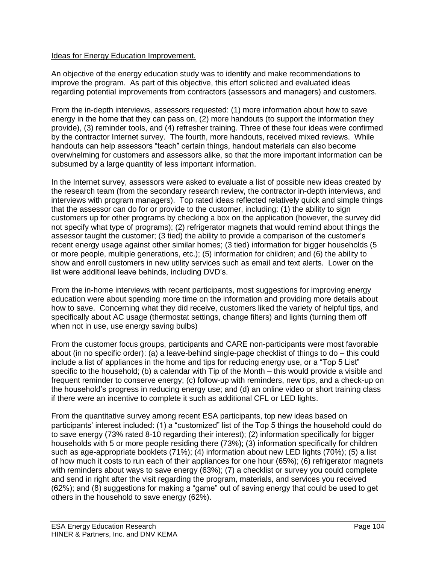## Ideas for Energy Education Improvement.

An objective of the energy education study was to identify and make recommendations to improve the program. As part of this objective, this effort solicited and evaluated ideas regarding potential improvements from contractors (assessors and managers) and customers.

From the in-depth interviews, assessors requested: (1) more information about how to save energy in the home that they can pass on, (2) more handouts (to support the information they provide), (3) reminder tools, and (4) refresher training. Three of these four ideas were confirmed by the contractor Internet survey. The fourth, more handouts, received mixed reviews. While handouts can help assessors "teach" certain things, handout materials can also become overwhelming for customers and assessors alike, so that the more important information can be subsumed by a large quantity of less important information.

In the Internet survey, assessors were asked to evaluate a list of possible new ideas created by the research team (from the secondary research review, the contractor in-depth interviews, and interviews with program managers). Top rated ideas reflected relatively quick and simple things that the assessor can do for or provide to the customer, including: (1) the ability to sign customers up for other programs by checking a box on the application (however, the survey did not specify what type of programs); (2) refrigerator magnets that would remind about things the assessor taught the customer; (3 tied) the ability to provide a comparison of the customer's recent energy usage against other similar homes; (3 tied) information for bigger households (5 or more people, multiple generations, etc.); (5) information for children; and (6) the ability to show and enroll customers in new utility services such as email and text alerts. Lower on the list were additional leave behinds, including DVD's.

From the in-home interviews with recent participants, most suggestions for improving energy education were about spending more time on the information and providing more details about how to save. Concerning what they did receive, customers liked the variety of helpful tips, and specifically about AC usage (thermostat settings, change filters) and lights (turning them off when not in use, use energy saving bulbs)

From the customer focus groups, participants and CARE non-participants were most favorable about (in no specific order): (a) a leave-behind single-page checklist of things to do – this could include a list of appliances in the home and tips for reducing energy use, or a "Top 5 List" specific to the household; (b) a calendar with Tip of the Month – this would provide a visible and frequent reminder to conserve energy; (c) follow-up with reminders, new tips, and a check-up on the household's progress in reducing energy use; and (d) an online video or short training class if there were an incentive to complete it such as additional CFL or LED lights.

From the quantitative survey among recent ESA participants, top new ideas based on participants' interest included: (1) a "customized" list of the Top 5 things the household could do to save energy (73% rated 8-10 regarding their interest); (2) information specifically for bigger households with 5 or more people residing there (73%); (3) information specifically for children such as age-appropriate booklets (71%); (4) information about new LED lights (70%); (5) a list of how much it costs to run each of their appliances for one hour (65%); (6) refrigerator magnets with reminders about ways to save energy (63%); (7) a checklist or survey you could complete and send in right after the visit regarding the program, materials, and services you received (62%); and (8) suggestions for making a "game" out of saving energy that could be used to get others in the household to save energy (62%).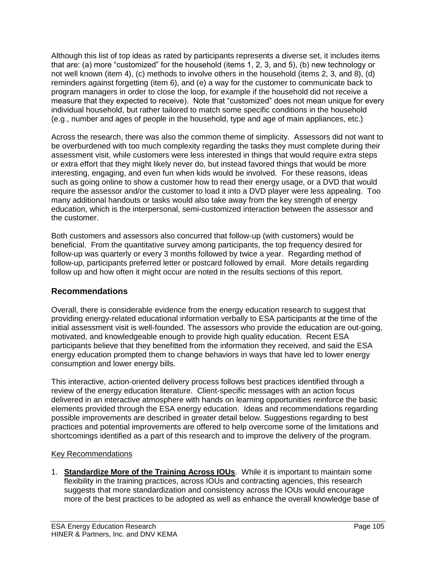Although this list of top ideas as rated by participants represents a diverse set, it includes items that are: (a) more "customized" for the household (items 1, 2, 3, and 5), (b) new technology or not well known (item 4), (c) methods to involve others in the household (items 2, 3, and 8), (d) reminders against forgetting (item 6), and (e) a way for the customer to communicate back to program managers in order to close the loop, for example if the household did not receive a measure that they expected to receive). Note that "customized" does not mean unique for every individual household, but rather tailored to match some specific conditions in the household (e.g., number and ages of people in the household, type and age of main appliances, etc.)

Across the research, there was also the common theme of simplicity. Assessors did not want to be overburdened with too much complexity regarding the tasks they must complete during their assessment visit, while customers were less interested in things that would require extra steps or extra effort that they might likely never do, but instead favored things that would be more interesting, engaging, and even fun when kids would be involved. For these reasons, ideas such as going online to show a customer how to read their energy usage, or a DVD that would require the assessor and/or the customer to load it into a DVD player were less appealing. Too many additional handouts or tasks would also take away from the key strength of energy education, which is the interpersonal, semi-customized interaction between the assessor and the customer.

Both customers and assessors also concurred that follow-up (with customers) would be beneficial. From the quantitative survey among participants, the top frequency desired for follow-up was quarterly or every 3 months followed by twice a year. Regarding method of follow-up, participants preferred letter or postcard followed by email. More details regarding follow up and how often it might occur are noted in the results sections of this report.

# **Recommendations**

Overall, there is considerable evidence from the energy education research to suggest that providing energy-related educational information verbally to ESA participants at the time of the initial assessment visit is well-founded. The assessors who provide the education are out-going, motivated, and knowledgeable enough to provide high quality education. Recent ESA participants believe that they benefitted from the information they received, and said the ESA energy education prompted them to change behaviors in ways that have led to lower energy consumption and lower energy bills.

This interactive, action-oriented delivery process follows best practices identified through a review of the energy education literature. Client-specific messages with an action focus delivered in an interactive atmosphere with hands on learning opportunities reinforce the basic elements provided through the ESA energy education. Ideas and recommendations regarding possible improvements are described in greater detail below. Suggestions regarding to best practices and potential improvements are offered to help overcome some of the limitations and shortcomings identified as a part of this research and to improve the delivery of the program.

# Key Recommendations

1. **Standardize More of the Training Across IOUs**. While it is important to maintain some flexibility in the training practices, across IOUs and contracting agencies, this research suggests that more standardization and consistency across the IOUs would encourage more of the best practices to be adopted as well as enhance the overall knowledge base of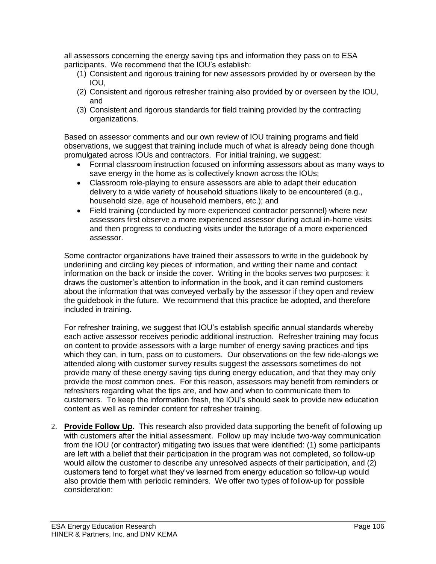all assessors concerning the energy saving tips and information they pass on to ESA participants. We recommend that the IOU's establish:

- (1) Consistent and rigorous training for new assessors provided by or overseen by the IOU,
- (2) Consistent and rigorous refresher training also provided by or overseen by the IOU, and
- (3) Consistent and rigorous standards for field training provided by the contracting organizations.

Based on assessor comments and our own review of IOU training programs and field observations, we suggest that training include much of what is already being done though promulgated across IOUs and contractors. For initial training, we suggest:

- Formal classroom instruction focused on informing assessors about as many ways to save energy in the home as is collectively known across the IOUs;
- Classroom role-playing to ensure assessors are able to adapt their education delivery to a wide variety of household situations likely to be encountered (e.g., household size, age of household members, etc.); and
- Field training (conducted by more experienced contractor personnel) where new assessors first observe a more experienced assessor during actual in-home visits and then progress to conducting visits under the tutorage of a more experienced assessor.

Some contractor organizations have trained their assessors to write in the guidebook by underlining and circling key pieces of information, and writing their name and contact information on the back or inside the cover. Writing in the books serves two purposes: it draws the customer's attention to information in the book, and it can remind customers about the information that was conveyed verbally by the assessor if they open and review the guidebook in the future. We recommend that this practice be adopted, and therefore included in training.

For refresher training, we suggest that IOU's establish specific annual standards whereby each active assessor receives periodic additional instruction. Refresher training may focus on content to provide assessors with a large number of energy saving practices and tips which they can, in turn, pass on to customers. Our observations on the few ride-alongs we attended along with customer survey results suggest the assessors sometimes do not provide many of these energy saving tips during energy education, and that they may only provide the most common ones. For this reason, assessors may benefit from reminders or refreshers regarding what the tips are, and how and when to communicate them to customers. To keep the information fresh, the IOU's should seek to provide new education content as well as reminder content for refresher training.

2. **Provide Follow Up.** This research also provided data supporting the benefit of following up with customers after the initial assessment. Follow up may include two-way communication from the IOU (or contractor) mitigating two issues that were identified: (1) some participants are left with a belief that their participation in the program was not completed, so follow-up would allow the customer to describe any unresolved aspects of their participation, and (2) customers tend to forget what they've learned from energy education so follow-up would also provide them with periodic reminders. We offer two types of follow-up for possible consideration: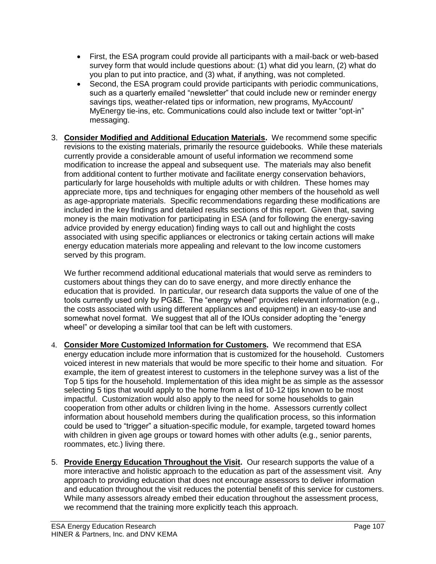- First, the ESA program could provide all participants with a mail-back or web-based survey form that would include questions about: (1) what did you learn, (2) what do you plan to put into practice, and (3) what, if anything, was not completed.
- Second, the ESA program could provide participants with periodic communications, such as a quarterly emailed "newsletter" that could include new or reminder energy savings tips, weather-related tips or information, new programs, MyAccount/ MyEnergy tie-ins, etc. Communications could also include text or twitter "opt-in" messaging.
- 3. **Consider Modified and Additional Education Materials.** We recommend some specific revisions to the existing materials, primarily the resource guidebooks. While these materials currently provide a considerable amount of useful information we recommend some modification to increase the appeal and subsequent use. The materials may also benefit from additional content to further motivate and facilitate energy conservation behaviors, particularly for large households with multiple adults or with children. These homes may appreciate more, tips and techniques for engaging other members of the household as well as age-appropriate materials. Specific recommendations regarding these modifications are included in the key findings and detailed results sections of this report. Given that, saving money is the main motivation for participating in ESA (and for following the energy-saving advice provided by energy education) finding ways to call out and highlight the costs associated with using specific appliances or electronics or taking certain actions will make energy education materials more appealing and relevant to the low income customers served by this program.

We further recommend additional educational materials that would serve as reminders to customers about things they can do to save energy, and more directly enhance the education that is provided. In particular, our research data supports the value of one of the tools currently used only by PG&E. The "energy wheel" provides relevant information (e.g., the costs associated with using different appliances and equipment) in an easy-to-use and somewhat novel format. We suggest that all of the IOUs consider adopting the "energy wheel" or developing a similar tool that can be left with customers.

- 4. **Consider More Customized Information for Customers.** We recommend that ESA energy education include more information that is customized for the household. Customers voiced interest in new materials that would be more specific to their home and situation. For example, the item of greatest interest to customers in the telephone survey was a list of the Top 5 tips for the household. Implementation of this idea might be as simple as the assessor selecting 5 tips that would apply to the home from a list of 10-12 tips known to be most impactful. Customization would also apply to the need for some households to gain cooperation from other adults or children living in the home. Assessors currently collect information about household members during the qualification process, so this information could be used to "trigger" a situation-specific module, for example, targeted toward homes with children in given age groups or toward homes with other adults (e.g., senior parents, roommates, etc.) living there.
- 5. **Provide Energy Education Throughout the Visit.** Our research supports the value of a more interactive and holistic approach to the education as part of the assessment visit. Any approach to providing education that does not encourage assessors to deliver information and education throughout the visit reduces the potential benefit of this service for customers. While many assessors already embed their education throughout the assessment process, we recommend that the training more explicitly teach this approach.